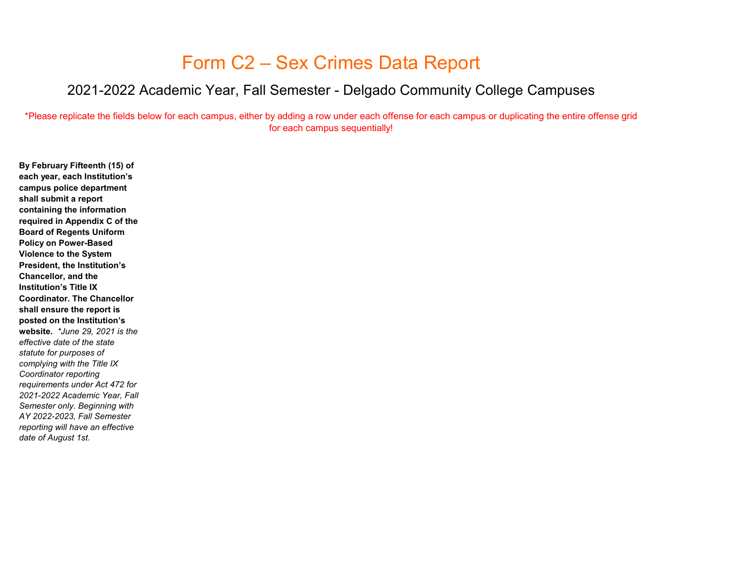## Form C2 – Sex Crimes Data Report

## 2021-2022 Academic Year, Fall Semester - Delgado Community College Campuses

\*Please replicate the fields below for each campus, either by adding a row under each offense for each campus or duplicating the entire offense grid for each campus sequentially!

**By February Fifteenth (15) of each year, each Institution's campus police department shall submit a report containing the information required in Appendix C of the Board of Regents Uniform Policy on Power-Based Violence to the System President, the Institution's Chancellor, and the Institution's Title IX Coordinator. The Chancellor shall ensure the report is posted on the Institution's website.** *\*June 29, 2021 is the effective date of the state statute for purposes of complying with the Title IX Coordinator reporting requirements under Act 472 for 2021-2022 Academic Year, Fall Semester only. Beginning with AY 2022-2023, Fall Semester reporting will have an effective date of August 1st.*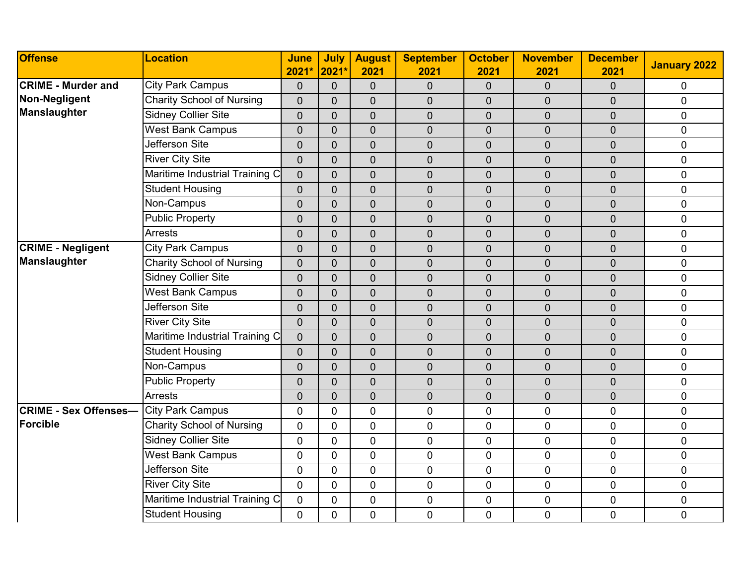| <b>Offense</b>               | <b>Location</b>                  | <b>June</b><br>2021* | July<br>2021*  | <b>August</b><br>2021 | <b>September</b><br>2021 | <b>October</b><br>2021 | <b>November</b><br>2021 | <b>December</b><br>2021 | <b>January 2022</b> |
|------------------------------|----------------------------------|----------------------|----------------|-----------------------|--------------------------|------------------------|-------------------------|-------------------------|---------------------|
| <b>CRIME - Murder and</b>    | <b>City Park Campus</b>          | $\overline{0}$       | $\overline{0}$ | $\mathbf 0$           | $\overline{0}$           | $\overline{0}$         | 0                       | $\overline{0}$          | 0                   |
| Non-Negligent                | <b>Charity School of Nursing</b> | $\overline{0}$       | $\overline{0}$ | $\overline{0}$        | $\overline{0}$           | $\overline{0}$         | 0                       | $\overline{0}$          | $\mathbf 0$         |
| Manslaughter                 | <b>Sidney Collier Site</b>       | $\overline{0}$       | $\Omega$       | $\mathbf 0$           | $\overline{0}$           | $\pmb{0}$              | $\mathbf 0$             | $\overline{0}$          | $\pmb{0}$           |
|                              | <b>West Bank Campus</b>          | $\overline{0}$       | $\Omega$       | $\mathbf 0$           | $\overline{0}$           | $\mathbf 0$            | $\overline{0}$          | $\overline{0}$          | $\pmb{0}$           |
|                              | Jefferson Site                   | $\Omega$             | $\overline{0}$ | $\overline{0}$        | $\overline{0}$           | $\overline{0}$         | 0                       | $\overline{0}$          | $\mathbf 0$         |
|                              | <b>River City Site</b>           | $\overline{0}$       | $\overline{0}$ | $\overline{0}$        | $\overline{0}$           | $\overline{0}$         | $\mathbf 0$             | $\overline{0}$          | $\pmb{0}$           |
|                              | Maritime Industrial Training C   | $\overline{0}$       | $\overline{0}$ | $\mathbf 0$           | $\overline{0}$           | $\mathbf 0$            | $\overline{0}$          | $\overline{0}$          | $\mathbf 0$         |
|                              | <b>Student Housing</b>           | $\overline{0}$       | $\overline{0}$ | $\overline{0}$        | $\overline{0}$           | $\mathbf{0}$           | 0                       | $\overline{0}$          | $\mathbf 0$         |
|                              | Non-Campus                       | $\overline{0}$       | $\overline{0}$ | $\mathbf 0$           | $\overline{0}$           | $\mathbf 0$            | 0                       | $\mathbf 0$             | $\pmb{0}$           |
|                              | <b>Public Property</b>           | $\overline{0}$       | $\overline{0}$ | $\overline{0}$        | $\overline{0}$           | $\overline{0}$         | $\overline{0}$          | $\overline{0}$          | $\mathbf 0$         |
|                              | <b>Arrests</b>                   | $\Omega$             | $\overline{0}$ | $\mathbf 0$           | $\overline{0}$           | $\mathbf 0$            | $\overline{0}$          | $\overline{0}$          | $\pmb{0}$           |
| <b>CRIME - Negligent</b>     | <b>City Park Campus</b>          | $\overline{0}$       | $\Omega$       | $\overline{0}$        | $\overline{0}$           | $\mathbf{0}$           | $\overline{0}$          | $\overline{0}$          | $\mathbf 0$         |
| Manslaughter                 | <b>Charity School of Nursing</b> | $\Omega$             | $\overline{0}$ | $\overline{0}$        | $\overline{0}$           | $\overline{0}$         | $\overline{0}$          | $\overline{0}$          | $\pmb{0}$           |
|                              | <b>Sidney Collier Site</b>       | $\overline{0}$       | $\overline{0}$ | $\mathbf 0$           | $\overline{0}$           | $\overline{0}$         | $\overline{0}$          | $\overline{0}$          | $\pmb{0}$           |
|                              | <b>West Bank Campus</b>          | $\overline{0}$       | $\Omega$       | $\mathbf 0$           | $\overline{0}$           | $\overline{0}$         | $\overline{0}$          | $\overline{0}$          | $\mathbf 0$         |
|                              | Jefferson Site                   | $\overline{0}$       | $\overline{0}$ | $\overline{0}$        | $\overline{0}$           | $\mathbf 0$            | $\overline{0}$          | $\overline{0}$          | $\mathbf 0$         |
|                              | <b>River City Site</b>           | $\overline{0}$       | $\Omega$       | $\overline{0}$        | $\overline{0}$           | $\overline{0}$         | $\overline{0}$          | $\overline{0}$          | $\mathbf 0$         |
|                              | Maritime Industrial Training C   | $\overline{0}$       | $\overline{0}$ | $\mathbf 0$           | $\overline{0}$           | $\mathbf 0$            | $\boldsymbol{0}$        | $\overline{0}$          | $\pmb{0}$           |
|                              | <b>Student Housing</b>           | $\overline{0}$       | $\overline{0}$ | $\overline{0}$        | $\overline{0}$           | $\mathbf{0}$           | 0                       | $\overline{0}$          | $\mathbf 0$         |
|                              | Non-Campus                       | $\overline{0}$       | $\overline{0}$ | $\mathbf 0$           | $\mathbf 0$              | $\mathbf{0}$           | 0                       | $\overline{0}$          | $\pmb{0}$           |
|                              | <b>Public Property</b>           | $\overline{0}$       | $\overline{0}$ | 0                     | $\overline{0}$           | $\mathbf{0}$           | $\mathbf 0$             | $\mathbf 0$             | $\mathbf 0$         |
|                              | <b>Arrests</b>                   | $\Omega$             | $\overline{0}$ | $\overline{0}$        | $\overline{0}$           | $\overline{0}$         | $\overline{0}$          | $\overline{0}$          | $\overline{0}$      |
| <b>CRIME - Sex Offenses-</b> | <b>City Park Campus</b>          | 0                    | $\mathbf{0}$   | $\mathbf 0$           | $\mathbf 0$              | $\mathbf 0$            | 0                       | $\mathbf 0$             | $\pmb{0}$           |
| Forcible                     | <b>Charity School of Nursing</b> | $\Omega$             | $\mathbf{0}$   | $\mathbf 0$           | $\mathbf 0$              | $\mathbf 0$            | 0                       | $\mathbf 0$             | $\mathbf 0$         |
|                              | Sidney Collier Site              | 0                    | $\Omega$       | $\overline{0}$        | 0                        | $\mathbf 0$            | 0                       | $\overline{0}$          | $\mathbf 0$         |
|                              | <b>West Bank Campus</b>          | 0                    | $\mathbf{0}$   | $\mathbf 0$           | $\mathbf 0$              | $\mathbf 0$            | 0                       | $\mathbf 0$             | $\pmb{0}$           |
|                              | Jefferson Site                   | 0                    | $\mathbf{0}$   | $\mathbf 0$           | $\mathbf 0$              | $\mathbf 0$            | 0                       | $\mathbf 0$             | $\pmb{0}$           |
|                              | <b>River City Site</b>           | $\overline{0}$       | $\mathbf{0}$   | $\overline{0}$        | $\overline{0}$           | $\mathbf 0$            | $\overline{0}$          | $\overline{0}$          | $\mathbf 0$         |
|                              | Maritime Industrial Training C   | $\mathbf 0$          | $\mathbf 0$    | $\mathbf 0$           | $\pmb{0}$                | $\pmb{0}$              | 0                       | $\pmb{0}$               | $\pmb{0}$           |
|                              | <b>Student Housing</b>           | 0                    | $\mathbf 0$    | $\mathbf 0$           | $\mathbf 0$              | $\mathbf 0$            | 0                       | $\mathbf 0$             | $\mathbf 0$         |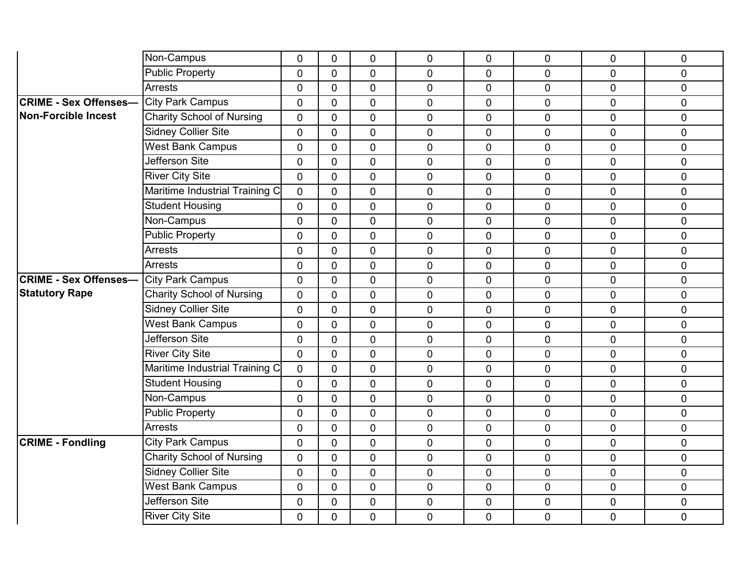|                              | Non-Campus                       | 0              | $\mathbf 0$    | 0              | 0              | 0              | 0              | $\mathbf 0$    | 0           |
|------------------------------|----------------------------------|----------------|----------------|----------------|----------------|----------------|----------------|----------------|-------------|
|                              | <b>Public Property</b>           | $\overline{0}$ | $\Omega$       | $\overline{0}$ | $\overline{0}$ | 0              | 0              | $\overline{0}$ | $\mathbf 0$ |
|                              | <b>Arrests</b>                   | $\overline{0}$ | $\mathbf 0$    | $\overline{0}$ | 0              | $\pmb{0}$      | $\overline{0}$ | $\overline{0}$ | $\pmb{0}$   |
| <b>CRIME - Sex Offenses-</b> | <b>City Park Campus</b>          | $\overline{0}$ | $\mathbf 0$    | $\mathbf 0$    | 0              | $\mathbf 0$    | 0              | $\overline{0}$ | $\mathbf 0$ |
| <b>Non-Forcible Incest</b>   | <b>Charity School of Nursing</b> | $\overline{0}$ | $\overline{0}$ | $\overline{0}$ | $\overline{0}$ | $\mathbf 0$    | 0              | $\overline{0}$ | $\mathbf 0$ |
|                              | <b>Sidney Collier Site</b>       | $\mathbf 0$    | $\overline{0}$ | $\mathbf 0$    | $\overline{0}$ | $\pmb{0}$      | 0              | $\mathbf 0$    | $\pmb{0}$   |
|                              | <b>West Bank Campus</b>          | $\mathbf 0$    | $\mathbf{0}$   | $\overline{0}$ | $\overline{0}$ | $\overline{0}$ | $\overline{0}$ | $\overline{0}$ | $\pmb{0}$   |
|                              | <b>Jefferson Site</b>            | $\overline{0}$ | $\overline{0}$ | $\overline{0}$ | $\overline{0}$ | 0              | $\overline{0}$ | $\overline{0}$ | $\mathbf 0$ |
|                              | <b>River City Site</b>           | $\mathbf 0$    | $\mathbf 0$    | $\mathbf 0$    | 0              | $\mathbf 0$    | $\overline{0}$ | $\mathbf 0$    | $\pmb{0}$   |
|                              | Maritime Industrial Training C   | 0              | $\mathbf 0$    | $\mathbf 0$    | $\mathbf 0$    | $\mathbf 0$    | 0              | $\mathbf 0$    | $\pmb{0}$   |
|                              | <b>Student Housing</b>           | $\overline{0}$ | $\overline{0}$ | $\overline{0}$ | $\overline{0}$ | 0              | 0              | $\overline{0}$ | $\pmb{0}$   |
|                              | Non-Campus                       | $\mathbf 0$    | $\mathbf 0$    | $\mathbf 0$    | $\overline{0}$ | $\mathbf 0$    | $\overline{0}$ | $\mathbf 0$    | $\mathbf 0$ |
|                              | <b>Public Property</b>           | $\overline{0}$ | $\mathbf 0$    | $\overline{0}$ | $\overline{0}$ | $\mathbf 0$    | 0              | $\overline{0}$ | $\mathbf 0$ |
|                              | <b>Arrests</b>                   | 0              | $\mathbf{0}$   | $\overline{0}$ | 0              | $\mathbf 0$    | 0              | $\mathbf 0$    | $\mathbf 0$ |
|                              | <b>Arrests</b>                   | 0              | $\mathbf 0$    | $\mathbf 0$    | 0              | $\mathbf 0$    | $\overline{0}$ | $\mathbf 0$    | $\mathbf 0$ |
| <b>CRIME - Sex Offenses-</b> | <b>City Park Campus</b>          | 0              | $\overline{0}$ | $\mathbf 0$    | 0              | $\mathbf 0$    | 0              | $\mathbf 0$    | $\pmb{0}$   |
| <b>Statutory Rape</b>        | <b>Charity School of Nursing</b> | 0              | $\mathbf 0$    | $\mathbf 0$    | $\overline{0}$ | $\mathbf 0$    | $\overline{0}$ | $\mathbf 0$    | $\mathbf 0$ |
|                              | <b>Sidney Collier Site</b>       | 0              | $\mathbf 0$    | $\mathbf 0$    | 0              | $\mathbf 0$    | $\overline{0}$ | $\mathbf 0$    | $\pmb{0}$   |
|                              | <b>West Bank Campus</b>          | $\overline{0}$ | $\mathbf{0}$   | $\overline{0}$ | $\overline{0}$ | $\mathbf 0$    | 0              | $\mathbf 0$    | $\mathbf 0$ |
|                              | <b>Jefferson Site</b>            | $\overline{0}$ | $\overline{0}$ | $\overline{0}$ | $\overline{0}$ | $\overline{0}$ | $\overline{0}$ | $\mathbf 0$    | $\mathbf 0$ |
|                              | <b>River City Site</b>           | $\mathbf 0$    | $\mathbf 0$    | $\mathbf 0$    | 0              | $\mathbf 0$    | $\overline{0}$ | $\mathbf 0$    | $\pmb{0}$   |
|                              | Maritime Industrial Training C   | 0              | $\mathbf{0}$   | $\mathbf 0$    | 0              | $\mathbf 0$    | 0              | $\mathbf 0$    | $\pmb{0}$   |
|                              | <b>Student Housing</b>           | $\mathbf 0$    | $\mathbf 0$    | $\overline{0}$ | $\overline{0}$ | $\overline{0}$ | 0              | $\overline{0}$ | $\mathbf 0$ |
|                              | Non-Campus                       | $\mathbf 0$    | $\overline{0}$ | $\mathbf 0$    | 0              | $\mathbf 0$    | 0              | $\overline{0}$ | $\mathbf 0$ |
|                              | <b>Public Property</b>           | $\mathbf 0$    | $\overline{0}$ | $\overline{0}$ | 0              | $\mathbf 0$    | 0              | $\overline{0}$ | $\mathbf 0$ |
|                              | <b>Arrests</b>                   | 0              | $\overline{0}$ | $\mathbf 0$    | $\overline{0}$ | $\mathbf 0$    | 0              | $\mathbf 0$    | $\pmb{0}$   |
| <b>CRIME - Fondling</b>      | <b>City Park Campus</b>          | $\overline{0}$ | $\mathbf 0$    | $\mathbf 0$    | $\overline{0}$ | 0              | 0              | $\overline{0}$ | $\mathbf 0$ |
|                              | <b>Charity School of Nursing</b> | $\overline{0}$ | $\overline{0}$ | $\mathbf 0$    | 0              | $\mathbf 0$    | 0              | $\mathbf 0$    | $\pmb{0}$   |
|                              | <b>Sidney Collier Site</b>       | 0              | $\mathbf 0$    | $\mathbf 0$    | 0              | $\mathbf 0$    | 0              | $\mathbf 0$    | $\pmb{0}$   |
|                              | <b>West Bank Campus</b>          | $\overline{0}$ | $\mathbf 0$    | $\overline{0}$ | $\overline{0}$ | 0              | 0              | $\overline{0}$ | $\pmb{0}$   |
|                              | Jefferson Site                   | $\mathbf 0$    | $\mathbf 0$    | $\mathbf 0$    | 0              | $\mathbf 0$    | 0              | $\mathbf 0$    | $\pmb{0}$   |
|                              | <b>River City Site</b>           | 0              | 0              | $\mathbf 0$    | 0              | $\mathbf 0$    | $\overline{0}$ | $\mathbf 0$    | $\mathbf 0$ |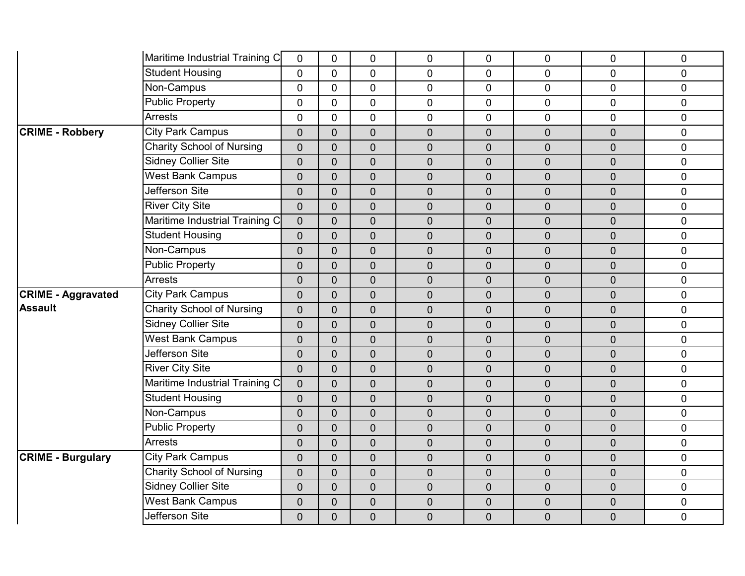|                           | Maritime Industrial Training C   | $\mathbf 0$    | $\mathbf 0$    | $\mathbf 0$    | $\mathbf 0$    | $\mathbf 0$      | 0              | $\overline{0}$ | $\mathbf 0$    |
|---------------------------|----------------------------------|----------------|----------------|----------------|----------------|------------------|----------------|----------------|----------------|
|                           | <b>Student Housing</b>           | $\overline{0}$ | $\overline{0}$ | $\overline{0}$ | $\overline{0}$ | $\mathbf{0}$     | $\overline{0}$ | $\Omega$       | $\mathbf 0$    |
|                           | Non-Campus                       | $\overline{0}$ | $\mathbf 0$    | $\mathbf 0$    | $\mathbf 0$    | $\mathbf 0$      | 0              | $\overline{0}$ | $\mathbf 0$    |
|                           | <b>Public Property</b>           | $\mathbf 0$    | 0              | $\mathbf 0$    | $\mathbf 0$    | $\mathbf 0$      | 0              | $\overline{0}$ | $\pmb{0}$      |
|                           | Arrests                          | $\overline{0}$ | $\mathbf 0$    | $\overline{0}$ | $\overline{0}$ | $\mathbf 0$      | 0              | $\overline{0}$ | $\mathbf 0$    |
| <b>CRIME - Robbery</b>    | <b>City Park Campus</b>          | $\overline{0}$ | $\overline{0}$ | $\mathbf 0$    | $\mathbf 0$    | $\mathbf 0$      | $\overline{0}$ | $\overline{0}$ | $\mathbf 0$    |
|                           | <b>Charity School of Nursing</b> | $\overline{0}$ | $\overline{0}$ | $\mathbf 0$    | $\mathbf 0$    | $\mathbf 0$      | $\overline{0}$ | $\overline{0}$ | $\mathbf 0$    |
|                           | <b>Sidney Collier Site</b>       | $\overline{0}$ | $\overline{0}$ | $\overline{0}$ | $\mathbf 0$    | $\overline{0}$   | $\overline{0}$ | $\overline{0}$ | $\mathbf 0$    |
|                           | <b>West Bank Campus</b>          | 0              | $\mathbf 0$    | $\mathbf 0$    | $\pmb{0}$      | $\boldsymbol{0}$ | $\mathbf 0$    | $\overline{0}$ | $\pmb{0}$      |
|                           | Jefferson Site                   | $\overline{0}$ | $\overline{0}$ | $\mathbf 0$    | $\mathbf 0$    | $\mathbf 0$      | $\overline{0}$ | $\overline{0}$ | $\mathbf 0$    |
|                           | <b>River City Site</b>           | $\overline{0}$ | $\overline{0}$ | $\overline{0}$ | $\mathbf 0$    | $\overline{0}$   | $\overline{0}$ | $\overline{0}$ | $\overline{0}$ |
|                           | Maritime Industrial Training C   | $\overline{0}$ | $\overline{0}$ | $\mathbf 0$    | $\mathbf 0$    | $\overline{0}$   | $\overline{0}$ | $\overline{0}$ | $\pmb{0}$      |
|                           | <b>Student Housing</b>           | $\overline{0}$ | $\overline{0}$ | $\overline{0}$ | $\overline{0}$ | $\overline{0}$   | $\overline{0}$ | $\overline{0}$ | $\pmb{0}$      |
|                           | Non-Campus                       | $\overline{0}$ | $\overline{0}$ | $\overline{0}$ | $\mathbf 0$    | $\overline{0}$   | $\overline{0}$ | $\overline{0}$ | $\mathbf 0$    |
|                           | <b>Public Property</b>           | 0              | $\overline{0}$ | $\mathbf 0$    | $\pmb{0}$      | $\mathbf 0$      | $\mathbf 0$    | $\overline{0}$ | $\pmb{0}$      |
|                           | <b>Arrests</b>                   | $\overline{0}$ | $\overline{0}$ | $\overline{0}$ | $\pmb{0}$      | $\boldsymbol{0}$ | $\overline{0}$ | $\overline{0}$ | $\pmb{0}$      |
| <b>CRIME - Aggravated</b> | <b>City Park Campus</b>          | $\overline{0}$ | $\overline{0}$ | $\overline{0}$ | $\overline{0}$ | $\overline{0}$   | $\overline{0}$ | $\overline{0}$ | $\mathbf 0$    |
| <b>Assault</b>            | <b>Charity School of Nursing</b> | $\overline{0}$ | $\overline{0}$ | $\mathbf 0$    | $\mathbf 0$    | $\overline{0}$   | $\overline{0}$ | $\overline{0}$ | $\mathbf 0$    |
|                           | <b>Sidney Collier Site</b>       | $\overline{0}$ | $\overline{0}$ | $\mathbf 0$    | $\mathbf 0$    | $\mathbf 0$      | $\overline{0}$ | $\overline{0}$ | $\mathbf 0$    |
|                           | <b>West Bank Campus</b>          | $\overline{0}$ | $\overline{0}$ | $\overline{0}$ | $\mathbf 0$    | $\overline{0}$   | $\overline{0}$ | $\overline{0}$ | $\mathbf 0$    |
|                           | Jefferson Site                   | $\overline{0}$ | $\overline{0}$ | $\mathbf 0$    | $\mathbf 0$    | $\mathbf 0$      | $\mathbf 0$    | $\overline{0}$ | $\mathbf 0$    |
|                           | <b>River City Site</b>           | $\mathbf 0$    | $\overline{0}$ | $\mathbf 0$    | $\pmb{0}$      | $\mathbf 0$      | $\overline{0}$ | $\overline{0}$ | $\pmb{0}$      |
|                           | Maritime Industrial Training C   | $\overline{0}$ | $\overline{0}$ | $\overline{0}$ | $\mathbf 0$    | $\overline{0}$   | $\overline{0}$ | $\overline{0}$ | $\mathbf 0$    |
|                           | <b>Student Housing</b>           | $\overline{0}$ | $\overline{0}$ | $\overline{0}$ | $\overline{0}$ | $\overline{0}$   | $\overline{0}$ | $\overline{0}$ | $\mathbf 0$    |
|                           | Non-Campus                       | $\overline{0}$ | $\overline{0}$ | $\mathbf 0$    | $\mathbf 0$    | $\overline{0}$   | $\overline{0}$ | $\overline{0}$ | $\mathbf 0$    |
|                           | <b>Public Property</b>           | $\overline{0}$ | $\overline{0}$ | $\mathbf 0$    | $\mathbf 0$    | $\overline{0}$   | $\overline{0}$ | $\overline{0}$ | $\mathbf 0$    |
|                           | <b>Arrests</b>                   | $\overline{0}$ | $\overline{0}$ | $\overline{0}$ | $\mathbf 0$    | $\overline{0}$   | $\overline{0}$ | $\overline{0}$ | $\mathbf 0$    |
| <b>CRIME - Burgulary</b>  | <b>City Park Campus</b>          | $\mathbf 0$    | $\overline{0}$ | $\mathbf 0$    | $\mathbf 0$    | $\pmb{0}$        | $\overline{0}$ | $\overline{0}$ | $\pmb{0}$      |
|                           | <b>Charity School of Nursing</b> | $\overline{0}$ | $\mathbf 0$    | $\mathbf 0$    | $\pmb{0}$      | $\overline{0}$   | $\overline{0}$ | $\overline{0}$ | $\pmb{0}$      |
|                           | <b>Sidney Collier Site</b>       | $\overline{0}$ | $\overline{0}$ | $\overline{0}$ | $\overline{0}$ | $\overline{0}$   | $\overline{0}$ | $\overline{0}$ | $\overline{0}$ |
|                           | <b>West Bank Campus</b>          | $\overline{0}$ | $\overline{0}$ | $\mathbf 0$    | $\mathbf 0$    | $\mathbf 0$      | $\mathbf 0$    | 0              | $\pmb{0}$      |
|                           | Jefferson Site                   | 0              | $\overline{0}$ | $\mathbf 0$    | $\mathbf 0$    | $\overline{0}$   | $\overline{0}$ | $\overline{0}$ | $\mathbf 0$    |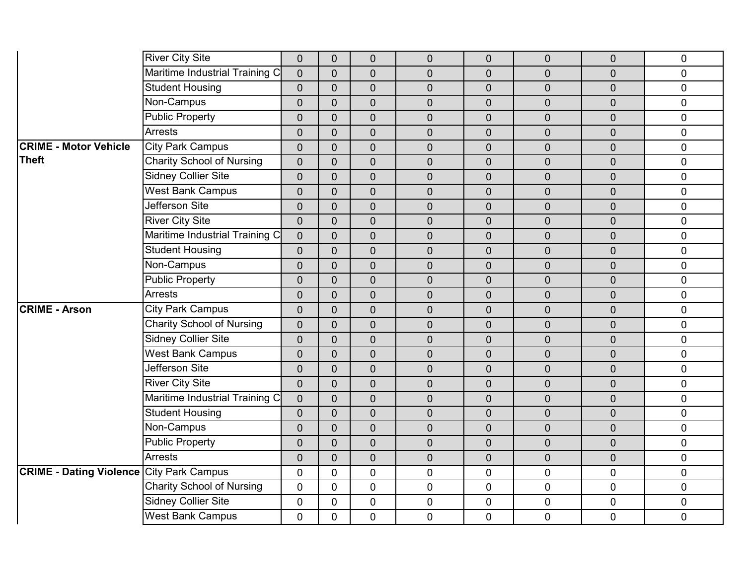|                                                 | <b>River City Site</b>                                | $\mathbf 0$    | $\mathbf{0}$   | $\mathbf 0$    | $\mathbf 0$      | $\overline{0}$ | $\overline{0}$ | $\mathbf 0$    | $\mathbf 0$  |
|-------------------------------------------------|-------------------------------------------------------|----------------|----------------|----------------|------------------|----------------|----------------|----------------|--------------|
|                                                 | Maritime Industrial Training C                        | $\overline{0}$ | $\overline{0}$ | $\overline{0}$ | $\overline{0}$   | $\overline{0}$ | 0              | $\overline{0}$ | $\mathbf{0}$ |
|                                                 | <b>Student Housing</b>                                | $\overline{0}$ | $\overline{0}$ | $\mathbf 0$    | $\mathbf 0$      | $\overline{0}$ | 0              | $\mathbf 0$    | $\mathbf 0$  |
|                                                 | Non-Campus                                            | $\overline{0}$ | $\overline{0}$ | $\mathbf 0$    | $\mathbf 0$      | $\overline{0}$ | 0              | $\mathbf 0$    | $\pmb{0}$    |
|                                                 | <b>Public Property</b>                                | $\overline{0}$ | $\overline{0}$ | $\mathbf 0$    | $\mathbf 0$      | $\overline{0}$ | 0              | $\mathbf 0$    | $\mathbf 0$  |
|                                                 | <b>Arrests</b>                                        | $\overline{0}$ | $\overline{0}$ | $\overline{0}$ | $\overline{0}$   | $\overline{0}$ | 0              | $\overline{0}$ | $\mathbf 0$  |
| <b>CRIME - Motor Vehicle</b>                    | <b>City Park Campus</b>                               | $\overline{0}$ | $\overline{0}$ | $\mathbf 0$    | $\mathbf 0$      | $\overline{0}$ | $\overline{0}$ | $\overline{0}$ | $\mathbf 0$  |
| <b>Theft</b>                                    | <b>Charity School of Nursing</b>                      | $\overline{0}$ | $\overline{0}$ | $\overline{0}$ | $\mathbf 0$      | $\overline{0}$ | 0              | $\mathbf 0$    | $\mathbf 0$  |
|                                                 | <b>Sidney Collier Site</b>                            | $\mathbf 0$    | $\Omega$       | $\mathbf 0$    | $\pmb{0}$        | $\mathbf 0$    | 0              | $\mathbf 0$    | $\pmb{0}$    |
|                                                 | <b>West Bank Campus</b>                               | $\overline{0}$ | $\overline{0}$ | $\mathbf 0$    | $\mathbf 0$      | $\overline{0}$ | 0              | $\overline{0}$ | $\mathbf 0$  |
|                                                 | <b>Jefferson Site</b>                                 | $\overline{0}$ | $\overline{0}$ | $\overline{0}$ | $\overline{0}$   | $\overline{0}$ | 0              | $\overline{0}$ | $\mathbf 0$  |
|                                                 | <b>River City Site</b>                                | $\overline{0}$ | $\overline{0}$ | $\mathbf 0$    | $\mathbf 0$      | $\overline{0}$ | $\overline{0}$ | $\mathbf 0$    | $\pmb{0}$    |
|                                                 | Maritime Industrial Training C                        | $\overline{0}$ | $\Omega$       | $\overline{0}$ | $\overline{0}$   | $\overline{0}$ | $\mathbf 0$    | $\overline{0}$ | $\pmb{0}$    |
|                                                 | <b>Student Housing</b>                                | $\overline{0}$ | $\overline{0}$ | $\overline{0}$ | $\overline{0}$   | $\overline{0}$ | 0              | $\overline{0}$ | $\mathbf 0$  |
|                                                 | Non-Campus                                            | $\mathbf 0$    | $\overline{0}$ | $\mathbf 0$    | $\mathbf 0$      | $\overline{0}$ | 0              | $\mathbf 0$    | $\pmb{0}$    |
|                                                 | <b>Public Property</b>                                | $\overline{0}$ | $\overline{0}$ | $\overline{0}$ | $\boldsymbol{0}$ | $\mathbf 0$    | 0              | $\overline{0}$ | $\pmb{0}$    |
|                                                 | <b>Arrests</b>                                        | $\overline{0}$ | $\overline{0}$ | $\overline{0}$ | $\overline{0}$   | $\overline{0}$ | $\overline{0}$ | $\overline{0}$ | $\mathbf 0$  |
| <b>CRIME - Arson</b>                            | <b>City Park Campus</b>                               | $\overline{0}$ | $\overline{0}$ | $\mathbf 0$    | $\overline{0}$   | $\overline{0}$ | 0              | $\overline{0}$ | $\mathbf 0$  |
|                                                 | <b>Charity School of Nursing</b>                      | $\overline{0}$ | $\overline{0}$ | $\mathbf 0$    | $\mathbf 0$      | $\overline{0}$ | 0              | $\mathbf 0$    | $\mathbf 0$  |
|                                                 | <b>Sidney Collier Site</b>                            | $\overline{0}$ | $\overline{0}$ | $\overline{0}$ | $\overline{0}$   | $\overline{0}$ | 0              | $\overline{0}$ | $\mathbf 0$  |
|                                                 | <b>West Bank Campus</b>                               | $\overline{0}$ | $\overline{0}$ | $\mathbf 0$    | $\mathbf 0$      | $\overline{0}$ | 0              | $\overline{0}$ | $\mathbf 0$  |
|                                                 | Jefferson Site                                        | $\mathbf 0$    | $\overline{0}$ | $\mathbf 0$    | $\mathbf 0$      | $\overline{0}$ | 0              | $\mathbf 0$    | $\pmb{0}$    |
|                                                 | <b>River City Site</b>                                | $\mathbf 0$    | $\overline{0}$ | $\overline{0}$ | $\mathbf 0$      | $\overline{0}$ | $\overline{0}$ | $\overline{0}$ | $\pmb{0}$    |
|                                                 | Maritime Industrial Training C                        | $\overline{0}$ | $\overline{0}$ | $\overline{0}$ | $\overline{0}$   | $\overline{0}$ | 0              | $\overline{0}$ | $\mathbf 0$  |
|                                                 | <b>Student Housing</b>                                | $\overline{0}$ | $\overline{0}$ | $\mathbf 0$    | $\mathbf 0$      | $\overline{0}$ | 0              | $\mathbf 0$    | $\mathbf 0$  |
|                                                 | Non-Campus                                            | $\overline{0}$ | $\overline{0}$ | $\overline{0}$ | $\mathbf 0$      | $\overline{0}$ | 0              | $\overline{0}$ | $\pmb{0}$    |
|                                                 | <b>Public Property</b>                                | $\overline{0}$ | $\overline{0}$ | $\overline{0}$ | $\mathbf 0$      | $\overline{0}$ | 0              | $\overline{0}$ | $\mathbf 0$  |
|                                                 | <b>Arrests</b>                                        | $\mathbf 0$    | $\overline{0}$ | $\mathbf 0$    | $\mathbf 0$      | $\overline{0}$ | $\overline{0}$ | $\mathbf 0$    | $\pmb{0}$    |
|                                                 |                                                       | $\mathbf 0$    | $\overline{0}$ | $\mathbf 0$    | $\mathbf 0$      | $\mathbf 0$    | 0              | $\mathbf 0$    | $\pmb{0}$    |
| <b>CRIME - Dating Violence City Park Campus</b> |                                                       |                |                |                |                  |                |                |                |              |
|                                                 | <b>Charity School of Nursing</b>                      | $\overline{0}$ | $\overline{0}$ | $\overline{0}$ | $\overline{0}$   | $\overline{0}$ | 0              | $\overline{0}$ | $\pmb{0}$    |
|                                                 | <b>Sidney Collier Site</b><br><b>West Bank Campus</b> | $\mathbf 0$    | $\overline{0}$ | $\mathbf 0$    | $\mathbf 0$      | $\mathbf 0$    | 0              | $\mathbf 0$    | $\pmb{0}$    |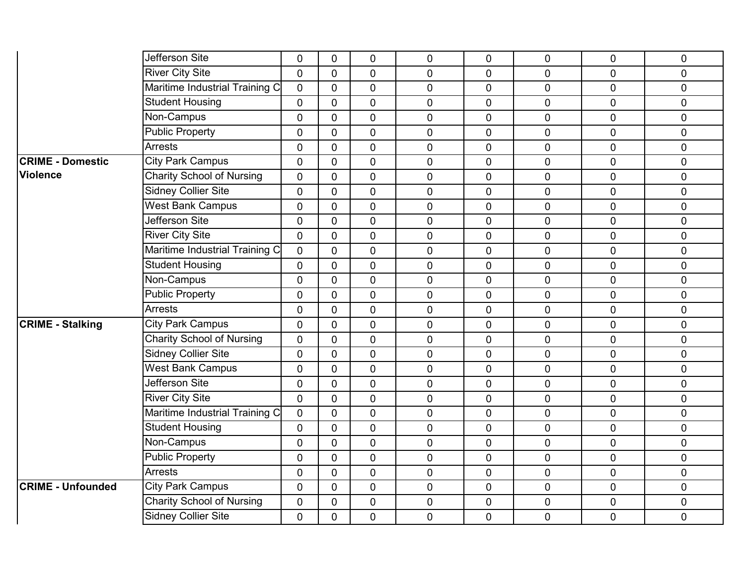|                          | Jefferson Site                   | $\mathbf 0$ | 0              | $\mathbf 0$    | 0              | 0              | 0              | $\mathbf 0$    | 0           |
|--------------------------|----------------------------------|-------------|----------------|----------------|----------------|----------------|----------------|----------------|-------------|
|                          | <b>River City Site</b>           | $\Omega$    | $\Omega$       | $\overline{0}$ | $\overline{0}$ | $\overline{0}$ | 0              | $\Omega$       | $\mathbf 0$ |
|                          | Maritime Industrial Training C   | $\mathbf 0$ | $\overline{0}$ | $\overline{0}$ | $\pmb{0}$      | 0              | $\mathbf 0$    | $\mathbf 0$    | $\pmb{0}$   |
|                          | <b>Student Housing</b>           | $\mathbf 0$ | $\overline{0}$ | $\mathbf 0$    | $\mathbf 0$    | $\overline{0}$ | $\mathbf 0$    | $\mathbf 0$    | $\mathbf 0$ |
|                          | Non-Campus                       | $\mathbf 0$ | $\overline{0}$ | $\overline{0}$ | $\overline{0}$ | $\overline{0}$ | 0              | $\mathbf 0$    | $\mathbf 0$ |
|                          | <b>Public Property</b>           | $\mathbf 0$ | $\overline{0}$ | $\mathbf 0$    | $\mathbf 0$    | 0              | $\pmb{0}$      | $\mathbf 0$    | $\pmb{0}$   |
|                          | <b>Arrests</b>                   | $\Omega$    | $\overline{0}$ | $\overline{0}$ | $\overline{0}$ | $\overline{0}$ | $\mathbf 0$    | $\Omega$       | $\mathbf 0$ |
| <b>CRIME - Domestic</b>  | <b>City Park Campus</b>          | $\Omega$    | $\overline{0}$ | $\overline{0}$ | $\overline{0}$ | $\overline{0}$ | $\mathbf 0$    | $\Omega$       | $\mathbf 0$ |
| <b>Violence</b>          | <b>Charity School of Nursing</b> | $\mathbf 0$ | $\overline{0}$ | $\mathbf 0$    | $\pmb{0}$      | 0              | $\pmb{0}$      | $\mathbf 0$    | $\pmb{0}$   |
|                          | <b>Sidney Collier Site</b>       | $\mathbf 0$ | $\overline{0}$ | $\mathbf 0$    | $\mathbf 0$    | 0              | $\mathbf 0$    | $\mathbf 0$    | $\pmb{0}$   |
|                          | <b>West Bank Campus</b>          | $\Omega$    | $\overline{0}$ | $\overline{0}$ | $\overline{0}$ | $\overline{0}$ | 0              | $\Omega$       | $\mathbf 0$ |
|                          | Jefferson Site                   | $\mathbf 0$ | $\mathbf 0$    | $\mathbf 0$    | $\mathbf 0$    | 0              | $\mathbf 0$    | $\mathbf 0$    | $\mathbf 0$ |
|                          | <b>River City Site</b>           | $\mathbf 0$ | $\overline{0}$ | $\overline{0}$ | $\overline{0}$ | $\overline{0}$ | $\mathbf 0$    | $\mathbf 0$    | $\mathbf 0$ |
|                          | Maritime Industrial Training C   | $\Omega$    | $\mathbf{0}$   | $\overline{0}$ | $\mathbf{0}$   | 0              | $\mathbf 0$    | $\Omega$       | $\mathbf 0$ |
|                          | <b>Student Housing</b>           | $\mathbf 0$ | $\mathbf 0$    | $\overline{0}$ | $\mathbf 0$    | $\overline{0}$ | $\overline{0}$ | $\overline{0}$ | $\mathbf 0$ |
|                          | Non-Campus                       | $\mathbf 0$ | $\overline{0}$ | $\mathbf 0$    | $\mathbf 0$    | 0              | $\mathbf 0$    | $\mathbf 0$    | $\pmb{0}$   |
|                          | <b>Public Property</b>           | $\mathbf 0$ | $\overline{0}$ | $\mathbf 0$    | $\overline{0}$ | 0              | 0              | $\mathbf 0$    | $\mathbf 0$ |
|                          | <b>Arrests</b>                   | $\Omega$    | $\Omega$       | $\mathbf 0$    | $\mathbf 0$    | 0              | $\mathbf 0$    | $\overline{0}$ | $\pmb{0}$   |
| <b>CRIME - Stalking</b>  | <b>City Park Campus</b>          | $\Omega$    | $\Omega$       | $\overline{0}$ | $\mathbf 0$    | $\overline{0}$ | $\mathbf 0$    | $\Omega$       | $\mathbf 0$ |
|                          | <b>Charity School of Nursing</b> | $\mathbf 0$ | $\overline{0}$ | $\overline{0}$ | $\overline{0}$ | $\overline{0}$ | $\mathbf 0$    | $\overline{0}$ | $\mathbf 0$ |
|                          | <b>Sidney Collier Site</b>       | $\mathbf 0$ | $\overline{0}$ | $\mathbf 0$    | $\mathbf 0$    | 0              | $\pmb{0}$      | $\mathbf 0$    | $\pmb{0}$   |
|                          | <b>West Bank Campus</b>          | $\mathbf 0$ | $\overline{0}$ | $\mathbf 0$    | $\pmb{0}$      | $\mathbf 0$    | $\pmb{0}$      | $\mathbf 0$    | $\mathbf 0$ |
|                          | Jefferson Site                   | $\mathbf 0$ | $\overline{0}$ | $\overline{0}$ | $\overline{0}$ | $\overline{0}$ | 0              | $\overline{0}$ | $\mathbf 0$ |
|                          | <b>River City Site</b>           | $\mathbf 0$ | $\overline{0}$ | $\overline{0}$ | $\mathbf 0$    | $\overline{0}$ | $\mathbf 0$    | $\overline{0}$ | $\mathbf 0$ |
|                          | Maritime Industrial Training C   | $\mathbf 0$ | $\overline{0}$ | $\mathbf 0$    | $\mathbf 0$    | $\mathbf 0$    | $\mathbf 0$    | $\mathbf 0$    | $\mathbf 0$ |
|                          | <b>Student Housing</b>           | $\mathbf 0$ | $\mathbf{0}$   | $\mathbf 0$    | $\mathbf 0$    | 0              | $\mathbf 0$    | $\overline{0}$ | $\pmb{0}$   |
|                          | Non-Campus                       | $\mathbf 0$ | $\mathbf 0$    | $\overline{0}$ | $\mathbf 0$    | $\overline{0}$ | $\mathbf 0$    | $\mathbf 0$    | $\mathbf 0$ |
|                          | <b>Public Property</b>           | $\mathbf 0$ | $\overline{0}$ | $\mathbf 0$    | $\mathbf 0$    | $\mathbf 0$    | $\pmb{0}$      | $\mathbf 0$    | $\pmb{0}$   |
|                          | <b>Arrests</b>                   | $\mathbf 0$ | $\overline{0}$ | $\mathbf 0$    | $\mathbf 0$    | 0              | $\mathbf 0$    | $\mathbf 0$    | $\pmb{0}$   |
| <b>CRIME - Unfounded</b> | <b>City Park Campus</b>          | $\mathbf 0$ | $\overline{0}$ | $\overline{0}$ | $\overline{0}$ | $\overline{0}$ | $\pmb{0}$      | $\mathbf 0$    | $\pmb{0}$   |
|                          | Charity School of Nursing        | $\mathbf 0$ | $\overline{0}$ | $\overline{0}$ | $\mathbf 0$    | 0              | $\mathbf 0$    | $\mathbf{0}$   | $\mathbf 0$ |
|                          | <b>Sidney Collier Site</b>       | 0           | 0              | $\mathbf 0$    | $\mathbf 0$    | 0              | $\mathbf 0$    | 0              | $\mathbf 0$ |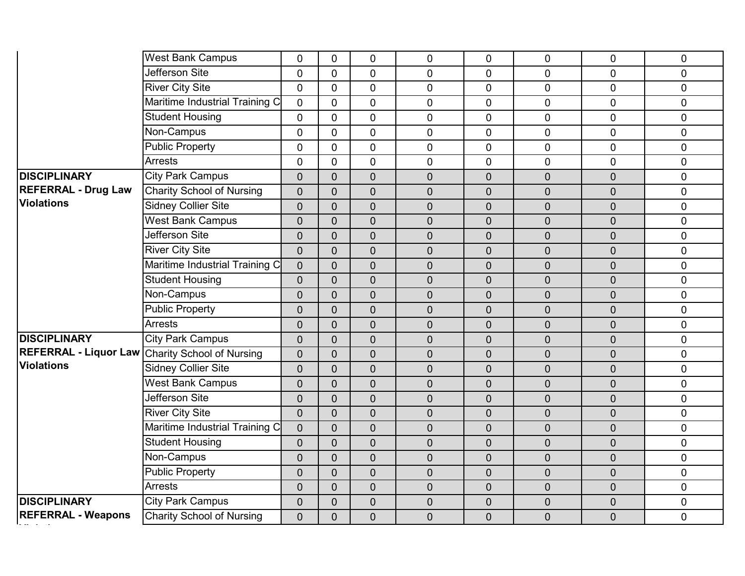|                                                        | <b>West Bank Campus</b>          | $\mathbf 0$    | $\overline{0}$ | $\mathbf 0$    | $\mathbf 0$    | 0              | 0              | $\mathbf 0$    | 0              |
|--------------------------------------------------------|----------------------------------|----------------|----------------|----------------|----------------|----------------|----------------|----------------|----------------|
|                                                        | Jefferson Site                   | $\overline{0}$ | $\overline{0}$ | $\overline{0}$ | $\overline{0}$ | $\overline{0}$ | $\overline{0}$ | $\overline{0}$ | $\overline{0}$ |
|                                                        | <b>River City Site</b>           | $\overline{0}$ | $\mathbf 0$    | $\mathbf 0$    | 0              | $\mathbf 0$    | 0              | $\overline{0}$ | $\pmb{0}$      |
|                                                        | Maritime Industrial Training C   | 0              | $\overline{0}$ | 0              | $\mathbf 0$    | $\mathbf 0$    | 0              | $\mathbf 0$    | $\mathbf 0$    |
|                                                        | <b>Student Housing</b>           | $\overline{0}$ | $\mathbf{0}$   | $\overline{0}$ | $\overline{0}$ | 0              | $\overline{0}$ | $\mathbf 0$    | $\mathbf 0$    |
|                                                        | Non-Campus                       | $\overline{0}$ | $\mathbf{0}$   | $\mathbf 0$    | $\overline{0}$ | $\overline{0}$ | 0              | $\mathbf 0$    | $\mathbf 0$    |
|                                                        | <b>Public Property</b>           | $\overline{0}$ | $\mathbf{0}$   | $\Omega$       | 0              | $\mathbf 0$    | $\overline{0}$ | $\mathbf 0$    | $\pmb{0}$      |
|                                                        | <b>Arrests</b>                   | $\overline{0}$ | $\Omega$       | $\mathbf 0$    | $\overline{0}$ | $\overline{0}$ | 0              | $\overline{0}$ | $\mathbf 0$    |
| <b>DISCIPLINARY</b>                                    | <b>City Park Campus</b>          | $\overline{0}$ | $\overline{0}$ | $\overline{0}$ | $\overline{0}$ | $\overline{0}$ | 0              | $\overline{0}$ | $\mathbf 0$    |
| <b>REFERRAL - Drug Law</b>                             | <b>Charity School of Nursing</b> | $\overline{0}$ | $\Omega$       | $\overline{0}$ | $\overline{0}$ | $\overline{0}$ | $\overline{0}$ | $\overline{0}$ | $\pmb{0}$      |
| <b>Violations</b>                                      | <b>Sidney Collier Site</b>       | $\overline{0}$ | $\overline{0}$ | $\overline{0}$ | $\overline{0}$ | $\overline{0}$ | $\mathbf 0$    | $\overline{0}$ | $\pmb{0}$      |
|                                                        | <b>West Bank Campus</b>          | $\overline{0}$ | $\overline{0}$ | $\overline{0}$ | $\overline{0}$ | $\overline{0}$ | $\overline{0}$ | $\overline{0}$ | $\mathbf 0$    |
|                                                        | <b>Jefferson Site</b>            | $\overline{0}$ | $\overline{0}$ | $\overline{0}$ | $\overline{0}$ | $\overline{0}$ | $\mathbf 0$    | $\overline{0}$ | $\pmb{0}$      |
|                                                        | <b>River City Site</b>           | $\overline{0}$ | $\overline{0}$ | $\overline{0}$ | $\overline{0}$ | $\overline{0}$ | $\overline{0}$ | $\overline{0}$ | $\pmb{0}$      |
|                                                        | Maritime Industrial Training C   | $\overline{0}$ | $\overline{0}$ | $\overline{0}$ | $\overline{0}$ | $\overline{0}$ | $\overline{0}$ | $\overline{0}$ | $\mathbf 0$    |
|                                                        | <b>Student Housing</b>           | $\overline{0}$ | $\overline{0}$ | $\overline{0}$ | $\overline{0}$ | $\overline{0}$ | 0              | $\overline{0}$ | $\mathbf 0$    |
|                                                        | Non-Campus                       | $\overline{0}$ | $\overline{0}$ | $\overline{0}$ | $\overline{0}$ | $\overline{0}$ | $\overline{0}$ | $\overline{0}$ | $\mathbf 0$    |
|                                                        | <b>Public Property</b>           | $\overline{0}$ | $\overline{0}$ | $\overline{0}$ | $\mathbf 0$    | $\mathbf 0$    | 0              | $\overline{0}$ | $\pmb{0}$      |
|                                                        | <b>Arrests</b>                   | $\overline{0}$ | $\overline{0}$ | $\overline{0}$ | $\overline{0}$ | $\overline{0}$ | $\overline{0}$ | $\overline{0}$ | $\mathbf 0$    |
| <b>DISCIPLINARY</b>                                    | <b>City Park Campus</b>          | $\overline{0}$ | $\overline{0}$ | $\overline{0}$ | $\overline{0}$ | $\overline{0}$ | $\overline{0}$ | $\overline{0}$ | $\mathbf 0$    |
| <b>REFERRAL - Liquor Law Charity School of Nursing</b> |                                  | $\overline{0}$ | $\overline{0}$ | $\overline{0}$ | $\overline{0}$ | $\overline{0}$ | $\overline{0}$ | $\overline{0}$ | $\mathbf 0$    |
| <b>Violations</b>                                      | <b>Sidney Collier Site</b>       | $\overline{0}$ | $\overline{0}$ | $\overline{0}$ | $\mathbf 0$    | $\overline{0}$ | 0              | $\overline{0}$ | $\pmb{0}$      |
|                                                        | <b>West Bank Campus</b>          | $\overline{0}$ | $\overline{0}$ | $\overline{0}$ | $\overline{0}$ | $\overline{0}$ | $\overline{0}$ | $\overline{0}$ | $\mathbf 0$    |
|                                                        | <b>Jefferson Site</b>            | $\overline{0}$ | $\overline{0}$ | $\overline{0}$ | $\mathbf 0$    | $\overline{0}$ | $\overline{0}$ | $\mathbf 0$    | $\pmb{0}$      |
|                                                        | <b>River City Site</b>           | $\overline{0}$ | $\overline{0}$ | $\overline{0}$ | $\mathbf 0$    | $\overline{0}$ | $\overline{0}$ | $\overline{0}$ | $\pmb{0}$      |
|                                                        | Maritime Industrial Training C   | $\overline{0}$ | $\overline{0}$ | $\mathbf 0$    | $\overline{0}$ | $\overline{0}$ | 0              | $\mathbf 0$    | $\pmb{0}$      |
|                                                        | <b>Student Housing</b>           | $\overline{0}$ | $\overline{0}$ | $\overline{0}$ | $\mathbf 0$    | $\overline{0}$ | $\overline{0}$ | $\overline{0}$ | $\overline{0}$ |
|                                                        | Non-Campus                       | $\overline{0}$ | $\overline{0}$ | $\overline{0}$ | $\overline{0}$ | $\overline{0}$ | $\overline{0}$ | $\overline{0}$ | $\pmb{0}$      |
|                                                        | <b>Public Property</b>           | $\overline{0}$ | $\overline{0}$ | $\overline{0}$ | $\mathbf 0$    | $\overline{0}$ | $\overline{0}$ | $\overline{0}$ | $\mathbf 0$    |
|                                                        | <b>Arrests</b>                   | $\overline{0}$ | $\overline{0}$ | $\overline{0}$ | $\overline{0}$ | $\overline{0}$ | $\overline{0}$ | $\overline{0}$ | $\mathbf 0$    |
| <b>DISCIPLINARY</b>                                    | <b>City Park Campus</b>          | $\overline{0}$ | $\overline{0}$ | $\overline{0}$ | $\mathbf 0$    | $\overline{0}$ | $\mathbf 0$    | $\overline{0}$ | $\pmb{0}$      |
| <b>REFERRAL - Weapons</b>                              | <b>Charity School of Nursing</b> | $\overline{0}$ | $\overline{0}$ | $\overline{0}$ | $\overline{0}$ | $\overline{0}$ | $\overline{0}$ | $\overline{0}$ | $\mathbf 0$    |
|                                                        |                                  |                |                |                |                |                |                |                |                |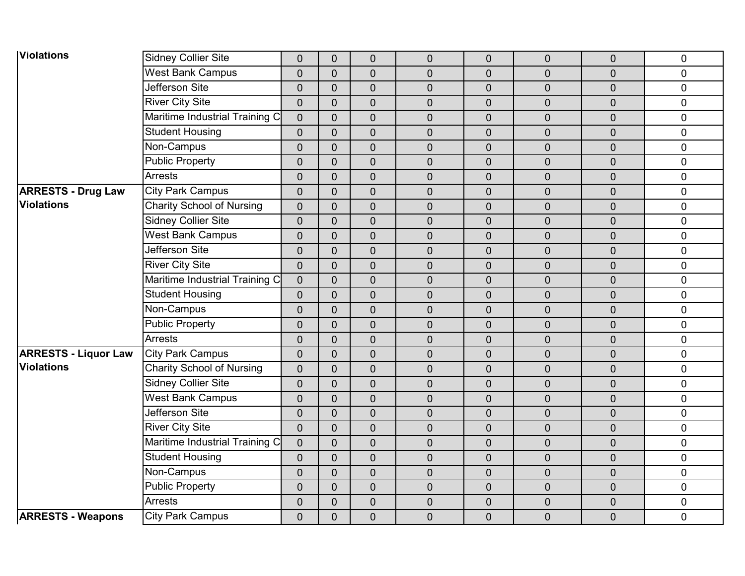| <b>Violations</b>           | <b>Sidney Collier Site</b>       | $\mathbf 0$    | $\overline{0}$ | $\overline{0}$   | $\mathbf 0$    | $\mathbf 0$    | $\mathbf 0$    | $\mathbf 0$      | $\mathbf 0$ |
|-----------------------------|----------------------------------|----------------|----------------|------------------|----------------|----------------|----------------|------------------|-------------|
|                             | <b>West Bank Campus</b>          | $\overline{0}$ | $\overline{0}$ | $\overline{0}$   | $\overline{0}$ | $\overline{0}$ | $\overline{0}$ | $\overline{0}$   | $\mathbf 0$ |
|                             | Jefferson Site                   | $\overline{0}$ | $\overline{0}$ | $\overline{0}$   | $\overline{0}$ | $\overline{0}$ | $\overline{0}$ | $\mathbf 0$      | $\pmb{0}$   |
|                             | <b>River City Site</b>           | $\overline{0}$ | $\overline{0}$ | $\boldsymbol{0}$ | $\pmb{0}$      | $\pmb{0}$      | $\overline{0}$ | $\overline{0}$   | $\pmb{0}$   |
|                             | Maritime Industrial Training C   | $\overline{0}$ | $\overline{0}$ | $\overline{0}$   | $\overline{0}$ | $\mathbf 0$    | $\overline{0}$ | $\overline{0}$   | $\mathbf 0$ |
|                             | <b>Student Housing</b>           | $\overline{0}$ | $\overline{0}$ | $\mathbf 0$      | $\mathbf 0$    | $\mathbf 0$    | $\mathbf 0$    | $\mathbf 0$      | $\pmb{0}$   |
|                             | Non-Campus                       | $\overline{0}$ | $\overline{0}$ | $\overline{0}$   | $\mathbf 0$    | $\overline{0}$ | $\overline{0}$ | $\overline{0}$   | $\mathbf 0$ |
|                             | <b>Public Property</b>           | $\overline{0}$ | $\overline{0}$ | $\overline{0}$   | $\overline{0}$ | $\overline{0}$ | $\overline{0}$ | $\overline{0}$   | $\mathbf 0$ |
|                             | <b>Arrests</b>                   | $\overline{0}$ | $\overline{0}$ | $\overline{0}$   | $\pmb{0}$      | $\overline{0}$ | $\mathbf 0$    | $\mathbf 0$      | $\pmb{0}$   |
| <b>ARRESTS - Drug Law</b>   | <b>City Park Campus</b>          | $\overline{0}$ | $\overline{0}$ | $\overline{0}$   | $\mathbf 0$    | $\mathbf{0}$   | $\overline{0}$ | $\mathbf 0$      | $\mathbf 0$ |
| <b>Violations</b>           | <b>Charity School of Nursing</b> | $\overline{0}$ | $\overline{0}$ | $\overline{0}$   | $\overline{0}$ | $\overline{0}$ | $\overline{0}$ | $\overline{0}$   | $\mathbf 0$ |
|                             | <b>Sidney Collier Site</b>       | $\overline{0}$ | $\overline{0}$ | $\mathbf 0$      | $\mathbf 0$    | $\mathbf 0$    | $\overline{0}$ | $\mathbf 0$      | $\pmb{0}$   |
|                             | <b>West Bank Campus</b>          | $\overline{0}$ | $\overline{0}$ | $\overline{0}$   | $\mathbf 0$    | $\mathbf{0}$   | $\overline{0}$ | $\overline{0}$   | $\mathbf 0$ |
|                             | Jefferson Site                   | $\overline{0}$ | $\overline{0}$ | $\overline{0}$   | $\mathbf 0$    | $\mathbf 0$    | $\overline{0}$ | $\overline{0}$   | $\mathbf 0$ |
|                             | <b>River City Site</b>           | $\overline{0}$ | $\overline{0}$ | $\overline{0}$   | $\mathbf 0$    | $\overline{0}$ | $\overline{0}$ | $\overline{0}$   | $\mathbf 0$ |
|                             | Maritime Industrial Training C   | $\mathbf 0$    | $\overline{0}$ | $\overline{0}$   | $\mathbf 0$    | $\mathbf 0$    | $\mathbf 0$    | $\overline{0}$   | $\pmb{0}$   |
|                             | <b>Student Housing</b>           | $\mathbf 0$    | $\overline{0}$ | $\overline{0}$   | $\overline{0}$ | $\mathbf 0$    | $\mathbf 0$    | $\overline{0}$   | $\mathbf 0$ |
|                             | Non-Campus                       | $\overline{0}$ | $\overline{0}$ | $\overline{0}$   | $\overline{0}$ | $\overline{0}$ | $\overline{0}$ | $\overline{0}$   | $\mathbf 0$ |
|                             | <b>Public Property</b>           | $\overline{0}$ | $\overline{0}$ | $\overline{0}$   | $\mathbf 0$    | $\mathbf 0$    | $\mathbf 0$    | $\overline{0}$   | $\mathbf 0$ |
|                             | <b>Arrests</b>                   | $\overline{0}$ | $\overline{0}$ | $\overline{0}$   | $\overline{0}$ | $\mathbf 0$    | $\mathbf 0$    | $\overline{0}$   | $\mathbf 0$ |
| <b>ARRESTS - Liquor Law</b> | <b>City Park Campus</b>          | $\overline{0}$ | $\overline{0}$ | $\overline{0}$   | $\mathbf 0$    | $\overline{0}$ | $\mathbf 0$    | $\overline{0}$   | $\mathbf 0$ |
| <b>Violations</b>           | <b>Charity School of Nursing</b> | $\overline{0}$ | $\overline{0}$ | $\overline{0}$   | $\mathbf 0$    | $\mathbf 0$    | $\mathbf 0$    | $\overline{0}$   | $\pmb{0}$   |
|                             | <b>Sidney Collier Site</b>       | $\overline{0}$ | $\overline{0}$ | $\overline{0}$   | $\overline{0}$ | $\overline{0}$ | $\overline{0}$ | $\overline{0}$   | $\pmb{0}$   |
|                             | <b>West Bank Campus</b>          | $\overline{0}$ | $\overline{0}$ | $\mathbf 0$      | $\mathbf 0$    | $\overline{0}$ | $\overline{0}$ | $\overline{0}$   | $\mathbf 0$ |
|                             | Jefferson Site                   | $\overline{0}$ | $\overline{0}$ | $\overline{0}$   | $\mathbf 0$    | $\mathbf 0$    | $\mathbf 0$    | $\overline{0}$   | $\mathbf 0$ |
|                             | <b>River City Site</b>           | $\overline{0}$ | $\overline{0}$ | $\overline{0}$   | $\overline{0}$ | $\overline{0}$ | $\overline{0}$ | $\overline{0}$   | $\mathbf 0$ |
|                             | Maritime Industrial Training C   | $\mathbf 0$    | $\overline{0}$ | $\overline{0}$   | $\mathbf 0$    | $\overline{0}$ | $\mathbf 0$    | $\overline{0}$   | $\pmb{0}$   |
|                             | <b>Student Housing</b>           | $\overline{0}$ | $\overline{0}$ | $\mathbf 0$      | $\pmb{0}$      | $\pmb{0}$      | $\mathbf 0$    | $\mathbf 0$      | $\pmb{0}$   |
|                             | Non-Campus                       | $\overline{0}$ | $\overline{0}$ | $\mathbf 0$      | $\mathbf 0$    | $\mathbf 0$    | $\overline{0}$ | 0                | $\mathbf 0$ |
|                             | <b>Public Property</b>           | $\overline{0}$ | $\overline{0}$ | $\mathbf 0$      | $\mathbf 0$    | $\mathbf 0$    | $\overline{0}$ | $\mathbf 0$      | $\mathbf 0$ |
|                             | <b>Arrests</b>                   | $\overline{0}$ | $\overline{0}$ | $\boldsymbol{0}$ | $\pmb{0}$      | $\pmb{0}$      | $\mathbf 0$    | $\boldsymbol{0}$ | $\pmb{0}$   |
| <b>ARRESTS - Weapons</b>    | <b>City Park Campus</b>          | $\overline{0}$ | $\overline{0}$ | $\overline{0}$   | $\mathbf 0$    | $\mathbf{0}$   | $\overline{0}$ | 0                | $\mathbf 0$ |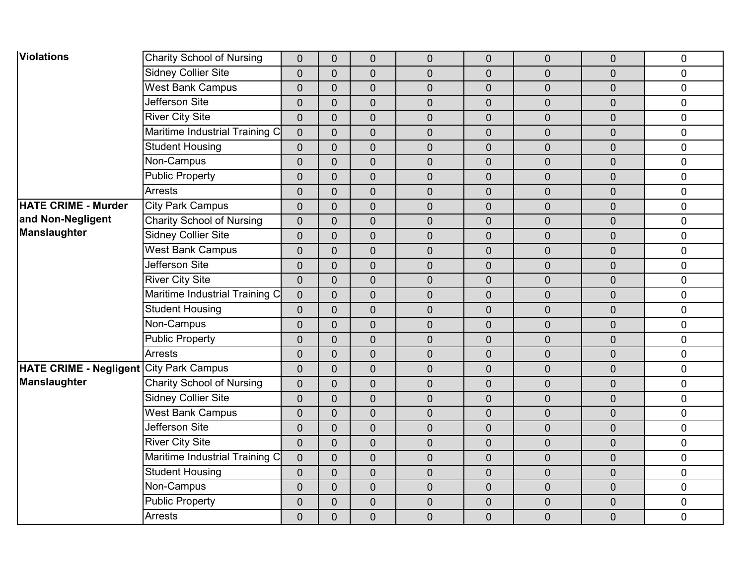| <b>Violations</b>                              | <b>Charity School of Nursing</b> | $\overline{0}$ | $\mathbf 0$    | $\mathbf 0$      | $\mathbf 0$      | $\overline{0}$ | $\overline{0}$ | $\mathbf 0$    | $\pmb{0}$   |
|------------------------------------------------|----------------------------------|----------------|----------------|------------------|------------------|----------------|----------------|----------------|-------------|
|                                                | <b>Sidney Collier Site</b>       | $\overline{0}$ | $\overline{0}$ | $\overline{0}$   | $\overline{0}$   | $\overline{0}$ | 0              | $\overline{0}$ | $\mathbf 0$ |
|                                                | <b>West Bank Campus</b>          | $\overline{0}$ | $\overline{0}$ | $\mathbf 0$      | $\mathbf 0$      | $\overline{0}$ | 0              | $\overline{0}$ | $\pmb{0}$   |
|                                                | Jefferson Site                   | $\overline{0}$ | $\overline{0}$ | $\overline{0}$   | $\boldsymbol{0}$ | $\mathbf 0$    | 0              | $\overline{0}$ | $\pmb{0}$   |
|                                                | <b>River City Site</b>           | $\overline{0}$ | $\overline{0}$ | $\overline{0}$   | $\overline{0}$   | $\overline{0}$ | $\overline{0}$ | $\overline{0}$ | $\mathbf 0$ |
|                                                | Maritime Industrial Training C   | $\overline{0}$ | $\overline{0}$ | $\mathbf 0$      | $\mathbf 0$      | $\overline{0}$ | $\overline{0}$ | $\overline{0}$ | $\pmb{0}$   |
|                                                | <b>Student Housing</b>           | $\overline{0}$ | $\overline{0}$ | $\overline{0}$   | $\overline{0}$   | $\overline{0}$ | $\overline{0}$ | $\overline{0}$ | $\mathbf 0$ |
|                                                | Non-Campus                       | $\overline{0}$ | $\overline{0}$ | $\overline{0}$   | $\overline{0}$   | $\overline{0}$ | $\overline{0}$ | $\overline{0}$ | $\mathbf 0$ |
|                                                | <b>Public Property</b>           | $\overline{0}$ | $\mathbf 0$    | $\mathbf 0$      | $\boldsymbol{0}$ | $\mathbf 0$    | 0              | $\overline{0}$ | $\pmb{0}$   |
|                                                | <b>Arrests</b>                   | $\overline{0}$ | $\overline{0}$ | $\mathbf 0$      | $\mathbf 0$      | $\overline{0}$ | $\overline{0}$ | $\mathbf 0$    | $\pmb{0}$   |
| <b>HATE CRIME - Murder</b>                     | <b>City Park Campus</b>          | $\overline{0}$ | $\overline{0}$ | $\overline{0}$   | $\overline{0}$   | $\overline{0}$ | $\overline{0}$ | $\overline{0}$ | $\mathbf 0$ |
| and Non-Negligent                              | <b>Charity School of Nursing</b> | $\overline{0}$ | $\mathbf 0$    | $\mathbf 0$      | $\mathbf 0$      | $\overline{0}$ | $\overline{0}$ | $\overline{0}$ | $\pmb{0}$   |
| Manslaughter                                   | <b>Sidney Collier Site</b>       | $\overline{0}$ | $\overline{0}$ | $\mathbf 0$      | $\mathbf 0$      | $\overline{0}$ | $\overline{0}$ | $\overline{0}$ | $\mathbf 0$ |
|                                                | <b>West Bank Campus</b>          | $\overline{0}$ | $\overline{0}$ | $\overline{0}$   | $\mathbf 0$      | $\overline{0}$ | $\overline{0}$ | $\overline{0}$ | $\mathbf 0$ |
|                                                | Jefferson Site                   | $\overline{0}$ | $\overline{0}$ | $\overline{0}$   | $\mathbf 0$      | $\overline{0}$ | $\overline{0}$ | $\overline{0}$ | $\mathbf 0$ |
|                                                | <b>River City Site</b>           | $\mathbf 0$    | $\overline{0}$ | $\mathbf 0$      | $\mathbf 0$      | $\overline{0}$ | $\mathbf 0$    | $\mathbf 0$    | $\pmb{0}$   |
|                                                | Maritime Industrial Training C   | $\overline{0}$ | $\overline{0}$ | $\mathbf 0$      | $\overline{0}$   | $\overline{0}$ | $\overline{0}$ | $\overline{0}$ | $\pmb{0}$   |
|                                                | <b>Student Housing</b>           | $\overline{0}$ | $\overline{0}$ | $\overline{0}$   | $\overline{0}$   | $\overline{0}$ | $\overline{0}$ | $\overline{0}$ | $\mathbf 0$ |
|                                                | Non-Campus                       | $\overline{0}$ | $\overline{0}$ | $\mathbf 0$      | $\mathbf 0$      | $\overline{0}$ | $\overline{0}$ | $\overline{0}$ | $\mathbf 0$ |
|                                                | <b>Public Property</b>           | $\overline{0}$ | $\overline{0}$ | $\mathbf 0$      | $\mathbf 0$      | $\overline{0}$ | $\mathbf 0$    | $\overline{0}$ | $\pmb{0}$   |
|                                                | <b>Arrests</b>                   | $\overline{0}$ | $\overline{0}$ | $\mathbf 0$      | $\mathbf 0$      | $\overline{0}$ | $\overline{0}$ | $\overline{0}$ | $\mathbf 0$ |
| <b>HATE CRIME - Negligent City Park Campus</b> |                                  | $\overline{0}$ | $\overline{0}$ | $\mathbf 0$      | $\mathbf 0$      | $\overline{0}$ | $\mathbf 0$    | $\mathbf 0$    | $\pmb{0}$   |
| <b>Manslaughter</b>                            | <b>Charity School of Nursing</b> | $\overline{0}$ | $\overline{0}$ | $\overline{0}$   | $\overline{0}$   | $\overline{0}$ | $\overline{0}$ | $\overline{0}$ | $\pmb{0}$   |
|                                                | <b>Sidney Collier Site</b>       | $\overline{0}$ | $\overline{0}$ | $\overline{0}$   | $\overline{0}$   | $\overline{0}$ | $\overline{0}$ | $\overline{0}$ | $\mathbf 0$ |
|                                                | <b>West Bank Campus</b>          | $\overline{0}$ | $\overline{0}$ | $\mathbf 0$      | $\mathbf 0$      | $\overline{0}$ | $\overline{0}$ | $\overline{0}$ | $\pmb{0}$   |
|                                                | <b>Jefferson Site</b>            | $\overline{0}$ | $\overline{0}$ | $\overline{0}$   | $\overline{0}$   | $\overline{0}$ | $\overline{0}$ | $\overline{0}$ | $\mathbf 0$ |
|                                                | <b>River City Site</b>           | $\overline{0}$ | $\overline{0}$ | $\mathbf 0$      | $\mathbf 0$      | $\overline{0}$ | $\mathbf 0$    | $\overline{0}$ | $\pmb{0}$   |
|                                                | Maritime Industrial Training C   | $\overline{0}$ | $\overline{0}$ | $\mathbf 0$      | $\boldsymbol{0}$ | $\mathbf 0$    | $\mathbf 0$    | $\mathbf 0$    | $\pmb{0}$   |
|                                                | <b>Student Housing</b>           | $\mathbf 0$    | $\overline{0}$ | $\mathbf 0$      | $\mathbf 0$      | $\overline{0}$ | $\overline{0}$ | $\overline{0}$ | $\mathbf 0$ |
|                                                | Non-Campus                       | $\overline{0}$ | $\overline{0}$ | $\mathbf 0$      | $\mathbf 0$      | $\overline{0}$ | $\overline{0}$ | $\mathbf 0$    | $\mathbf 0$ |
|                                                | <b>Public Property</b>           | $\overline{0}$ | $\overline{0}$ | $\boldsymbol{0}$ | $\boldsymbol{0}$ | $\mathbf 0$    | 0              | $\mathbf 0$    | $\pmb{0}$   |
|                                                | <b>Arrests</b>                   | $\mathbf 0$    | 0              | $\mathbf 0$      | $\mathbf 0$      | $\overline{0}$ | $\overline{0}$ | $\overline{0}$ | $\mathbf 0$ |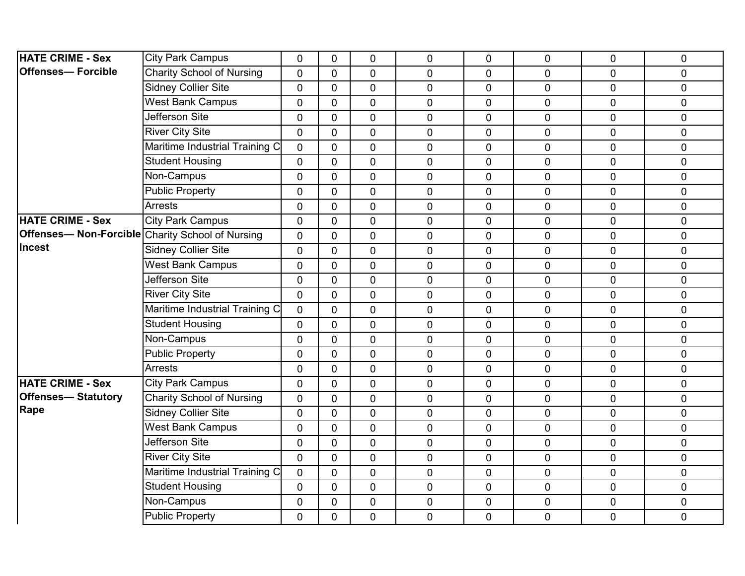| <b>HATE CRIME - Sex</b>                                  | <b>City Park Campus</b>          | $\Omega$       | $\mathbf{0}$   | $\mathbf 0$    | $\mathbf 0$    | $\mathbf 0$    | 0              | $\Omega$       | $\pmb{0}$   |
|----------------------------------------------------------|----------------------------------|----------------|----------------|----------------|----------------|----------------|----------------|----------------|-------------|
| <b>Offenses— Forcible</b>                                | <b>Charity School of Nursing</b> | $\overline{0}$ | $\overline{0}$ | $\mathbf 0$    | $\overline{0}$ | $\overline{0}$ | $\overline{0}$ | $\overline{0}$ | $\mathbf 0$ |
|                                                          | <b>Sidney Collier Site</b>       | $\overline{0}$ | $\mathbf 0$    | $\mathbf 0$    | $\mathbf 0$    | $\mathbf 0$    | 0              | $\mathbf 0$    | $\mathbf 0$ |
|                                                          | <b>West Bank Campus</b>          | $\mathbf 0$    | $\mathbf{0}$   | $\mathbf 0$    | $\mathbf 0$    | $\pmb{0}$      | 0              | $\mathbf 0$    | $\pmb{0}$   |
|                                                          | Jefferson Site                   | $\mathbf 0$    | $\mathbf{0}$   | $\overline{0}$ | $\overline{0}$ | $\mathbf 0$    | 0              | $\mathbf 0$    | $\mathbf 0$ |
|                                                          | <b>River City Site</b>           | $\overline{0}$ | $\overline{0}$ | $\overline{0}$ | $\overline{0}$ | $\overline{0}$ | $\overline{0}$ | $\mathbf 0$    | $\mathbf 0$ |
|                                                          | Maritime Industrial Training C   | $\overline{0}$ | $\mathbf{0}$   | $\mathbf 0$    | 0              | $\mathbf 0$    | 0              | $\mathbf 0$    | $\pmb{0}$   |
|                                                          | <b>Student Housing</b>           | $\overline{0}$ | $\Omega$       | $\mathbf 0$    | $\mathbf 0$    | $\overline{0}$ | 0              | $\overline{0}$ | $\pmb{0}$   |
|                                                          | Non-Campus                       | $\mathbf 0$    | $\mathbf{0}$   | $\overline{0}$ | $\overline{0}$ | 0              | 0              | $\mathbf 0$    | $\mathbf 0$ |
|                                                          | <b>Public Property</b>           | $\mathbf 0$    | $\mathbf{0}$   | $\mathbf 0$    | $\mathbf 0$    | $\mathbf 0$    | 0              | $\mathbf 0$    | $\pmb{0}$   |
|                                                          | <b>Arrests</b>                   | $\mathbf 0$    | $\mathbf{0}$   | $\mathbf 0$    | 0              | $\mathbf 0$    | 0              | $\overline{0}$ | $\pmb{0}$   |
| <b>HATE CRIME - Sex</b>                                  | <b>City Park Campus</b>          | $\overline{0}$ | $\Omega$       | $\mathbf 0$    | $\overline{0}$ | 0              | 0              | $\mathbf 0$    | $\mathbf 0$ |
| <b>Offenses-- Non-Forcible Charity School of Nursing</b> |                                  | $\mathbf 0$    | $\mathbf{0}$   | $\mathbf 0$    | $\mathbf 0$    | $\mathbf 0$    | 0              | $\mathbf{0}$   | $\pmb{0}$   |
| Incest                                                   | <b>Sidney Collier Site</b>       | $\mathbf 0$    | $\mathbf{0}$   | $\mathbf 0$    | $\mathbf 0$    | $\mathbf 0$    | $\overline{0}$ | $\overline{0}$ | $\pmb{0}$   |
|                                                          | <b>West Bank Campus</b>          | $\overline{0}$ | $\overline{0}$ | $\overline{0}$ | $\overline{0}$ | $\overline{0}$ | 0              | $\mathbf 0$    | $\pmb{0}$   |
|                                                          | Jefferson Site                   | $\mathbf 0$    | $\mathbf{0}$   | $\mathbf 0$    | $\mathbf 0$    | $\mathbf 0$    | $\overline{0}$ | $\mathbf 0$    | $\pmb{0}$   |
|                                                          | <b>River City Site</b>           | $\mathbf 0$    | $\mathbf 0$    | $\mathbf 0$    | $\mathbf 0$    | $\mathbf 0$    | 0              | $\mathbf 0$    | $\pmb{0}$   |
|                                                          | Maritime Industrial Training C   | $\mathbf 0$    | $\mathbf{0}$   | $\overline{0}$ | $\mathbf 0$    | $\mathbf 0$    | 0              | $\Omega$       | $\mathbf 0$ |
|                                                          | <b>Student Housing</b>           | $\overline{0}$ | $\overline{0}$ | $\mathbf 0$    | $\overline{0}$ | $\mathbf 0$    | $\overline{0}$ | $\mathbf 0$    | $\mathbf 0$ |
|                                                          | Non-Campus                       | $\overline{0}$ | $\mathbf 0$    | $\mathbf 0$    | $\mathbf 0$    | $\mathbf 0$    | 0              | $\mathbf 0$    | $\mathbf 0$ |
|                                                          | <b>Public Property</b>           | $\mathbf 0$    | $\overline{0}$ | $\overline{0}$ | $\mathbf 0$    | $\mathbf 0$    | 0              | $\mathbf 0$    | $\mathbf 0$ |
|                                                          | <b>Arrests</b>                   | $\overline{0}$ | $\mathbf{0}$   | $\mathbf 0$    | $\pmb{0}$      | $\pmb{0}$      | $\overline{0}$ | $\mathbf 0$    | $\pmb{0}$   |
| <b>HATE CRIME - Sex</b>                                  | <b>City Park Campus</b>          | $\mathbf 0$    | $\mathbf 0$    | $\mathbf 0$    | $\mathbf 0$    | $\mathbf 0$    | 0              | $\mathbf 0$    | $\mathbf 0$ |
| <b>Offenses-Statutory</b>                                | <b>Charity School of Nursing</b> | $\overline{0}$ | $\mathbf{0}$   | $\overline{0}$ | $\mathbf 0$    | $\mathbf 0$    | 0              | $\mathbf 0$    | $\mathbf 0$ |
| Rape                                                     | <b>Sidney Collier Site</b>       | $\overline{0}$ | $\mathbf{0}$   | $\mathbf 0$    | $\mathbf 0$    | $\pmb{0}$      | 0              | $\mathbf 0$    | $\pmb{0}$   |
|                                                          | West Bank Campus                 | $\mathbf 0$    | $\Omega$       | $\mathbf 0$    | $\mathbf{0}$   | $\mathbf 0$    | $\overline{0}$ | $\mathbf 0$    | $\mathbf 0$ |
|                                                          | Jefferson Site                   | $\overline{0}$ | $\overline{0}$ | 0              | $\overline{0}$ | $\overline{0}$ | 0              | $\mathbf 0$    | $\mathbf 0$ |
|                                                          | <b>River City Site</b>           | $\mathbf 0$    | $\mathbf{0}$   | $\mathbf 0$    | $\pmb{0}$      | $\mathbf 0$    | $\overline{0}$ | $\overline{0}$ | $\pmb{0}$   |
|                                                          | Maritime Industrial Training C   | $\mathbf 0$    | $\mathbf 0$    | $\mathbf 0$    | $\mathbf 0$    | $\pmb{0}$      | 0              | $\mathbf 0$    | $\pmb{0}$   |
|                                                          | <b>Student Housing</b>           | $\mathbf 0$    | $\mathbf 0$    | 0              | 0              | $\mathbf 0$    | $\overline{0}$ | $\overline{0}$ | $\mathbf 0$ |
|                                                          | Non-Campus                       | $\mathbf 0$    | $\mathbf{0}$   | $\mathbf 0$    | $\mathbf 0$    | $\mathbf 0$    | 0              | $\mathbf 0$    | $\pmb{0}$   |
|                                                          | <b>Public Property</b>           | $\mathbf 0$    | $\overline{0}$ | $\overline{0}$ | $\mathbf 0$    | $\mathbf 0$    | $\mathbf 0$    | $\mathbf 0$    | $\pmb{0}$   |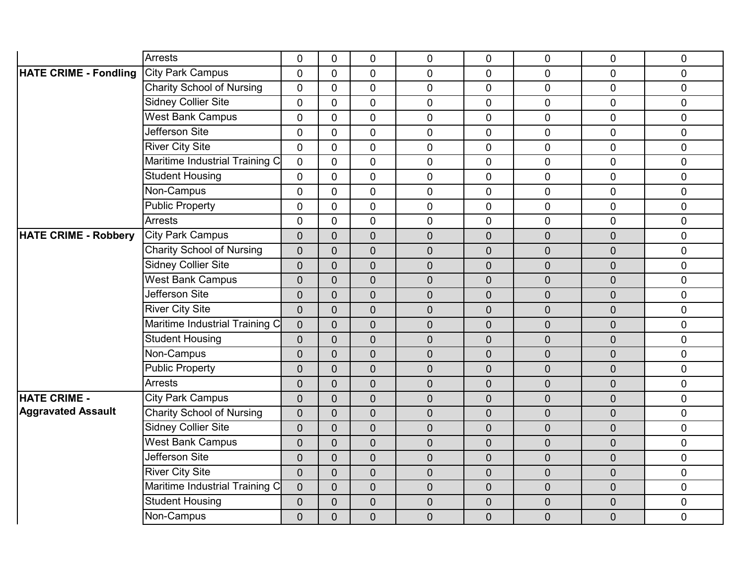|                              | <b>Arrests</b>                   | $\overline{0}$ | $\overline{0}$ | $\mathbf 0$      | $\mathbf 0$    | $\overline{0}$ | 0              | $\mathbf 0$    | $\mathbf 0$ |
|------------------------------|----------------------------------|----------------|----------------|------------------|----------------|----------------|----------------|----------------|-------------|
| <b>HATE CRIME - Fondling</b> | <b>City Park Campus</b>          | $\overline{0}$ | $\overline{0}$ | $\overline{0}$   | $\mathbf{0}$   | $\overline{0}$ | 0              | $\overline{0}$ | $\mathbf 0$ |
|                              | <b>Charity School of Nursing</b> | $\mathbf 0$    | $\mathbf 0$    | $\overline{0}$   | $\mathbf 0$    | 0              | $\overline{0}$ | $\overline{0}$ | $\mathbf 0$ |
|                              | <b>Sidney Collier Site</b>       | $\overline{0}$ | $\overline{0}$ | 0                | $\mathbf 0$    | $\overline{0}$ | 0              | $\overline{0}$ | $\mathbf 0$ |
|                              | <b>West Bank Campus</b>          | $\overline{0}$ | $\overline{0}$ | $\overline{0}$   | $\overline{0}$ | $\overline{0}$ | 0              | $\overline{0}$ | $\mathbf 0$ |
|                              | Jefferson Site                   | $\Omega$       | $\Omega$       | $\mathbf 0$      | $\mathbf 0$    | 0              | 0              | $\overline{0}$ | $\pmb{0}$   |
|                              | <b>River City Site</b>           | $\Omega$       | $\overline{0}$ | $\overline{0}$   | $\overline{0}$ | $\mathbf 0$    | $\overline{0}$ | $\mathbf 0$    | $\mathbf 0$ |
|                              | Maritime Industrial Training C   | $\overline{0}$ | $\overline{0}$ | $\overline{0}$   | $\overline{0}$ | $\overline{0}$ | $\overline{0}$ | $\overline{0}$ | $\mathbf 0$ |
|                              | <b>Student Housing</b>           | $\overline{0}$ | $\overline{0}$ | $\mathbf 0$      | $\mathbf 0$    | 0              | 0              | $\overline{0}$ | $\pmb{0}$   |
|                              | Non-Campus                       | $\overline{0}$ | $\overline{0}$ | $\mathbf 0$      | $\mathbf 0$    | $\mathbf 0$    | 0              | $\mathbf 0$    | $\pmb{0}$   |
|                              | <b>Public Property</b>           | $\overline{0}$ | $\mathbf{0}$   | $\overline{0}$   | $\overline{0}$ | $\overline{0}$ | 0              | $\overline{0}$ | $\pmb{0}$   |
|                              | <b>Arrests</b>                   | $\Omega$       | $\mathbf 0$    | $\overline{0}$   | $\mathbf 0$    | $\overline{0}$ | $\overline{0}$ | $\overline{0}$ | $\mathbf 0$ |
| <b>HATE CRIME - Robbery</b>  | <b>City Park Campus</b>          | $\overline{0}$ | $\overline{0}$ | $\mathbf 0$      | $\mathbf 0$    | $\overline{0}$ | $\overline{0}$ | $\overline{0}$ | $\mathbf 0$ |
|                              | <b>Charity School of Nursing</b> | $\overline{0}$ | $\overline{0}$ | $\overline{0}$   | $\mathbf 0$    | $\overline{0}$ | $\overline{0}$ | $\mathbf 0$    | $\mathbf 0$ |
|                              | <b>Sidney Collier Site</b>       | $\overline{0}$ | $\overline{0}$ | $\overline{0}$   | $\overline{0}$ | $\overline{0}$ | 0              | $\overline{0}$ | $\pmb{0}$   |
|                              | <b>West Bank Campus</b>          | 0              | $\overline{0}$ | $\overline{0}$   | $\overline{0}$ | $\overline{0}$ | $\overline{0}$ | $\overline{0}$ | $\mathbf 0$ |
|                              | Jefferson Site                   | $\overline{0}$ | $\overline{0}$ | $\overline{0}$   | $\mathbf 0$    | $\overline{0}$ | $\overline{0}$ | $\mathbf 0$    | $\mathbf 0$ |
|                              | <b>River City Site</b>           | $\overline{0}$ | $\overline{0}$ | $\overline{0}$   | $\mathbf 0$    | $\overline{0}$ | $\overline{0}$ | $\overline{0}$ | $\mathbf 0$ |
|                              | Maritime Industrial Training C   | $\overline{0}$ | $\overline{0}$ | $\mathbf 0$      | $\mathbf 0$    | $\overline{0}$ | $\overline{0}$ | $\mathbf 0$    | $\mathbf 0$ |
|                              | <b>Student Housing</b>           | $\overline{0}$ | $\overline{0}$ | $\mathbf 0$      | $\overline{0}$ | $\overline{0}$ | 0              | $\mathbf 0$    | $\mathbf 0$ |
|                              | Non-Campus                       | $\overline{0}$ | $\overline{0}$ | $\overline{0}$   | $\mathbf 0$    | $\overline{0}$ | 0              | $\mathbf 0$    | $\mathbf 0$ |
|                              | Public Property                  | $\overline{0}$ | $\overline{0}$ | $\overline{0}$   | $\mathbf 0$    | $\overline{0}$ | $\overline{0}$ | $\mathbf 0$    | $\mathbf 0$ |
|                              | <b>Arrests</b>                   | $\overline{0}$ | $\mathbf 0$    | $\boldsymbol{0}$ | $\mathbf 0$    | $\overline{0}$ | $\overline{0}$ | $\mathbf 0$    | $\pmb{0}$   |
| <b>HATE CRIME -</b>          | <b>City Park Campus</b>          | $\overline{0}$ | $\overline{0}$ | $\overline{0}$   | $\overline{0}$ | $\overline{0}$ | $\overline{0}$ | $\overline{0}$ | $\pmb{0}$   |
| <b>Aggravated Assault</b>    | <b>Charity School of Nursing</b> | $\overline{0}$ | $\overline{0}$ | $\overline{0}$   | $\overline{0}$ | $\overline{0}$ | $\overline{0}$ | $\overline{0}$ | $\mathbf 0$ |
|                              | <b>Sidney Collier Site</b>       | $\overline{0}$ | $\overline{0}$ | $\overline{0}$   | $\mathbf 0$    | $\overline{0}$ | $\overline{0}$ | $\mathbf 0$    | $\mathbf 0$ |
|                              | <b>West Bank Campus</b>          | $\overline{0}$ | $\overline{0}$ | $\overline{0}$   | $\mathbf 0$    | $\overline{0}$ | 0              | $\mathbf 0$    | $\pmb{0}$   |
|                              | Jefferson Site                   | $\overline{0}$ | $\overline{0}$ | $\overline{0}$   | $\overline{0}$ | $\overline{0}$ | $\overline{0}$ | $\overline{0}$ | $\pmb{0}$   |
|                              | <b>River City Site</b>           | $\overline{0}$ | $\overline{0}$ | $\overline{0}$   | $\mathbf 0$    | $\overline{0}$ | 0              | $\overline{0}$ | $\mathbf 0$ |
|                              | Maritime Industrial Training C   | $\overline{0}$ | $\overline{0}$ | $\overline{0}$   | $\overline{0}$ | $\overline{0}$ | $\overline{0}$ | $\mathbf 0$    | $\mathbf 0$ |
|                              | <b>Student Housing</b>           | $\overline{0}$ | $\mathbf 0$    | $\mathbf 0$      | $\mathbf 0$    | $\overline{0}$ | $\overline{0}$ | $\mathbf 0$    | $\pmb{0}$   |
|                              | Non-Campus                       | $\overline{0}$ | $\overline{0}$ | $\overline{0}$   | $\mathbf 0$    | $\overline{0}$ | $\overline{0}$ | $\mathbf 0$    | $\mathbf 0$ |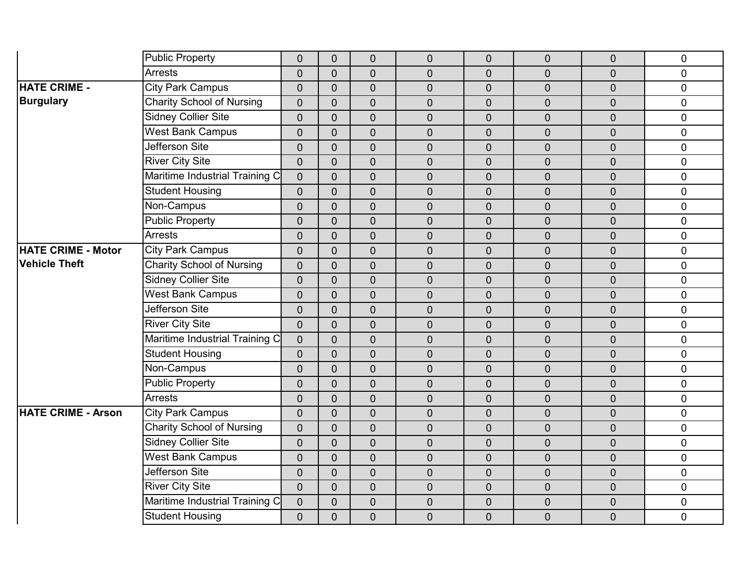|                           | <b>Public Property</b>           | $\overline{0}$ | $\overline{0}$ | $\mathbf 0$    | $\mathbf 0$    | $\overline{0}$ | 0              | $\overline{0}$ | $\pmb{0}$      |
|---------------------------|----------------------------------|----------------|----------------|----------------|----------------|----------------|----------------|----------------|----------------|
|                           | <b>Arrests</b>                   | $\overline{0}$ | $\overline{0}$ | $\overline{0}$ | $\overline{0}$ | $\overline{0}$ | $\overline{0}$ | $\overline{0}$ | $\mathbf 0$    |
| <b>HATE CRIME -</b>       | <b>City Park Campus</b>          | $\overline{0}$ | $\overline{0}$ | $\mathbf 0$    | $\mathbf 0$    | $\overline{0}$ | 0              | 0              | $\pmb{0}$      |
| <b>Burgulary</b>          | <b>Charity School of Nursing</b> | $\overline{0}$ | $\overline{0}$ | $\mathbf 0$    | $\mathbf 0$    | $\overline{0}$ | $\overline{0}$ | $\overline{0}$ | $\pmb{0}$      |
|                           | <b>Sidney Collier Site</b>       | $\overline{0}$ | $\overline{0}$ | $\overline{0}$ | $\overline{0}$ | $\overline{0}$ | $\mathbf 0$    | $\overline{0}$ | $\overline{0}$ |
|                           | <b>West Bank Campus</b>          | $\overline{0}$ | $\overline{0}$ | $\overline{0}$ | $\overline{0}$ | $\overline{0}$ | 0              | $\overline{0}$ | $\mathbf 0$    |
|                           | Jefferson Site                   | $\overline{0}$ | $\overline{0}$ | $\mathbf 0$    | $\mathbf 0$    | $\overline{0}$ | $\overline{0}$ | $\overline{0}$ | $\mathbf 0$    |
|                           | <b>River City Site</b>           | $\overline{0}$ | $\overline{0}$ | $\overline{0}$ | $\overline{0}$ | $\overline{0}$ | $\overline{0}$ | $\overline{0}$ | $\mathbf 0$    |
|                           | Maritime Industrial Training C   | $\overline{0}$ | $\overline{0}$ | $\mathbf 0$    | $\mathbf 0$    | $\overline{0}$ | 0              | $\overline{0}$ | $\pmb{0}$      |
|                           | <b>Student Housing</b>           | $\overline{0}$ | $\overline{0}$ | $\mathbf 0$    | $\mathbf 0$    | $\overline{0}$ | $\overline{0}$ | $\overline{0}$ | $\pmb{0}$      |
|                           | Non-Campus                       | $\overline{0}$ | $\overline{0}$ | $\overline{0}$ | $\mathbf 0$    | $\overline{0}$ | $\overline{0}$ | $\overline{0}$ | $\mathbf 0$    |
|                           | <b>Public Property</b>           | $\overline{0}$ | $\overline{0}$ | $\overline{0}$ | $\overline{0}$ | $\overline{0}$ | 0              | $\overline{0}$ | $\mathbf 0$    |
|                           | <b>Arrests</b>                   | $\overline{0}$ | $\overline{0}$ | $\mathbf 0$    | $\mathbf 0$    | $\overline{0}$ | $\overline{0}$ | $\overline{0}$ | $\mathbf 0$    |
| <b>HATE CRIME - Motor</b> | <b>City Park Campus</b>          | $\overline{0}$ | $\overline{0}$ | $\mathbf 0$    | $\mathbf 0$    | $\overline{0}$ | $\overline{0}$ | $\overline{0}$ | $\mathbf 0$    |
| <b>Vehicle Theft</b>      | <b>Charity School of Nursing</b> | $\overline{0}$ | $\overline{0}$ | $\overline{0}$ | $\mathbf 0$    | $\overline{0}$ | 0              | $\overline{0}$ | $\mathbf 0$    |
|                           | <b>Sidney Collier Site</b>       | $\mathbf 0$    | $\overline{0}$ | $\mathbf 0$    | $\mathbf 0$    | $\overline{0}$ | $\overline{0}$ | $\overline{0}$ | $\pmb{0}$      |
|                           | <b>West Bank Campus</b>          | $\mathbf 0$    | $\overline{0}$ | $\mathbf 0$    | $\mathbf 0$    | $\overline{0}$ | $\overline{0}$ | $\overline{0}$ | $\pmb{0}$      |
|                           | Jefferson Site                   | $\overline{0}$ | $\overline{0}$ | $\overline{0}$ | $\overline{0}$ | $\overline{0}$ | 0              | $\overline{0}$ | $\mathbf 0$    |
|                           | <b>River City Site</b>           | $\overline{0}$ | $\overline{0}$ | $\overline{0}$ | $\mathbf 0$    | $\overline{0}$ | $\overline{0}$ | $\overline{0}$ | $\mathbf 0$    |
|                           | Maritime Industrial Training C   | $\overline{0}$ | $\overline{0}$ | $\mathbf 0$    | $\mathbf 0$    | $\overline{0}$ | $\overline{0}$ | $\overline{0}$ | $\mathbf 0$    |
|                           | <b>Student Housing</b>           | $\overline{0}$ | $\overline{0}$ | $\overline{0}$ | $\overline{0}$ | $\overline{0}$ | 0              | $\overline{0}$ | $\pmb{0}$      |
|                           | Non-Campus                       | $\overline{0}$ | $\overline{0}$ | $\mathbf 0$    | $\mathbf 0$    | $\overline{0}$ | 0              | $\overline{0}$ | $\pmb{0}$      |
|                           | <b>Public Property</b>           | $\mathbf 0$    | $\overline{0}$ | $\mathbf 0$    | $\mathbf 0$    | $\overline{0}$ | $\mathbf 0$    | $\overline{0}$ | $\mathbf 0$    |
|                           | <b>Arrests</b>                   | $\overline{0}$ | $\overline{0}$ | $\overline{0}$ | $\overline{0}$ | $\overline{0}$ | $\overline{0}$ | $\overline{0}$ | $\overline{0}$ |
| <b>HATE CRIME - Arson</b> | <b>City Park Campus</b>          | $\overline{0}$ | $\overline{0}$ | $\overline{0}$ | $\overline{0}$ | $\overline{0}$ | 0              | $\overline{0}$ | $\mathbf 0$    |
|                           | <b>Charity School of Nursing</b> | $\overline{0}$ | $\overline{0}$ | $\mathbf 0$    | $\mathbf 0$    | $\overline{0}$ | $\overline{0}$ | $\overline{0}$ | $\mathbf 0$    |
|                           | <b>Sidney Collier Site</b>       | $\overline{0}$ | $\overline{0}$ | $\overline{0}$ | $\overline{0}$ | $\overline{0}$ | $\overline{0}$ | $\overline{0}$ | $\pmb{0}$      |
|                           | <b>West Bank Campus</b>          | $\overline{0}$ | $\overline{0}$ | $\mathbf 0$    | $\mathbf 0$    | $\mathbf 0$    | 0              | $\overline{0}$ | $\pmb{0}$      |
|                           | Jefferson Site                   | $\overline{0}$ | $\overline{0}$ | $\mathbf 0$    | $\mathbf 0$    | $\overline{0}$ | $\overline{0}$ | $\overline{0}$ | $\pmb{0}$      |
|                           | <b>River City Site</b>           | $\overline{0}$ | $\overline{0}$ | $\mathbf 0$    | $\overline{0}$ | $\overline{0}$ | $\overline{0}$ | $\overline{0}$ | $\pmb{0}$      |
|                           | Maritime Industrial Training C   | $\overline{0}$ | $\overline{0}$ | $\mathbf 0$    | $\mathbf 0$    | $\overline{0}$ | 0              | $\overline{0}$ | $\pmb{0}$      |
|                           | <b>Student Housing</b>           | $\overline{0}$ | $\overline{0}$ | $\mathbf 0$    | $\mathbf 0$    | $\overline{0}$ | $\overline{0}$ | $\overline{0}$ | $\mathbf 0$    |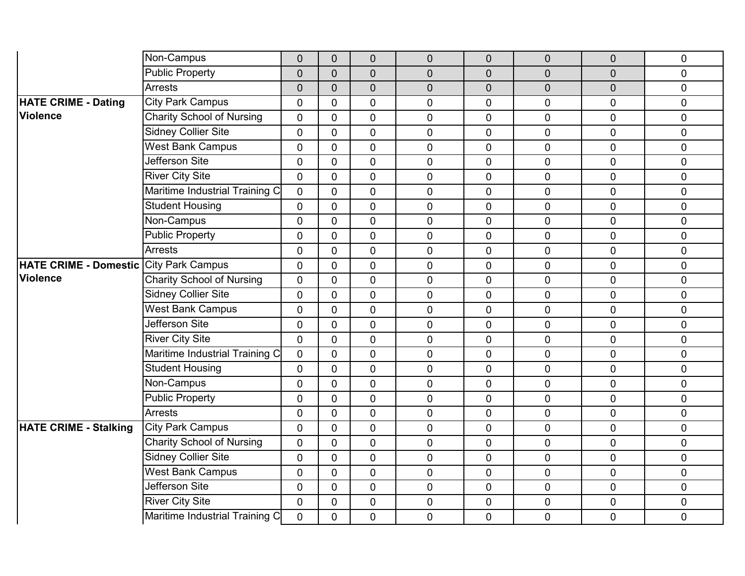|                                               | Non-Campus                       | $\mathbf 0$    | $\mathbf 0$    | $\mathbf 0$    | $\mathbf 0$    | $\overline{0}$ | $\overline{0}$ | $\mathbf 0$    | $\mathbf 0$  |
|-----------------------------------------------|----------------------------------|----------------|----------------|----------------|----------------|----------------|----------------|----------------|--------------|
|                                               | <b>Public Property</b>           | $\overline{0}$ | $\overline{0}$ | $\overline{0}$ | $\overline{0}$ | $\overline{0}$ | 0              | $\overline{0}$ | $\mathbf{0}$ |
|                                               | <b>Arrests</b>                   | $\overline{0}$ | $\overline{0}$ | $\mathbf 0$    | $\overline{0}$ | $\overline{0}$ | $\overline{0}$ | $\mathbf 0$    | $\pmb{0}$    |
| <b>HATE CRIME - Dating</b>                    | <b>City Park Campus</b>          | $\mathbf 0$    | $\mathbf 0$    | $\mathbf 0$    | 0              | $\mathbf 0$    | 0              | $\mathbf 0$    | $\pmb{0}$    |
| <b>Violence</b>                               | <b>Charity School of Nursing</b> | $\Omega$       | $\mathbf{0}$   | $\overline{0}$ | $\overline{0}$ | 0              | 0              | $\overline{0}$ | $\mathbf 0$  |
|                                               | <b>Sidney Collier Site</b>       | $\overline{0}$ | $\mathbf 0$    | $\mathbf 0$    | 0              | $\mathbf 0$    | $\overline{0}$ | $\mathbf 0$    | $\mathbf 0$  |
|                                               | <b>West Bank Campus</b>          | $\mathbf 0$    | $\mathbf 0$    | $\overline{0}$ | 0              | $\mathbf 0$    | 0              | $\overline{0}$ | $\mathbf 0$  |
|                                               | <b>Jefferson Site</b>            | $\overline{0}$ | $\Omega$       | $\overline{0}$ | $\overline{0}$ | $\mathbf 0$    | 0              | $\overline{0}$ | $\mathbf 0$  |
|                                               | <b>River City Site</b>           | 0              | $\mathbf 0$    | $\mathbf 0$    | 0              | $\mathbf 0$    | $\overline{0}$ | $\mathbf 0$    | $\pmb{0}$    |
|                                               | Maritime Industrial Training C   | $\mathbf 0$    | $\mathbf 0$    | $\overline{0}$ | 0              | $\mathbf 0$    | 0              | $\overline{0}$ | $\mathbf 0$  |
|                                               | <b>Student Housing</b>           | 0              | $\mathbf 0$    | $\overline{0}$ | $\overline{0}$ | 0              | 0              | $\overline{0}$ | $\mathbf 0$  |
|                                               | Non-Campus                       | $\overline{0}$ | $\mathbf 0$    | $\overline{0}$ | 0              | $\mathbf 0$    | $\overline{0}$ | $\overline{0}$ | $\mathbf 0$  |
|                                               | <b>Public Property</b>           | $\overline{0}$ | $\overline{0}$ | $\mathbf 0$    | $\overline{0}$ | $\mathbf 0$    | 0              | $\mathbf 0$    | $\mathbf 0$  |
|                                               | <b>Arrests</b>                   | $\mathbf 0$    | $\overline{0}$ | $\overline{0}$ | 0              | $\mathbf 0$    | 0              | $\overline{0}$ | $\mathbf 0$  |
| <b>HATE CRIME - Domestic City Park Campus</b> |                                  | $\overline{0}$ | $\mathbf{0}$   | $\mathbf 0$    | 0              | $\mathbf 0$    | $\overline{0}$ | $\mathbf 0$    | $\mathbf 0$  |
| <b>Violence</b>                               | Charity School of Nursing        | $\mathbf 0$    | $\overline{0}$ | $\mathbf 0$    | 0              | $\mathbf 0$    | $\overline{0}$ | $\mathbf 0$    | $\pmb{0}$    |
|                                               | <b>Sidney Collier Site</b>       | 0              | $\overline{0}$ | $\overline{0}$ | $\overline{0}$ | $\mathbf 0$    | $\overline{0}$ | $\mathbf 0$    | $\mathbf 0$  |
|                                               | <b>West Bank Campus</b>          | $\overline{0}$ | $\mathbf 0$    | $\overline{0}$ | $\overline{0}$ | 0              | $\overline{0}$ | $\overline{0}$ | $\pmb{0}$    |
|                                               | Jefferson Site                   | $\overline{0}$ | $\mathbf 0$    | $\mathbf 0$    | $\overline{0}$ | $\mathbf 0$    | $\overline{0}$ | $\mathbf 0$    | $\mathbf 0$  |
|                                               | <b>River City Site</b>           | $\mathbf 0$    | $\overline{0}$ | $\overline{0}$ | $\overline{0}$ | $\mathbf 0$    | $\overline{0}$ | $\mathbf 0$    | $\mathbf 0$  |
|                                               | Maritime Industrial Training C   | 0              | $\Omega$       | $\mathbf 0$    | 0              | 0              | $\overline{0}$ | $\mathbf 0$    | $\pmb{0}$    |
|                                               | <b>Student Housing</b>           | $\overline{0}$ | $\overline{0}$ | $\overline{0}$ | 0              | $\mathbf 0$    | $\overline{0}$ | $\mathbf 0$    | $\mathbf 0$  |
|                                               | Non-Campus                       | $\overline{0}$ | $\mathbf 0$    | $\overline{0}$ | $\overline{0}$ | $\mathbf 0$    | $\overline{0}$ | $\overline{0}$ | $\mathbf 0$  |
|                                               | <b>Public Property</b>           | 0              | $\Omega$       | $\mathbf 0$    | 0              | $\mathbf 0$    | $\overline{0}$ | $\mathbf 0$    | $\pmb{0}$    |
|                                               | <b>Arrests</b>                   | $\overline{0}$ | $\overline{0}$ | $\overline{0}$ | $\overline{0}$ | $\mathbf 0$    | 0              | $\mathbf 0$    | $\mathbf 0$  |
| <b>HATE CRIME - Stalking</b>                  | <b>City Park Campus</b>          | $\overline{0}$ | $\overline{0}$ | $\overline{0}$ | $\overline{0}$ | $\overline{0}$ | $\overline{0}$ | $\overline{0}$ | $\mathbf 0$  |
|                                               | <b>Charity School of Nursing</b> | $\Omega$       | $\overline{0}$ | $\mathbf 0$    | 0              | $\mathbf 0$    | 0              | $\mathbf 0$    | $\pmb{0}$    |
|                                               | <b>Sidney Collier Site</b>       | $\overline{0}$ | $\mathbf{0}$   | $\mathbf 0$    | 0              | $\mathbf 0$    | 0              | $\mathbf 0$    | $\mathbf 0$  |
|                                               | <b>West Bank Campus</b>          | 0              | $\mathbf 0$    | $\mathbf 0$    | $\overline{0}$ | $\mathbf 0$    | 0              | $\mathbf 0$    | $\mathbf 0$  |
|                                               | Jefferson Site                   | $\overline{0}$ | $\mathbf 0$    | $\mathbf 0$    | 0              | $\mathbf 0$    | 0              | $\mathbf 0$    | $\mathbf 0$  |
|                                               | <b>River City Site</b>           | $\mathbf 0$    | $\overline{0}$ | $\mathbf 0$    | 0              | $\mathbf 0$    | 0              | $\mathbf 0$    | $\mathbf 0$  |
|                                               | Maritime Industrial Training C   | $\overline{0}$ | $\mathbf 0$    | $\mathbf 0$    | 0              | $\mathbf 0$    | $\overline{0}$ | $\mathbf 0$    | $\mathbf 0$  |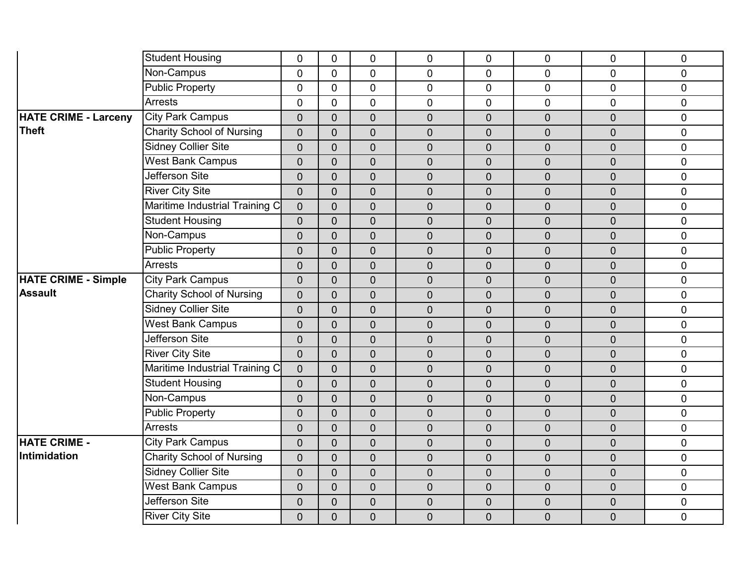|                             | <b>Student Housing</b>           | $\mathbf 0$    | $\mathbf 0$    | $\mathbf 0$    | $\mathbf 0$      | $\mathbf 0$      | 0                | $\overline{0}$ | $\mathbf 0$ |
|-----------------------------|----------------------------------|----------------|----------------|----------------|------------------|------------------|------------------|----------------|-------------|
|                             | Non-Campus                       | $\Omega$       | $\overline{0}$ | $\overline{0}$ | $\overline{0}$   | $\mathbf{0}$     | $\overline{0}$   | $\Omega$       | $\mathbf 0$ |
|                             | <b>Public Property</b>           | $\overline{0}$ | $\overline{0}$ | $\mathbf 0$    | $\pmb{0}$        | $\mathbf 0$      | $\overline{0}$   | $\overline{0}$ | $\pmb{0}$   |
|                             | <b>Arrests</b>                   | $\overline{0}$ | 0              | $\mathbf 0$    | $\mathbf 0$      | $\mathbf 0$      | 0                | $\overline{0}$ | $\pmb{0}$   |
| <b>HATE CRIME - Larceny</b> | <b>City Park Campus</b>          | $\overline{0}$ | $\overline{0}$ | $\mathbf 0$    | $\mathbf 0$      | $\overline{0}$   | $\overline{0}$   | $\overline{0}$ | $\mathbf 0$ |
| <b>Theft</b>                | <b>Charity School of Nursing</b> | $\overline{0}$ | $\overline{0}$ | $\mathbf 0$    | $\mathbf 0$      | $\mathbf 0$      | $\overline{0}$   | $\overline{0}$ | $\mathbf 0$ |
|                             | <b>Sidney Collier Site</b>       | $\overline{0}$ | $\overline{0}$ | $\mathbf 0$    | $\mathbf 0$      | $\overline{0}$   | $\overline{0}$   | $\overline{0}$ | $\mathbf 0$ |
|                             | <b>West Bank Campus</b>          | $\overline{0}$ | $\overline{0}$ | $\mathbf 0$    | $\mathbf 0$      | $\overline{0}$   | $\overline{0}$   | $\overline{0}$ | $\mathbf 0$ |
|                             | Jefferson Site                   | $\overline{0}$ | $\overline{0}$ | $\mathbf 0$    | $\mathbf 0$      | $\mathbf 0$      | $\pmb{0}$        | $\overline{0}$ | $\pmb{0}$   |
|                             | <b>River City Site</b>           | $\overline{0}$ | $\overline{0}$ | $\mathbf 0$    | $\mathbf 0$      | $\overline{0}$   | $\overline{0}$   | $\overline{0}$ | $\mathbf 0$ |
|                             | Maritime Industrial Training C   | $\mathbf 0$    | $\overline{0}$ | $\mathbf 0$    | $\mathbf 0$      | $\overline{0}$   | $\boldsymbol{0}$ | $\overline{0}$ | $\mathbf 0$ |
|                             | <b>Student Housing</b>           | $\overline{0}$ | $\Omega$       | $\overline{0}$ | $\mathbf 0$      | $\mathbf 0$      | $\overline{0}$   | $\overline{0}$ | $\mathbf 0$ |
|                             | Non-Campus                       | $\overline{0}$ | $\overline{0}$ | $\mathbf 0$    | $\mathbf 0$      | $\mathbf 0$      | $\overline{0}$   | $\overline{0}$ | $\mathbf 0$ |
|                             | <b>Public Property</b>           | $\overline{0}$ | $\overline{0}$ | $\overline{0}$ | $\overline{0}$   | $\overline{0}$   | $\overline{0}$   | $\overline{0}$ | $\mathbf 0$ |
|                             | <b>Arrests</b>                   | $\overline{0}$ | $\overline{0}$ | $\overline{0}$ | $\mathbf 0$      | $\mathbf 0$      | $\overline{0}$   | $\overline{0}$ | $\mathbf 0$ |
| <b>HATE CRIME - Simple</b>  | <b>City Park Campus</b>          | $\mathbf 0$    | $\overline{0}$ | $\mathbf 0$    | $\mathbf 0$      | $\mathbf 0$      | $\overline{0}$   | $\overline{0}$ | $\mathbf 0$ |
| <b>Assault</b>              | <b>Charity School of Nursing</b> | $\overline{0}$ | $\overline{0}$ | $\overline{0}$ | $\mathbf 0$      | $\overline{0}$   | $\overline{0}$   | $\overline{0}$ | $\mathbf 0$ |
|                             | <b>Sidney Collier Site</b>       | $\overline{0}$ | $\overline{0}$ | $\overline{0}$ | $\overline{0}$   | $\boldsymbol{0}$ | $\overline{0}$   | $\overline{0}$ | $\pmb{0}$   |
|                             | <b>West Bank Campus</b>          | $\overline{0}$ | $\overline{0}$ | $\mathbf 0$    | $\mathbf 0$      | $\mathbf 0$      | $\overline{0}$   | $\overline{0}$ | $\mathbf 0$ |
|                             | Jefferson Site                   | $\overline{0}$ | $\overline{0}$ | $\overline{0}$ | $\mathbf 0$      | $\overline{0}$   | $\overline{0}$   | $\overline{0}$ | $\mathbf 0$ |
|                             | <b>River City Site</b>           | $\mathbf 0$    | $\overline{0}$ | $\mathbf 0$    | $\pmb{0}$        | $\boldsymbol{0}$ | $\overline{0}$   | $\overline{0}$ | $\pmb{0}$   |
|                             | Maritime Industrial Training C   | $\overline{0}$ | $\overline{0}$ | $\mathbf 0$    | $\mathbf 0$      | $\mathbf 0$      | $\mathbf 0$      | $\overline{0}$ | $\mathbf 0$ |
|                             | <b>Student Housing</b>           | $\overline{0}$ | $\overline{0}$ | $\overline{0}$ | $\mathbf 0$      | $\overline{0}$   | $\overline{0}$   | $\overline{0}$ | $\mathbf 0$ |
|                             | Non-Campus                       | $\mathbf 0$    | $\overline{0}$ | $\mathbf 0$    | $\mathbf 0$      | $\overline{0}$   | $\overline{0}$   | $\overline{0}$ | $\pmb{0}$   |
|                             | <b>Public Property</b>           | $\overline{0}$ | $\overline{0}$ | $\overline{0}$ | $\mathbf 0$      | $\mathbf 0$      | $\overline{0}$   | $\overline{0}$ | $\mathbf 0$ |
|                             | <b>Arrests</b>                   | $\overline{0}$ | $\overline{0}$ | $\overline{0}$ | $\mathbf 0$      | $\overline{0}$   | $\overline{0}$   | $\overline{0}$ | $\mathbf 0$ |
| <b>HATE CRIME -</b>         | <b>City Park Campus</b>          | $\mathbf 0$    | $\mathbf 0$    | $\overline{0}$ | $\boldsymbol{0}$ | $\overline{0}$   | $\overline{0}$   | $\overline{0}$ | $\pmb{0}$   |
| Intimidation                | <b>Charity School of Nursing</b> | $\overline{0}$ | $\overline{0}$ | $\mathbf 0$    | $\mathbf 0$      | $\mathbf 0$      | $\mathbf 0$      | $\overline{0}$ | $\mathbf 0$ |
|                             | <b>Sidney Collier Site</b>       | $\overline{0}$ | $\overline{0}$ | $\overline{0}$ | $\mathbf 0$      | $\overline{0}$   | $\overline{0}$   | $\overline{0}$ | $\mathbf 0$ |
|                             | <b>West Bank Campus</b>          | $\overline{0}$ | $\overline{0}$ | $\mathbf 0$    | $\mathbf 0$      | $\overline{0}$   | $\overline{0}$   | $\overline{0}$ | $\mathbf 0$ |
|                             | Jefferson Site                   | $\overline{0}$ | $\overline{0}$ | $\mathbf 0$    | $\mathbf 0$      | $\mathbf 0$      | $\pmb{0}$        | $\overline{0}$ | $\mathbf 0$ |
|                             | <b>River City Site</b>           | $\overline{0}$ | $\overline{0}$ | $\overline{0}$ | $\overline{0}$   | $\overline{0}$   | $\overline{0}$   | $\overline{0}$ | $\mathbf 0$ |
|                             |                                  |                |                |                |                  |                  |                  |                |             |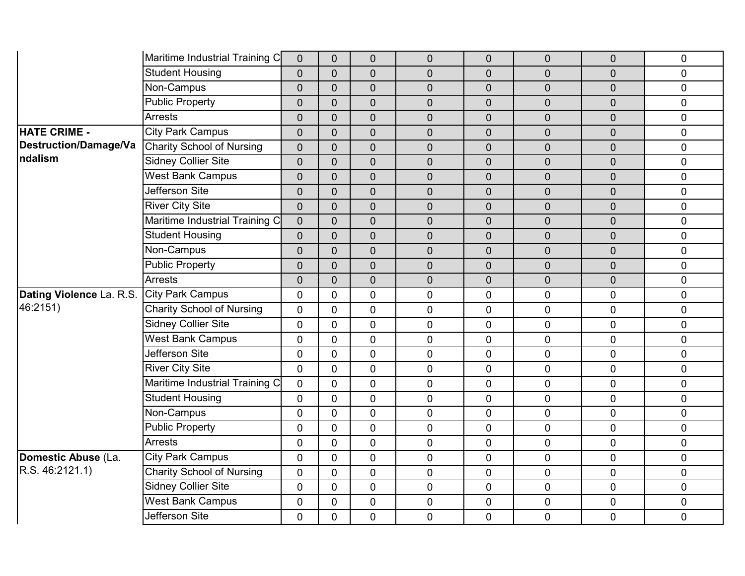|                              | Maritime Industrial Training C   | $\mathbf 0$    | $\overline{0}$ | $\mathbf 0$    | $\mathbf 0$    | $\overline{0}$ | $\overline{0}$ | $\overline{0}$ | $\pmb{0}$      |
|------------------------------|----------------------------------|----------------|----------------|----------------|----------------|----------------|----------------|----------------|----------------|
|                              | <b>Student Housing</b>           | $\overline{0}$ | $\overline{0}$ | $\overline{0}$ | $\overline{0}$ | $\overline{0}$ | $\overline{0}$ | $\overline{0}$ | $\Omega$       |
|                              | Non-Campus                       | $\overline{0}$ | $\overline{0}$ | $\mathbf 0$    | $\mathbf 0$    | 0              | $\overline{0}$ | $\overline{0}$ | $\mathbf 0$    |
|                              | <b>Public Property</b>           | $\overline{0}$ | $\overline{0}$ | $\mathbf 0$    | $\overline{0}$ | $\overline{0}$ | $\overline{0}$ | $\mathbf 0$    | $\pmb{0}$      |
|                              | <b>Arrests</b>                   | $\overline{0}$ | $\overline{0}$ | $\overline{0}$ | $\overline{0}$ | $\overline{0}$ | $\mathbf 0$    | $\overline{0}$ | $\overline{0}$ |
| <b>HATE CRIME -</b>          | <b>City Park Campus</b>          | $\overline{0}$ | $\overline{0}$ | $\mathbf 0$    | $\mathbf 0$    | $\overline{0}$ | $\overline{0}$ | $\overline{0}$ | $\mathbf 0$    |
| <b>Destruction/Damage/Va</b> | <b>Charity School of Nursing</b> | $\overline{0}$ | $\overline{0}$ | $\mathbf 0$    | $\overline{0}$ | $\overline{0}$ | $\overline{0}$ | $\mathbf 0$    | $\mathbf 0$    |
| ndalism                      | <b>Sidney Collier Site</b>       | $\overline{0}$ | $\overline{0}$ | $\overline{0}$ | $\overline{0}$ | $\overline{0}$ | $\mathbf 0$    | $\overline{0}$ | $\overline{0}$ |
|                              | <b>West Bank Campus</b>          | $\overline{0}$ | $\overline{0}$ | $\mathbf 0$    | $\mathbf 0$    | $\overline{0}$ | $\overline{0}$ | $\overline{0}$ | $\mathbf 0$    |
|                              | Jefferson Site                   | $\mathbf 0$    | $\overline{0}$ | $\mathbf 0$    | $\mathbf 0$    | $\mathbf 0$    | $\overline{0}$ | $\mathbf 0$    | $\pmb{0}$      |
|                              | <b>River City Site</b>           | $\overline{0}$ | $\overline{0}$ | $\mathbf 0$    | $\overline{0}$ | $\overline{0}$ | $\overline{0}$ | $\overline{0}$ | $\mathbf 0$    |
|                              | Maritime Industrial Training C   | $\overline{0}$ | $\overline{0}$ | $\overline{0}$ | $\overline{0}$ | $\overline{0}$ | $\overline{0}$ | $\overline{0}$ | $\mathbf 0$    |
|                              | <b>Student Housing</b>           | $\overline{0}$ | $\overline{0}$ | $\mathbf 0$    | $\mathbf 0$    | $\mathbf 0$    | $\mathbf 0$    | $\overline{0}$ | $\mathbf 0$    |
|                              | Non-Campus                       | $\overline{0}$ | $\overline{0}$ | $\mathbf 0$    | $\overline{0}$ | $\overline{0}$ | $\overline{0}$ | $\overline{0}$ | $\mathbf 0$    |
|                              | <b>Public Property</b>           | $\overline{0}$ | $\overline{0}$ | $\overline{0}$ | $\mathbf 0$    | $\overline{0}$ | $\overline{0}$ | $\overline{0}$ | $\mathbf 0$    |
|                              | <b>Arrests</b>                   | $\overline{0}$ | $\overline{0}$ | $\mathbf 0$    | $\mathbf 0$    | $\mathbf 0$    | $\overline{0}$ | $\overline{0}$ | $\pmb{0}$      |
| Dating Violence La. R.S.     | <b>City Park Campus</b>          | $\mathbf 0$    | 0              | $\mathbf 0$    | $\overline{0}$ | 0              | $\overline{0}$ | $\overline{0}$ | $\mathbf 0$    |
| 46:2151)                     | <b>Charity School of Nursing</b> | $\mathbf{0}$   | $\mathbf{0}$   | $\overline{0}$ | $\overline{0}$ | 0              | 0              | $\overline{0}$ | $\mathbf 0$    |
|                              | <b>Sidney Collier Site</b>       | $\overline{0}$ | $\mathbf{0}$   | $\overline{0}$ | $\mathbf 0$    | $\mathbf 0$    | 0              | $\overline{0}$ | $\mathbf 0$    |
|                              | <b>West Bank Campus</b>          | $\mathbf 0$    | $\mathbf 0$    | $\mathbf 0$    | $\mathbf 0$    | $\overline{0}$ | $\overline{0}$ | $\mathbf{0}$   | $\mathbf 0$    |
|                              | Jefferson Site                   | $\overline{0}$ | $\mathbf{0}$   | $\overline{0}$ | $\mathbf 0$    | 0              | 0              | $\overline{0}$ | $\pmb{0}$      |
|                              | <b>River City Site</b>           | $\overline{0}$ | $\mathbf 0$    | $\mathbf 0$    | $\mathbf 0$    | $\mathbf 0$    | 0              | $\mathbf 0$    | $\mathbf 0$    |
|                              | Maritime Industrial Training C   | $\mathbf 0$    | $\mathbf 0$    | $\mathbf 0$    | $\mathbf 0$    | $\overline{0}$ | $\overline{0}$ | $\overline{0}$ | $\mathbf 0$    |
|                              | <b>Student Housing</b>           | $\Omega$       | $\mathbf{0}$   | $\overline{0}$ | $\mathbf 0$    | 0              | 0              | $\overline{0}$ | $\mathbf 0$    |
|                              | Non-Campus                       | $\overline{0}$ | $\mathbf{0}$   | $\overline{0}$ | $\mathbf{0}$   | $\mathbf 0$    | 0              | $\mathbf 0$    | $\mathbf 0$    |
|                              | <b>Public Property</b>           | $\mathbf 0$    | $\mathbf 0$    | $\mathbf 0$    | $\mathbf 0$    | 0              | 0              | $\mathbf{0}$   | $\mathbf 0$    |
|                              | <b>Arrests</b>                   | $\Omega$       | $\mathbf{0}$   | $\overline{0}$ | $\overline{0}$ | 0              | 0              | $\overline{0}$ | $\pmb{0}$      |
| Domestic Abuse (La.          | <b>City Park Campus</b>          | $\overline{0}$ | $\mathbf{0}$   | $\overline{0}$ | $\mathbf 0$    | $\mathbf 0$    | 0              | $\mathbf{0}$   | $\pmb{0}$      |
| R.S. 46:2121.1)              | <b>Charity School of Nursing</b> | $\mathbf 0$    | $\mathbf 0$    | $\mathbf 0$    | $\mathbf 0$    | 0              | 0              | $\overline{0}$ | $\pmb{0}$      |
|                              | <b>Sidney Collier Site</b>       | $\overline{0}$ | $\overline{0}$ | $\mathbf 0$    | $\mathbf 0$    | 0              | $\mathbf 0$    | $\mathbf 0$    | $\mathbf 0$    |
|                              | <b>West Bank Campus</b>          | $\overline{0}$ | $\mathbf 0$    | $\mathbf 0$    | $\mathbf 0$    | $\mathbf 0$    | 0              | $\overline{0}$ | $\pmb{0}$      |
|                              | Jefferson Site                   | 0              | 0              | $\mathbf 0$    | $\mathbf 0$    | 0              | 0              | $\overline{0}$ | $\mathbf 0$    |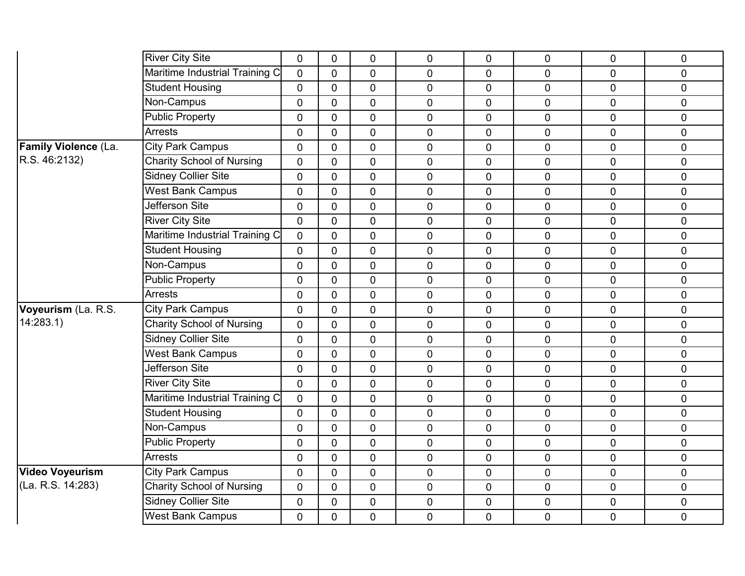|                             | <b>River City Site</b>           | 0              | $\mathbf 0$    | 0              | 0              | 0              | 0              | $\mathbf 0$    | 0            |
|-----------------------------|----------------------------------|----------------|----------------|----------------|----------------|----------------|----------------|----------------|--------------|
|                             | Maritime Industrial Training C   | $\overline{0}$ | $\Omega$       | $\overline{0}$ | $\overline{0}$ | $\overline{0}$ | $\overline{0}$ | $\overline{0}$ | $\mathbf 0$  |
|                             | <b>Student Housing</b>           | $\overline{0}$ | $\mathbf 0$    | $\overline{0}$ | 0              | $\mathbf 0$    | $\overline{0}$ | $\overline{0}$ | $\mathbf 0$  |
|                             | Non-Campus                       | $\overline{0}$ | $\mathbf 0$    | $\mathbf 0$    | 0              | $\mathbf 0$    | 0              | $\overline{0}$ | $\mathbf 0$  |
|                             | <b>Public Property</b>           | $\overline{0}$ | $\overline{0}$ | $\overline{0}$ | $\overline{0}$ | $\mathbf 0$    | 0              | $\overline{0}$ | $\mathbf 0$  |
|                             | <b>Arrests</b>                   | $\overline{0}$ | $\overline{0}$ | $\overline{0}$ | $\overline{0}$ | $\pmb{0}$      | $\overline{0}$ | $\overline{0}$ | $\pmb{0}$    |
| <b>Family Violence (La.</b> | <b>City Park Campus</b>          | $\overline{0}$ | $\mathbf{0}$   | $\mathbf 0$    | $\mathbf 0$    | $\overline{0}$ | $\overline{0}$ | $\overline{0}$ | $\mathbf 0$  |
| R.S. 46:2132)               | <b>Charity School of Nursing</b> | $\overline{0}$ | $\overline{0}$ | $\overline{0}$ | $\overline{0}$ | $\overline{0}$ | 0              | $\overline{0}$ | $\mathbf 0$  |
|                             | Sidney Collier Site              | 0              | $\mathbf 0$    | $\mathbf 0$    | $\mathbf 0$    | $\pmb{0}$      | $\overline{0}$ | $\mathbf 0$    | $\pmb{0}$    |
|                             | <b>West Bank Campus</b>          | $\mathbf 0$    | $\overline{0}$ | $\mathbf 0$    | $\mathbf 0$    | $\overline{0}$ | 0              | $\overline{0}$ | $\mathbf 0$  |
|                             | Jefferson Site                   | $\mathbf 0$    | $\overline{0}$ | $\overline{0}$ | $\overline{0}$ | $\overline{0}$ | $\overline{0}$ | $\overline{0}$ | $\mathbf 0$  |
|                             | <b>River City Site</b>           | $\mathbf 0$    | $\mathbf 0$    | $\mathbf 0$    | $\overline{0}$ | $\mathbf 0$    | $\overline{0}$ | $\mathbf 0$    | $\mathbf 0$  |
|                             | Maritime Industrial Training C   | 0              | $\mathbf{0}$   | $\mathbf 0$    | 0              | $\mathbf 0$    | 0              | $\mathbf 0$    | $\pmb{0}$    |
|                             | <b>Student Housing</b>           | $\overline{0}$ | $\overline{0}$ | $\overline{0}$ | $\overline{0}$ | $\mathbf 0$    | $\overline{0}$ | $\overline{0}$ | $\mathbf 0$  |
|                             | Non-Campus                       | 0              | $\mathbf 0$    | $\mathbf 0$    | 0              | $\mathbf 0$    | $\overline{0}$ | $\mathbf 0$    | $\pmb{0}$    |
|                             | Public Property                  | 0              | $\mathbf{0}$   | $\mathbf 0$    | 0              | $\mathbf 0$    | $\overline{0}$ | $\mathbf 0$    | $\pmb{0}$    |
|                             | <b>Arrests</b>                   | $\mathbf 0$    | $\mathbf{0}$   | $\overline{0}$ | $\overline{0}$ | $\overline{0}$ | 0              | $\overline{0}$ | $\mathbf 0$  |
| Voyeurism (La. R.S.         | <b>City Park Campus</b>          | $\mathbf 0$    | $\mathbf 0$    | $\overline{0}$ | 0              | $\mathbf 0$    | $\overline{0}$ | $\overline{0}$ | $\mathbf 0$  |
| 14:283.1                    | <b>Charity School of Nursing</b> | $\mathbf 0$    | $\mathbf 0$    | $\overline{0}$ | $\overline{0}$ | $\mathbf 0$    | $\overline{0}$ | $\overline{0}$ | $\mathbf 0$  |
|                             | <b>Sidney Collier Site</b>       | $\mathbf 0$    | $\mathbf{0}$   | $\overline{0}$ | $\overline{0}$ | $\overline{0}$ | $\overline{0}$ | $\overline{0}$ | $\mathbf{0}$ |
|                             | <b>West Bank Campus</b>          | $\overline{0}$ | $\mathbf 0$    | $\overline{0}$ | 0              | $\mathbf 0$    | $\overline{0}$ | $\overline{0}$ | $\mathbf 0$  |
|                             | Jefferson Site                   | $\mathbf 0$    | $\overline{0}$ | $\mathbf 0$    | 0              | $\mathbf 0$    | $\overline{0}$ | $\mathbf 0$    | $\pmb{0}$    |
|                             | <b>River City Site</b>           | 0              | $\mathbf 0$    | $\overline{0}$ | $\overline{0}$ | $\mathbf 0$    | $\overline{0}$ | $\overline{0}$ | $\mathbf 0$  |
|                             | Maritime Industrial Training C   | $\mathbf 0$    | $\Omega$       | $\overline{0}$ | $\overline{0}$ | $\mathbf 0$    | $\overline{0}$ | $\overline{0}$ | $\mathbf 0$  |
|                             | <b>Student Housing</b>           | $\mathbf 0$    | $\mathbf 0$    | $\mathbf 0$    | $\overline{0}$ | $\mathbf 0$    | 0              | $\mathbf 0$    | $\mathbf 0$  |
|                             | Non-Campus                       | $\mathbf 0$    | $\mathbf 0$    | $\overline{0}$ | $\overline{0}$ | $\mathbf 0$    | $\overline{0}$ | $\overline{0}$ | $\mathbf 0$  |
|                             | <b>Public Property</b>           | $\overline{0}$ | $\mathbf{0}$   | $\overline{0}$ | 0              | 0              | $\overline{0}$ | $\overline{0}$ | $\pmb{0}$    |
|                             | <b>Arrests</b>                   | $\mathbf 0$    | $\mathbf{0}$   | $\mathbf 0$    | 0              | $\mathbf 0$    | 0              | $\mathbf 0$    | $\mathbf 0$  |
| <b>Video Voyeurism</b>      | <b>City Park Campus</b>          | 0              | $\mathbf 0$    | $\mathbf 0$    | $\overline{0}$ | $\mathbf 0$    | 0              | $\mathbf 0$    | $\mathbf 0$  |
| (La. R.S. 14:283)           | <b>Charity School of Nursing</b> | 0              | $\mathbf{0}$   | $\mathbf 0$    | 0              | $\mathbf 0$    | 0              | $\mathbf 0$    | $\mathbf 0$  |
|                             | <b>Sidney Collier Site</b>       | $\mathbf 0$    | $\overline{0}$ | $\mathbf 0$    | $\overline{0}$ | $\mathbf 0$    | 0              | $\mathbf 0$    | $\mathbf 0$  |
|                             | <b>West Bank Campus</b>          | 0              | $\overline{0}$ | $\mathbf 0$    | 0              | $\mathbf 0$    | $\overline{0}$ | $\mathbf 0$    | $\mathbf 0$  |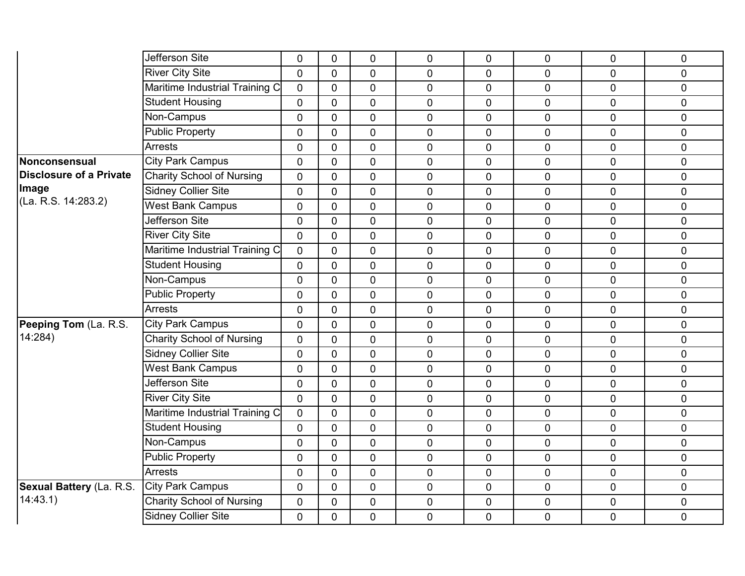|                          | Jefferson Site                   | 0              | $\mathbf 0$    | 0              | 0              | 0              | 0              | $\mathbf 0$    | 0              |
|--------------------------|----------------------------------|----------------|----------------|----------------|----------------|----------------|----------------|----------------|----------------|
|                          | <b>River City Site</b>           | $\overline{0}$ | $\Omega$       | $\Omega$       | $\overline{0}$ | $\Omega$       | $\overline{0}$ | $\overline{0}$ | $\mathbf 0$    |
|                          | Maritime Industrial Training C   | 0              | $\mathbf{0}$   | $\overline{0}$ | $\mathbf 0$    | 0              | 0              | $\mathbf 0$    | $\mathbf 0$    |
|                          | <b>Student Housing</b>           | 0              | $\mathbf 0$    | $\overline{0}$ | $\mathbf 0$    | $\overline{0}$ | 0              | $\overline{0}$ | $\mathbf 0$    |
|                          | Non-Campus                       | 0              | $\overline{0}$ | $\overline{0}$ | $\mathbf 0$    | $\overline{0}$ | 0              | $\overline{0}$ | $\mathbf 0$    |
|                          | <b>Public Property</b>           | 0              | $\mathbf{0}$   | $\overline{0}$ | $\overline{0}$ | $\overline{0}$ | 0              | $\overline{0}$ | $\pmb{0}$      |
|                          | <b>Arrests</b>                   | 0              | $\mathbf{0}$   | $\mathbf 0$    | $\overline{0}$ | $\overline{0}$ | $\overline{0}$ | $\overline{0}$ | $\mathbf 0$    |
| Nonconsensual            | <b>City Park Campus</b>          | 0              | $\overline{0}$ | $\overline{0}$ | $\mathbf 0$    | $\overline{0}$ | 0              | $\overline{0}$ | $\mathbf 0$    |
| Disclosure of a Private  | <b>Charity School of Nursing</b> | 0              | $\mathbf 0$    | $\mathbf 0$    | $\mathbf 0$    | 0              | 0              | $\mathbf 0$    | $\pmb{0}$      |
| Image                    | <b>Sidney Collier Site</b>       | 0              | $\overline{0}$ | $\mathbf 0$    | $\mathbf 0$    | $\overline{0}$ | $\overline{0}$ | $\overline{0}$ | $\mathbf 0$    |
| (La. R.S. 14:283.2)      | <b>West Bank Campus</b>          | 0              | $\overline{0}$ | $\Omega$       | $\mathbf 0$    | $\overline{0}$ | 0              | $\overline{0}$ | $\mathbf 0$    |
|                          | <b>Jefferson Site</b>            | 0              | $\mathbf 0$    | $\overline{0}$ | $\mathbf 0$    | 0              | 0              | $\mathbf 0$    | $\pmb{0}$      |
|                          | <b>River City Site</b>           | $\overline{0}$ | $\mathbf{0}$   | $\overline{0}$ | $\mathbf 0$    | 0              | 0              | $\overline{0}$ | $\mathbf 0$    |
|                          | Maritime Industrial Training C   | $\overline{0}$ | $\mathbf{0}$   | $\overline{0}$ | $\mathbf 0$    | $\overline{0}$ | $\overline{0}$ | $\overline{0}$ | $\mathbf 0$    |
|                          | <b>Student Housing</b>           | 0              | $\mathbf 0$    | $\mathbf 0$    | $\mathbf 0$    | $\mathbf 0$    | 0              | 0              | $\pmb{0}$      |
|                          | Non-Campus                       | 0              | $\overline{0}$ | $\mathbf 0$    | $\mathbf 0$    | $\mathbf 0$    | 0              | $\mathbf 0$    | $\pmb{0}$      |
|                          | <b>Public Property</b>           | 0              | $\overline{0}$ | $\overline{0}$ | $\mathbf 0$    | $\overline{0}$ | 0              | $\overline{0}$ | $\overline{0}$ |
|                          | <b>Arrests</b>                   | 0              | $\mathbf{0}$   | $\overline{0}$ | $\mathbf 0$    | $\overline{0}$ | 0              | $\overline{0}$ | $\mathbf 0$    |
| Peeping Tom (La. R.S.    | <b>City Park Campus</b>          | 0              | $\overline{0}$ | $\overline{0}$ | $\mathbf 0$    | $\overline{0}$ | 0              | $\overline{0}$ | $\mathbf 0$    |
| 14:284)                  | <b>Charity School of Nursing</b> | $\overline{0}$ | $\mathbf{0}$   | $\overline{0}$ | $\mathbf 0$    | $\overline{0}$ | 0              | $\overline{0}$ | $\mathbf 0$    |
|                          | <b>Sidney Collier Site</b>       | 0              | $\mathbf{0}$   | $\mathbf 0$    | $\mathbf 0$    | $\overline{0}$ | 0              | $\mathbf 0$    | $\mathbf 0$    |
|                          | <b>West Bank Campus</b>          | 0              | $\mathbf 0$    | $\mathbf 0$    | $\mathbf 0$    | $\mathbf 0$    | 0              | $\overline{0}$ | $\pmb{0}$      |
|                          | Jefferson Site                   | 0              | $\mathbf 0$    | $\overline{0}$ | $\overline{0}$ | 0              | $\overline{0}$ | $\overline{0}$ | $\mathbf 0$    |
|                          | <b>River City Site</b>           | 0              | $\mathbf{0}$   | $\overline{0}$ | $\mathbf 0$    | $\overline{0}$ | 0              | $\overline{0}$ | $\mathbf 0$    |
|                          | Maritime Industrial Training C   | 0              | $\mathbf{0}$   | $\mathbf 0$    | $\overline{0}$ | 0              | 0              | $\mathbf 0$    | $\mathbf 0$    |
|                          | <b>Student Housing</b>           | $\overline{0}$ | $\mathbf 0$    | $\overline{0}$ | $\overline{0}$ | $\overline{0}$ | $\overline{0}$ | $\overline{0}$ | $\mathbf 0$    |
|                          | Non-Campus                       | 0              | $\mathbf{0}$   | $\overline{0}$ | $\mathbf 0$    | $\overline{0}$ | $\overline{0}$ | $\overline{0}$ | $\mathbf 0$    |
|                          | <b>Public Property</b>           | 0              | $\mathbf{0}$   | $\mathbf 0$    | $\mathbf 0$    | $\mathbf 0$    | 0              | $\mathbf 0$    | $\mathbf 0$    |
|                          | <b>Arrests</b>                   | 0              | $\mathbf 0$    | $\mathbf 0$    | $\mathbf 0$    | 0              | 0              | $\mathbf 0$    | $\mathbf 0$    |
| Sexual Battery (La. R.S. | <b>City Park Campus</b>          | $\overline{0}$ | $\mathbf{0}$   | $\mathbf 0$    | $\mathbf 0$    | 0              | 0              | $\mathbf 0$    | $\mathbf 0$    |
| 14:43.1)                 | <b>Charity School of Nursing</b> | 0              | $\overline{0}$ | $\mathbf 0$    | $\mathbf 0$    | $\overline{0}$ | 0              | $\mathbf 0$    | $\mathbf 0$    |
|                          | <b>Sidney Collier Site</b>       | 0              | 0              | $\mathbf 0$    | $\mathbf 0$    | 0              | 0              | 0              | $\mathbf 0$    |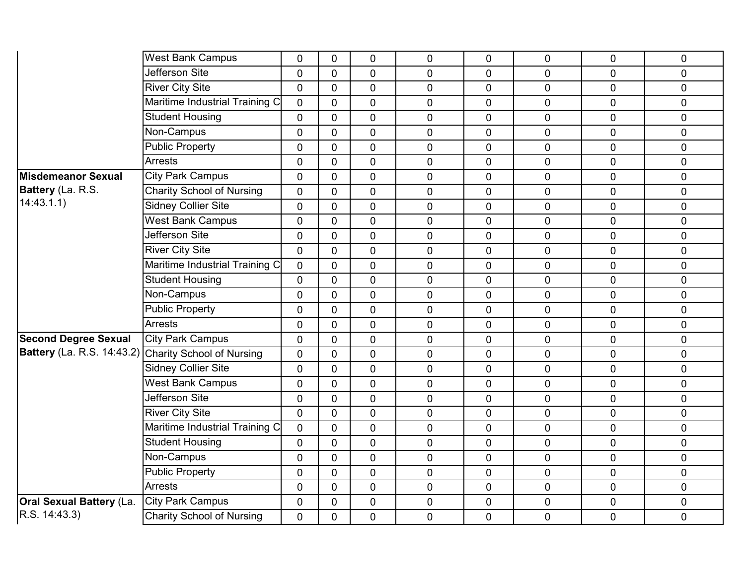|                                 | <b>West Bank Campus</b>          | 0              | $\mathbf 0$    | $\mathbf 0$    | $\mathbf 0$    | 0              | 0              | $\mathbf 0$    | 0           |
|---------------------------------|----------------------------------|----------------|----------------|----------------|----------------|----------------|----------------|----------------|-------------|
|                                 | Jefferson Site                   | 0              | $\mathbf 0$    | $\overline{0}$ | $\mathbf 0$    | $\overline{0}$ | 0              | $\Omega$       | $\mathbf 0$ |
|                                 | <b>River City Site</b>           | $\mathbf 0$    | $\mathbf{0}$   | $\mathbf 0$    | $\mathbf 0$    | 0              | $\pmb{0}$      | $\mathbf 0$    | $\pmb{0}$   |
|                                 | Maritime Industrial Training C   | 0              | $\mathbf 0$    | $\mathbf 0$    | $\overline{0}$ | $\overline{0}$ | 0              | $\mathbf 0$    | $\mathbf 0$ |
|                                 | <b>Student Housing</b>           | $\overline{0}$ | $\mathbf 0$    | $\overline{0}$ | $\overline{0}$ | $\overline{0}$ | 0              | $\mathbf 0$    | $\mathbf 0$ |
|                                 | Non-Campus                       | 0              | $\mathbf 0$    | $\overline{0}$ | $\mathbf 0$    | $\mathbf 0$    | $\mathbf 0$    | $\mathbf 0$    | $\mathbf 0$ |
|                                 | <b>Public Property</b>           | 0              | $\mathbf{0}$   | $\mathbf 0$    | $\mathbf 0$    | 0              | $\mathbf 0$    | $\mathbf 0$    | $\pmb{0}$   |
|                                 | <b>Arrests</b>                   | 0              | $\mathbf{0}$   | $\overline{0}$ | $\mathbf 0$    | $\overline{0}$ | $\mathbf 0$    | $\mathbf 0$    | $\mathbf 0$ |
| Misdemeanor Sexual              | <b>City Park Campus</b>          | 0              | $\mathbf 0$    | $\overline{0}$ | $\mathbf 0$    | 0              | $\mathbf 0$    | $\mathbf 0$    | $\pmb{0}$   |
| Battery (La. R.S.               | <b>Charity School of Nursing</b> | 0              | $\mathbf 0$    | $\mathbf 0$    | $\mathbf 0$    | 0              | $\mathbf 0$    | $\mathbf 0$    | $\pmb{0}$   |
| 14:43.1.1)                      | Sidney Collier Site              | $\mathbf 0$    | $\mathbf{0}$   | $\overline{0}$ | $\mathbf 0$    | 0              | $\mathbf 0$    | $\Omega$       | $\mathbf 0$ |
|                                 | <b>West Bank Campus</b>          | 0              | $\mathbf 0$    | $\overline{0}$ | $\overline{0}$ | $\mathbf 0$    | $\overline{0}$ | $\overline{0}$ | $\mathbf 0$ |
|                                 | Jefferson Site                   | 0              | $\mathbf 0$    | $\overline{0}$ | $\mathbf 0$    | $\overline{0}$ | $\mathbf 0$    | $\mathbf 0$    | $\mathbf 0$ |
|                                 | <b>River City Site</b>           | $\overline{0}$ | $\mathbf 0$    | $\overline{0}$ | $\mathbf 0$    | $\overline{0}$ | 0              | $\mathbf 0$    | $\mathbf 0$ |
|                                 | Maritime Industrial Training C   | $\overline{0}$ | $\Omega$       | $\overline{0}$ | $\pmb{0}$      | 0              | $\mathbf 0$    | $\overline{0}$ | $\pmb{0}$   |
|                                 | <b>Student Housing</b>           | 0              | $\mathbf 0$    | $\mathbf 0$    | $\mathbf 0$    | $\overline{0}$ | $\mathbf 0$    | $\overline{0}$ | $\pmb{0}$   |
|                                 | Non-Campus                       | 0              | $\mathbf 0$    | $\overline{0}$ | $\overline{0}$ | $\overline{0}$ | 0              | $\mathbf 0$    | $\mathbf 0$ |
|                                 | <b>Public Property</b>           | $\mathbf 0$    | $\mathbf 0$    | $\mathbf 0$    | $\mathbf 0$    | 0              | $\overline{0}$ | $\overline{0}$ | $\pmb{0}$   |
|                                 | Arrests                          | 0              | $\mathbf{0}$   | $\mathbf 0$    | $\mathbf 0$    | $\overline{0}$ | $\mathbf 0$    | $\Omega$       | $\pmb{0}$   |
| <b>Second Degree Sexual</b>     | <b>City Park Campus</b>          | 0              | $\mathbf{0}$   | $\overline{0}$ | $\mathbf 0$    | $\overline{0}$ | 0              | $\mathbf 0$    | $\mathbf 0$ |
| Battery (La. R.S. 14:43.2)      | <b>Charity School of Nursing</b> | $\overline{0}$ | $\mathbf 0$    | $\mathbf 0$    | $\mathbf 0$    | 0              | $\mathbf 0$    | $\mathbf 0$    | $\pmb{0}$   |
|                                 | <b>Sidney Collier Site</b>       | 0              | $\mathbf 0$    | $\mathbf 0$    | $\mathbf 0$    | 0              | $\pmb{0}$      | $\mathbf 0$    | $\pmb{0}$   |
|                                 | <b>West Bank Campus</b>          | 0              | $\mathbf{0}$   | $\overline{0}$ | $\overline{0}$ | $\overline{0}$ | 0              | $\mathbf 0$    | $\mathbf 0$ |
|                                 | <b>Jefferson Site</b>            | $\overline{0}$ | $\mathbf{0}$   | $\overline{0}$ | $\mathbf 0$    | $\overline{0}$ | 0              | $\overline{0}$ | $\mathbf 0$ |
|                                 | <b>River City Site</b>           | 0              | $\mathbf 0$    | $\overline{0}$ | $\overline{0}$ | $\overline{0}$ | $\mathbf 0$    | $\mathbf 0$    | $\mathbf 0$ |
|                                 | Maritime Industrial Training C   | 0              | $\mathbf 0$    | $\overline{0}$ | $\mathbf 0$    | 0              | 0              | $\overline{0}$ | $\mathbf 0$ |
|                                 | <b>Student Housing</b>           | $\overline{0}$ | $\mathbf 0$    | $\overline{0}$ | $\mathbf 0$    | $\overline{0}$ | $\mathbf 0$    | $\mathbf 0$    | $\mathbf 0$ |
|                                 | Non-Campus                       | 0              | $\overline{0}$ | $\overline{0}$ | $\mathbf 0$    | 0              | $\mathbf 0$    | $\mathbf 0$    | $\mathbf 0$ |
|                                 | <b>Public Property</b>           | 0              | $\mathbf 0$    | $\mathbf 0$    | $\mathbf 0$    | 0              | 0              | $\mathbf 0$    | $\mathbf 0$ |
|                                 | <b>Arrests</b>                   | $\overline{0}$ | $\mathbf{0}$   | $\mathbf 0$    | $\mathbf 0$    | 0              | $\pmb{0}$      | $\mathbf 0$    | $\mathbf 0$ |
| <b>Oral Sexual Battery (La.</b> | <b>City Park Campus</b>          | 0              | $\Omega$       | $\mathbf 0$    | $\mathbf 0$    | $\mathbf 0$    | $\mathbf 0$    | $\mathbf{0}$   | $\pmb{0}$   |
| R.S. 14:43.3)                   | <b>Charity School of Nursing</b> | 0              | $\overline{0}$ | $\mathbf 0$    | $\mathbf 0$    | 0              | $\mathbf 0$    | $\mathbf 0$    | $\mathbf 0$ |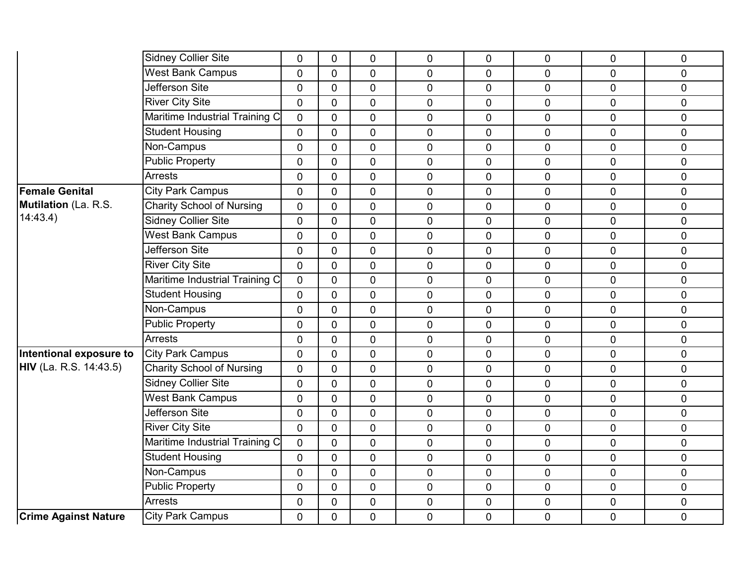|                               | Sidney Collier Site              | 0              | $\overline{0}$ | $\mathbf 0$    | 0              | 0              | 0              | $\mathbf{0}$   | 0              |
|-------------------------------|----------------------------------|----------------|----------------|----------------|----------------|----------------|----------------|----------------|----------------|
|                               | <b>West Bank Campus</b>          | 0              | $\overline{0}$ | $\overline{0}$ | $\overline{0}$ | $\overline{0}$ | 0              | $\mathbf 0$    | $\mathbf 0$    |
|                               | Jefferson Site                   | 0              | $\Omega$       | $\mathbf 0$    | $\mathbf 0$    | 0              | 0              | $\mathbf 0$    | $\pmb{0}$      |
|                               | <b>River City Site</b>           | 0              | $\Omega$       | $\overline{0}$ | $\overline{0}$ | 0              | 0              | $\mathbf 0$    | $\mathbf 0$    |
|                               | Maritime Industrial Training C   | $\overline{0}$ | $\Omega$       | $\overline{0}$ | $\overline{0}$ | $\overline{0}$ | $\overline{0}$ | $\mathbf 0$    | $\mathbf 0$    |
|                               | <b>Student Housing</b>           | $\overline{0}$ | $\overline{0}$ | $\mathbf 0$    | $\overline{0}$ | $\mathbf 0$    | $\overline{0}$ | $\mathbf 0$    | $\mathbf 0$    |
|                               | Non-Campus                       | 0              | $\overline{0}$ | $\mathbf 0$    | 0              | 0              | 0              | $\mathbf 0$    | $\pmb{0}$      |
|                               | <b>Public Property</b>           | 0              | $\mathbf{0}$   | $\overline{0}$ | $\overline{0}$ | $\overline{0}$ | 0              | $\Omega$       | $\pmb{0}$      |
|                               | <b>Arrests</b>                   | $\overline{0}$ | $\mathbf{0}$   | $\overline{0}$ | $\overline{0}$ | 0              | $\overline{0}$ | $\overline{0}$ | $\pmb{0}$      |
| <b>Female Genital</b>         | <b>City Park Campus</b>          | $\overline{0}$ | $\mathbf 0$    | $\mathbf 0$    | 0              | 0              | 0              | $\mathbf 0$    | $\mathbf 0$    |
| Mutilation (La. R.S.          | <b>Charity School of Nursing</b> | $\overline{0}$ | $\mathbf{0}$   | 0              | $\overline{0}$ | 0              | 0              | $\mathbf 0$    | $\mathbf 0$    |
| 14:43.4)                      | <b>Sidney Collier Site</b>       | 0              | $\mathbf{0}$   | $\mathbf 0$    | 0              | 0              | $\overline{0}$ | $\mathbf 0$    | $\pmb{0}$      |
|                               | <b>West Bank Campus</b>          | 0              | $\Omega$       | $\mathbf{0}$   | $\overline{0}$ | $\overline{0}$ | $\overline{0}$ | $\mathbf 0$    | $\mathbf 0$    |
|                               | Jefferson Site                   | $\overline{0}$ | $\mathbf{0}$   | $\overline{0}$ | $\overline{0}$ | $\overline{0}$ | 0              | $\Omega$       | $\overline{0}$ |
|                               | <b>River City Site</b>           | 0              | $\mathbf 0$    | $\mathbf 0$    | 0              | $\mathbf 0$    | 0              | $\overline{0}$ | $\pmb{0}$      |
|                               | Maritime Industrial Training C   | 0              | $\mathbf 0$    | 0              | $\mathbf 0$    | 0              | 0              | $\mathbf 0$    | $\pmb{0}$      |
|                               | <b>Student Housing</b>           | $\overline{0}$ | $\Omega$       | 0              | $\overline{0}$ | $\overline{0}$ | 0              | $\mathbf 0$    | $\overline{0}$ |
|                               | Non-Campus                       | 0              | $\Omega$       | $\mathbf 0$    | $\overline{0}$ | $\mathbf 0$    | 0              | $\mathbf 0$    | $\mathbf 0$    |
|                               | <b>Public Property</b>           | $\overline{0}$ | $\overline{0}$ | 0              | $\overline{0}$ | $\overline{0}$ | 0              | $\mathbf 0$    | $\mathbf 0$    |
|                               | <b>Arrests</b>                   | $\overline{0}$ | $\overline{0}$ | $\overline{0}$ | $\overline{0}$ | 0              | $\overline{0}$ | $\mathbf 0$    | $\mathbf 0$    |
| Intentional exposure to       | <b>City Park Campus</b>          | 0              | $\Omega$       | $\mathbf 0$    | 0              | 0              | 0              | $\mathbf 0$    | $\pmb{0}$      |
| <b>HIV</b> (La. R.S. 14:43.5) | <b>Charity School of Nursing</b> | 0              | $\overline{0}$ | 0              | 0              | 0              | 0              | $\overline{0}$ | $\mathbf 0$    |
|                               | <b>Sidney Collier Site</b>       | $\overline{0}$ | $\overline{0}$ | $\overline{0}$ | $\overline{0}$ | $\overline{0}$ | $\overline{0}$ | $\mathbf 0$    | $\mathbf 0$    |
|                               | <b>West Bank Campus</b>          | $\overline{0}$ | $\overline{0}$ | $\mathbf 0$    | 0              | 0              | 0              | $\overline{0}$ | $\mathbf 0$    |
|                               | Jefferson Site                   | $\overline{0}$ | $\Omega$       | $\mathbf 0$    | 0              | $\mathbf 0$    | 0              | $\Omega$       | $\pmb{0}$      |
|                               | <b>River City Site</b>           | $\overline{0}$ | $\mathbf{0}$   | $\overline{0}$ | $\overline{0}$ | $\overline{0}$ | $\overline{0}$ | $\mathbf 0$    | $\mathbf 0$    |
|                               | Maritime Industrial Training C   | 0              | $\overline{0}$ | $\mathbf 0$    | $\overline{0}$ | 0              | 0              | $\overline{0}$ | $\pmb{0}$      |
|                               | <b>Student Housing</b>           | 0              | $\overline{0}$ | $\mathbf 0$    | 0              | $\mathbf 0$    | 0              | $\mathbf 0$    | $\pmb{0}$      |
|                               | Non-Campus                       | 0              | $\Omega$       | 0              | 0              | 0              | 0              | $\overline{0}$ | $\pmb{0}$      |
|                               | <b>Public Property</b>           | $\overline{0}$ | $\Omega$       | $\mathbf 0$    | $\overline{0}$ | $\overline{0}$ | 0              | $\mathbf 0$    | $\mathbf 0$    |
|                               | <b>Arrests</b>                   | 0              | $\mathbf{0}$   | $\mathbf 0$    | 0              | $\mathbf 0$    | 0              | $\mathbf 0$    | $\pmb{0}$      |
| <b>Crime Against Nature</b>   | <b>City Park Campus</b>          | 0              | 0              | 0              | 0              | 0              | 0              | $\overline{0}$ | $\mathbf 0$    |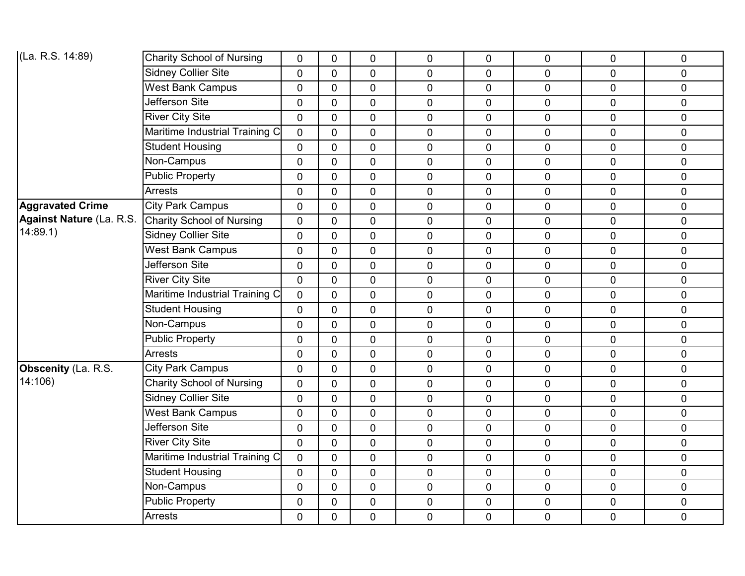| (La. R.S. 14:89)                | <b>Charity School of Nursing</b> | $\mathbf 0$    | $\overline{0}$ | $\mathbf 0$    | $\overline{0}$ | $\mathbf 0$    | $\mathbf 0$    | $\mathbf 0$    | $\pmb{0}$   |
|---------------------------------|----------------------------------|----------------|----------------|----------------|----------------|----------------|----------------|----------------|-------------|
|                                 | <b>Sidney Collier Site</b>       | $\overline{0}$ | $\overline{0}$ | $\overline{0}$ | $\overline{0}$ | $\overline{0}$ | $\overline{0}$ | $\overline{0}$ | $\mathbf 0$ |
|                                 | <b>West Bank Campus</b>          | $\mathbf 0$    | $\overline{0}$ | $\mathbf 0$    | $\pmb{0}$      | 0              | 0              | $\mathbf 0$    | $\pmb{0}$   |
|                                 | Jefferson Site                   | $\mathbf 0$    | $\overline{0}$ | $\mathbf 0$    | $\mathbf 0$    | $\mathbf 0$    | 0              | $\mathbf 0$    | $\mathbf 0$ |
|                                 | <b>River City Site</b>           | $\mathbf 0$    | $\overline{0}$ | $\mathbf 0$    | $\mathbf 0$    | 0              | $\mathbf 0$    | $\mathbf 0$    | $\mathbf 0$ |
|                                 | Maritime Industrial Training C   | $\mathbf 0$    | $\overline{0}$ | $\mathbf 0$    | $\mathbf 0$    | 0              | 0              | $\mathbf 0$    | $\mathbf 0$ |
|                                 | <b>Student Housing</b>           | $\mathbf 0$    | $\overline{0}$ | $\mathbf 0$    | $\mathbf 0$    | $\mathbf 0$    | 0              | $\mathbf 0$    | $\mathbf 0$ |
|                                 | Non-Campus                       | $\mathbf 0$    | $\mathbf 0$    | $\mathbf 0$    | $\mathbf 0$    | 0              | $\mathbf 0$    | $\mathbf 0$    | $\mathbf 0$ |
|                                 | <b>Public Property</b>           | $\overline{0}$ | $\overline{0}$ | $\overline{0}$ | $\pmb{0}$      | $\overline{0}$ | 0              | $\mathbf 0$    | $\pmb{0}$   |
|                                 | <b>Arrests</b>                   | $\mathbf 0$    | $\overline{0}$ | $\mathbf 0$    | $\mathbf 0$    | $\mathbf 0$    | 0              | $\mathbf 0$    | $\mathbf 0$ |
| <b>Aggravated Crime</b>         | <b>City Park Campus</b>          | $\mathbf 0$    | $\mathbf 0$    | $\mathbf 0$    | $\mathbf 0$    | 0              | $\mathbf 0$    | $\mathbf 0$    | $\pmb{0}$   |
| <b>Against Nature (La. R.S.</b> | <b>Charity School of Nursing</b> | $\overline{0}$ | $\mathbf 0$    | $\overline{0}$ | $\overline{0}$ | $\overline{0}$ | 0              | $\mathbf 0$    | $\pmb{0}$   |
| 14:89.1                         | <b>Sidney Collier Site</b>       | $\overline{0}$ | $\overline{0}$ | $\overline{0}$ | $\mathbf 0$    | $\mathbf 0$    | 0              | $\mathbf 0$    | $\mathbf 0$ |
|                                 | West Bank Campus                 | $\mathbf 0$    | $\Omega$       | $\mathbf 0$    | $\mathbf 0$    | 0              | $\overline{0}$ | $\mathbf 0$    | $\pmb{0}$   |
|                                 | Jefferson Site                   | $\mathbf 0$    | $\mathbf{0}$   | $\overline{0}$ | $\mathbf 0$    | 0              | 0              | $\mathbf 0$    | $\mathbf 0$ |
|                                 | <b>River City Site</b>           | $\mathbf 0$    | $\mathbf 0$    | $\mathbf 0$    | $\mathbf 0$    | $\mathbf 0$    | 0              | $\mathbf 0$    | $\pmb{0}$   |
|                                 | Maritime Industrial Training C   | $\overline{0}$ | $\Omega$       | $\overline{0}$ | $\overline{0}$ | $\overline{0}$ | $\mathbf 0$    | $\mathbf 0$    | $\mathbf 0$ |
|                                 | <b>Student Housing</b>           | $\overline{0}$ | $\overline{0}$ | $\overline{0}$ | $\overline{0}$ | $\overline{0}$ | $\mathbf 0$    | $\mathbf 0$    | $\mathbf 0$ |
|                                 | Non-Campus                       | $\mathbf 0$    | $\mathbf 0$    | $\mathbf 0$    | $\mathbf 0$    | $\mathbf 0$    | 0              | $\mathbf 0$    | $\pmb{0}$   |
|                                 | <b>Public Property</b>           | $\mathbf 0$    | $\Omega$       | $\overline{0}$ | $\overline{0}$ | $\overline{0}$ | $\mathbf 0$    | $\overline{0}$ | $\mathbf 0$ |
|                                 | <b>Arrests</b>                   | $\overline{0}$ | $\overline{0}$ | $\overline{0}$ | $\mathbf 0$    | 0              | 0              | $\mathbf 0$    | $\mathbf 0$ |
| <b>Obscenity (La. R.S.</b>      | <b>City Park Campus</b>          | $\mathbf 0$    | $\mathbf 0$    | $\mathbf 0$    | $\pmb{0}$      | $\mathbf 0$    | 0              | $\mathbf 0$    | $\pmb{0}$   |
| 14:106)                         | <b>Charity School of Nursing</b> | $\overline{0}$ | $\Omega$       | $\mathbf 0$    | $\mathbf 0$    | $\overline{0}$ | $\overline{0}$ | $\mathbf 0$    | $\mathbf 0$ |
|                                 | <b>Sidney Collier Site</b>       | $\overline{0}$ | $\overline{0}$ | $\overline{0}$ | $\overline{0}$ | 0              | $\mathbf 0$    | $\mathbf 0$    | $\mathbf 0$ |
|                                 | <b>West Bank Campus</b>          | $\mathbf 0$    | $\mathbf{0}$   | $\mathbf 0$    | $\mathbf 0$    | $\mathbf 0$    | 0              | $\mathbf 0$    | $\mathbf 0$ |
|                                 | Jefferson Site                   | $\mathbf 0$    | $\Omega$       | $\overline{0}$ | $\mathbf 0$    | $\overline{0}$ | $\overline{0}$ | $\overline{0}$ | $\mathbf 0$ |
|                                 | <b>River City Site</b>           | $\overline{0}$ | $\overline{0}$ | $\mathbf 0$    | $\mathbf 0$    | 0              | 0              | $\mathbf 0$    | $\pmb{0}$   |
|                                 | Maritime Industrial Training C   | $\overline{0}$ | $\mathbf{0}$   | $\overline{0}$ | $\pmb{0}$      | $\mathbf 0$    | 0              | $\pmb{0}$      | $\pmb{0}$   |
|                                 | <b>Student Housing</b>           | $\mathbf 0$    | $\mathbf 0$    | $\mathbf 0$    | $\mathbf 0$    | 0              | 0              | $\mathbf 0$    | $\mathbf 0$ |
|                                 | Non-Campus                       | $\mathbf 0$    | $\overline{0}$ | $\mathbf 0$    | $\mathbf 0$    | $\overline{0}$ | $\mathbf 0$    | $\mathbf 0$    | $\pmb{0}$   |
|                                 | Public Property                  | $\mathbf 0$    | $\overline{0}$ | $\mathbf 0$    | $\mathbf 0$    | $\mathbf 0$    | $\pmb{0}$      | $\mathbf 0$    | $\pmb{0}$   |
|                                 | <b>Arrests</b>                   | $\mathbf 0$    | $\overline{0}$ | 0              | $\mathbf 0$    | 0              | $\overline{0}$ | $\overline{0}$ | $\mathbf 0$ |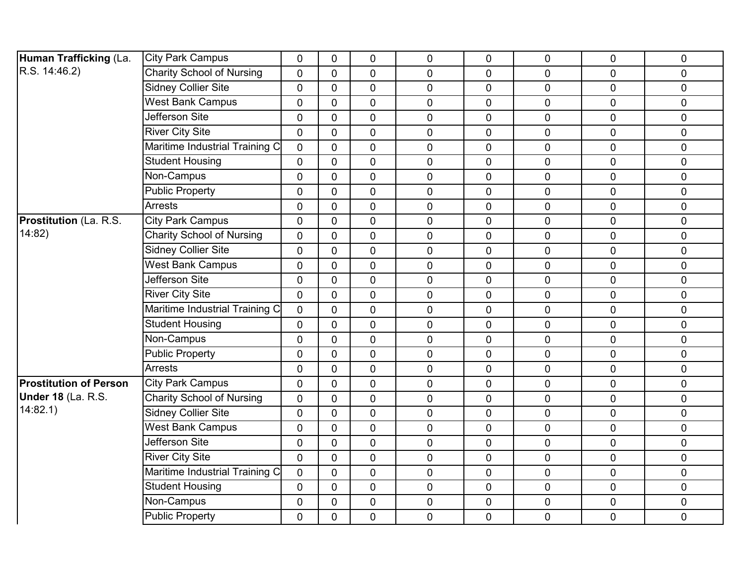| Human Trafficking (La.        | <b>City Park Campus</b>          | 0              | $\Omega$       | $\mathbf 0$    | $\mathbf 0$    | $\overline{0}$ | $\mathbf{0}$ | $\overline{0}$ | 0              |
|-------------------------------|----------------------------------|----------------|----------------|----------------|----------------|----------------|--------------|----------------|----------------|
| R.S. 14:46.2)                 | <b>Charity School of Nursing</b> | 0              | $\mathbf 0$    | $\overline{0}$ | $\mathbf 0$    | $\overline{0}$ | $\mathbf 0$  | 0              | $\mathbf 0$    |
|                               | <b>Sidney Collier Site</b>       | $\overline{0}$ | $\mathbf 0$    | $\mathbf 0$    | $\mathbf 0$    | $\mathbf 0$    | $\mathbf 0$  | 0              | $\mathbf 0$    |
|                               | West Bank Campus                 | 0              | $\Omega$       | $\overline{0}$ | $\mathbf 0$    | $\mathbf 0$    | $\mathbf 0$  | 0              | 0              |
|                               | Jefferson Site                   | 0              | $\mathbf 0$    | $\mathbf 0$    | $\mathbf 0$    | $\overline{0}$ | $\mathbf 0$  | 0              | $\mathbf 0$    |
|                               | <b>River City Site</b>           | 0              | $\overline{0}$ | $\mathbf 0$    | $\mathbf 0$    | $\overline{0}$ | $\mathbf 0$  | $\overline{0}$ | $\mathbf 0$    |
|                               | Maritime Industrial Training C   | $\mathbf{0}$   | $\Omega$       | $\overline{0}$ | $\mathbf 0$    | $\overline{0}$ | $\mathbf 0$  | $\overline{0}$ | 0              |
|                               | <b>Student Housing</b>           | 0              | $\mathbf 0$    | $\mathbf 0$    | $\mathbf 0$    | $\overline{0}$ | $\mathbf 0$  | 0              | $\mathbf 0$    |
|                               | Non-Campus                       | 0              | $\Omega$       | $\overline{0}$ | $\mathbf 0$    | $\mathbf 0$    | $\mathbf 0$  | $\overline{0}$ | $\pmb{0}$      |
|                               | <b>Public Property</b>           | 0              | $\Omega$       | $\overline{0}$ | $\mathbf 0$    | $\mathbf 0$    | $\mathbf 0$  | 0              | 0              |
|                               | <b>Arrests</b>                   | 0              | $\mathbf 0$    | $\mathbf 0$    | $\mathbf 0$    | $\overline{0}$ | $\mathbf 0$  | 0              | $\mathbf 0$    |
| <b>Prostitution</b> (La. R.S. | <b>City Park Campus</b>          | 0              | $\overline{0}$ | $\mathbf 0$    | $\mathbf 0$    | $\overline{0}$ | $\mathbf 0$  | $\overline{0}$ | $\mathbf 0$    |
| 14:82)                        | <b>Charity School of Nursing</b> | $\mathbf{0}$   | $\Omega$       | $\overline{0}$ | $\mathbf 0$    | $\overline{0}$ | $\mathbf 0$  | $\overline{0}$ | 0              |
|                               | <b>Sidney Collier Site</b>       | 0              | $\overline{0}$ | $\mathbf 0$    | $\mathbf 0$    | $\overline{0}$ | $\mathbf 0$  | $\mathbf 0$    | 0              |
|                               | <b>West Bank Campus</b>          | 0              | $\mathbf{0}$   | $\overline{0}$ | $\mathbf 0$    | $\overline{0}$ | $\mathbf 0$  | 0              | $\pmb{0}$      |
|                               | Jefferson Site                   | 0              | $\mathbf 0$    | $\overline{0}$ | $\mathbf 0$    | $\mathbf 0$    | $\mathbf 0$  | 0              | $\overline{0}$ |
|                               | <b>River City Site</b>           | $\mathbf 0$    | $\mathbf 0$    | $\mathbf 0$    | $\mathbf 0$    | $\mathbf 0$    | $\mathbf 0$  | 0              | $\pmb{0}$      |
|                               | Maritime Industrial Training C   | $\mathbf 0$    | $\Omega$       | $\overline{0}$ | $\mathbf 0$    | $\overline{0}$ | $\mathbf 0$  | 0              | $\pmb{0}$      |
|                               | <b>Student Housing</b>           | $\mathbf 0$    | $\overline{0}$ | $\overline{0}$ | $\mathbf 0$    | $\mathbf 0$    | $\mathbf 0$  | 0              | $\overline{0}$ |
|                               | Non-Campus                       | 0              | $\overline{0}$ | $\mathbf 0$    | $\mathbf 0$    | $\mathbf 0$    | $\mathbf 0$  | 0              | $\mathbf 0$    |
|                               | <b>Public Property</b>           | 0              | $\Omega$       | $\overline{0}$ | $\mathbf 0$    | $\mathbf 0$    | $\mathbf 0$  | 0              | $\pmb{0}$      |
|                               | <b>Arrests</b>                   | 0              | $\overline{0}$ | $\overline{0}$ | $\mathbf 0$    | $\mathbf 0$    | $\mathbf 0$  | $\overline{0}$ | $\overline{0}$ |
| <b>Prostitution of Person</b> | <b>City Park Campus</b>          | 0              | $\overline{0}$ | $\mathbf 0$    | $\mathbf 0$    | $\mathbf 0$    | $\mathbf 0$  | 0              | $\pmb{0}$      |
| Under 18 (La. R.S.            | <b>Charity School of Nursing</b> | 0              | $\Omega$       | $\overline{0}$ | $\mathbf 0$    | $\overline{0}$ | $\mathbf 0$  | 0              | $\pmb{0}$      |
| 14:82.1)                      | <b>Sidney Collier Site</b>       | $\mathbf 0$    | $\mathbf 0$    | $\overline{0}$ | $\mathbf 0$    | $\mathbf 0$    | $\mathbf 0$  | 0              | $\overline{0}$ |
|                               | West Bank Campus                 | 0              | $\mathbf 0$    | $\mathbf 0$    | $\mathbf 0$    | $\mathbf 0$    | $\mathbf 0$  | 0              | $\mathbf 0$    |
|                               | Jefferson Site                   | 0              | $\Omega$       | $\overline{0}$ | $\mathbf 0$    | $\overline{0}$ | $\mathbf{0}$ | 0              | 0              |
|                               | <b>River City Site</b>           | $\mathbf{0}$   | $\mathbf 0$    | $\mathbf 0$    | $\mathbf 0$    | $\overline{0}$ | $\pmb{0}$    | $\overline{0}$ | $\mathbf 0$    |
|                               | Maritime Industrial Training C   | 0              | $\mathbf 0$    | $\mathbf 0$    | $\mathbf 0$    | $\mathbf 0$    | $\mathbf 0$  | 0              | $\pmb{0}$      |
|                               | <b>Student Housing</b>           | $\overline{0}$ | $\Omega$       | $\overline{0}$ | $\overline{0}$ | $\overline{0}$ | $\mathbf 0$  | 0              | 0              |
|                               | Non-Campus                       | $\mathbf 0$    | $\mathbf 0$    | $\mathbf 0$    | $\mathbf 0$    | $\mathbf 0$    | $\mathbf 0$  | 0              | 0              |
|                               | <b>Public Property</b>           | $\overline{0}$ | $\mathbf 0$    | $\mathbf 0$    | $\overline{0}$ | $\mathbf 0$    | $\mathbf 0$  | $\mathbf 0$    | $\mathbf 0$    |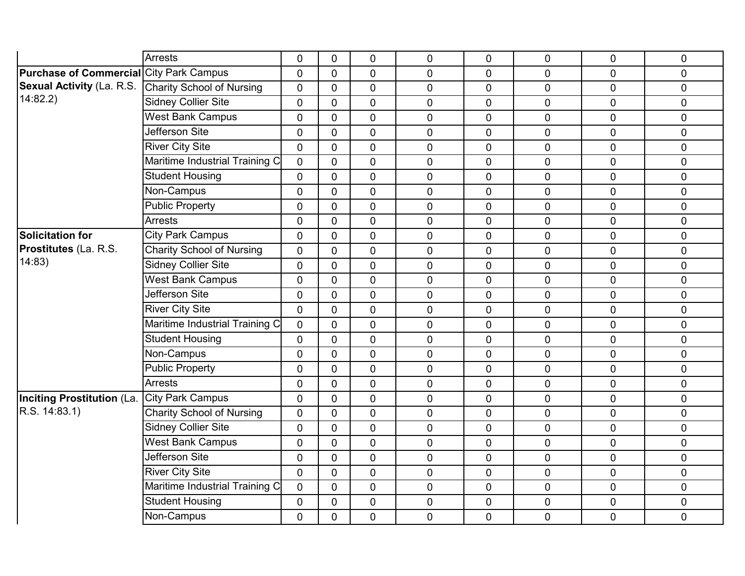|                                                | <b>Arrests</b>                   | 0              | $\mathbf 0$    | 0              | $\mathbf 0$    | 0              | 0              | $\mathbf 0$    | 0           |
|------------------------------------------------|----------------------------------|----------------|----------------|----------------|----------------|----------------|----------------|----------------|-------------|
| <b>Purchase of Commercial City Park Campus</b> |                                  | $\overline{0}$ | $\overline{0}$ | $\overline{0}$ | $\overline{0}$ | 0              | 0              | $\overline{0}$ |             |
| <b>Sexual Activity (La. R.S.</b>               |                                  |                |                |                |                |                |                |                | $\mathbf 0$ |
| 14:82.2                                        | <b>Charity School of Nursing</b> | $\overline{0}$ | $\Omega$       | $\mathbf 0$    | $\pmb{0}$      | $\pmb{0}$      | 0              | $\mathbf 0$    | $\pmb{0}$   |
|                                                | <b>Sidney Collier Site</b>       | $\mathbf 0$    | $\mathbf{0}$   | $\mathbf 0$    | $\mathbf 0$    | $\mathbf 0$    | $\overline{0}$ | $\mathbf 0$    | $\mathbf 0$ |
|                                                | West Bank Campus                 | $\Omega$       | $\mathbf{0}$   | $\overline{0}$ | 0              | 0              | 0              | $\Omega$       | $\mathbf 0$ |
|                                                | Jefferson Site                   | $\overline{0}$ | $\Omega$       | $\mathbf 0$    | $\mathbf 0$    | $\mathbf 0$    | 0              | $\mathbf 0$    | $\mathbf 0$ |
|                                                | <b>River City Site</b>           | $\mathbf 0$    | $\mathbf 0$    | $\mathbf 0$    | $\mathbf 0$    | $\mathbf 0$    | 0              | $\mathbf 0$    | $\pmb{0}$   |
|                                                | Maritime Industrial Training C   | $\Omega$       | $\Omega$       | $\overline{0}$ | $\overline{0}$ | $\Omega$       | 0              | $\Omega$       | $\mathbf 0$ |
|                                                | <b>Student Housing</b>           | $\mathbf 0$    | $\overline{0}$ | $\mathbf 0$    | $\mathbf 0$    | 0              | 0              | $\overline{0}$ | $\pmb{0}$   |
|                                                | Non-Campus                       | $\mathbf 0$    | $\mathbf 0$    | $\mathbf 0$    | $\mathbf 0$    | $\mathbf 0$    | 0              | $\overline{0}$ | $\pmb{0}$   |
|                                                | <b>Public Property</b>           | $\overline{0}$ | $\overline{0}$ | $\overline{0}$ | $\overline{0}$ | 0              | 0              | $\overline{0}$ | $\mathbf 0$ |
|                                                | <b>Arrests</b>                   | $\mathbf 0$    | $\mathbf 0$    | $\mathbf 0$    | $\mathbf 0$    | $\mathbf 0$    | 0              | $\mathbf 0$    | $\pmb{0}$   |
| <b>Solicitation for</b>                        | <b>City Park Campus</b>          | $\overline{0}$ | $\mathbf 0$    | $\mathbf 0$    | $\mathbf 0$    | $\mathbf 0$    | 0              | $\mathbf 0$    | $\pmb{0}$   |
| <b>Prostitutes</b> (La. R.S.                   | <b>Charity School of Nursing</b> | $\overline{0}$ | $\Omega$       | 0              | $\overline{0}$ | 0              | 0              | $\overline{0}$ | $\mathbf 0$ |
| 14:83)                                         | <b>Sidney Collier Site</b>       | $\mathbf 0$    | $\overline{0}$ | $\mathbf 0$    | $\mathbf 0$    | $\mathbf 0$    | 0              | $\mathbf 0$    | $\mathbf 0$ |
|                                                | West Bank Campus                 | $\mathbf 0$    | $\mathbf{0}$   | $\mathbf 0$    | $\mathbf 0$    | $\mathbf 0$    | 0              | $\mathbf 0$    | $\pmb{0}$   |
|                                                | Jefferson Site                   | $\overline{0}$ | $\mathbf 0$    | 0              | $\overline{0}$ | $\mathbf 0$    | $\overline{0}$ | $\mathbf 0$    | $\mathbf 0$ |
|                                                | <b>River City Site</b>           | $\Omega$       | $\Omega$       | $\mathbf 0$    | $\mathbf 0$    | $\mathbf 0$    | 0              | $\Omega$       | $\mathbf 0$ |
|                                                | Maritime Industrial Training C   | $\Omega$       | $\Omega$       | $\Omega$       | $\mathbf 0$    | $\overline{0}$ | 0              | $\Omega$       | $\mathbf 0$ |
|                                                | <b>Student Housing</b>           | $\mathbf 0$    | $\overline{0}$ | $\mathbf 0$    | $\overline{0}$ | $\mathbf 0$    | 0              | $\mathbf 0$    | $\mathbf 0$ |
|                                                | Non-Campus                       | $\overline{0}$ | $\overline{0}$ | $\mathbf 0$    | $\mathbf 0$    | 0              | 0              | $\mathbf 0$    | $\mathbf 0$ |
|                                                | <b>Public Property</b>           | $\mathbf 0$    | $\mathbf{0}$   | $\mathbf 0$    | 0              | $\mathbf 0$    | 0              | $\mathbf 0$    | $\pmb{0}$   |
|                                                | <b>Arrests</b>                   | $\mathbf 0$    | $\Omega$       | 0              | 0              | $\mathbf 0$    | 0              | $\mathbf 0$    | $\pmb{0}$   |
| Inciting Prostitution (La. City Park Campus    |                                  | $\overline{0}$ | $\mathbf{0}$   | 0              | $\overline{0}$ | 0              | 0              | $\mathbf 0$    | $\mathbf 0$ |
| R.S. 14:83.1)                                  | <b>Charity School of Nursing</b> | $\Omega$       | $\mathbf{0}$   | $\overline{0}$ | 0              | $\mathbf 0$    | $\overline{0}$ | $\mathbf 0$    | $\mathbf 0$ |
|                                                | <b>Sidney Collier Site</b>       | $\mathbf 0$    | $\mathbf 0$    | 0              | $\overline{0}$ | $\mathbf 0$    | 0              | $\mathbf 0$    | $\mathbf 0$ |
|                                                | <b>West Bank Campus</b>          | $\overline{0}$ | $\Omega$       | $\overline{0}$ | $\mathbf 0$    | $\mathbf 0$    | 0              | $\mathbf 0$    | $\mathbf 0$ |
|                                                | Jefferson Site                   | $\mathbf 0$    | $\mathbf{0}$   | $\mathbf 0$    | $\pmb{0}$      | $\pmb{0}$      | 0              | $\overline{0}$ | $\pmb{0}$   |
|                                                | <b>River City Site</b>           | $\mathbf 0$    | $\mathbf 0$    | $\mathbf 0$    | $\mathbf 0$    | $\overline{0}$ | 0              | $\mathbf 0$    | $\mathbf 0$ |
|                                                | Maritime Industrial Training C   | $\overline{0}$ | $\mathbf{0}$   | 0              | $\overline{0}$ | $\mathbf 0$    | 0              | $\mathbf 0$    | $\mathbf 0$ |
|                                                | <b>Student Housing</b>           | $\mathbf 0$    | $\mathbf 0$    | $\mathbf 0$    | $\mathbf 0$    | $\pmb{0}$      | 0              | $\overline{0}$ | $\pmb{0}$   |
|                                                | Non-Campus                       | $\mathbf 0$    | $\mathbf 0$    | $\mathbf 0$    | $\mathbf 0$    | $\mathbf 0$    | 0              | $\mathbf 0$    | $\mathbf 0$ |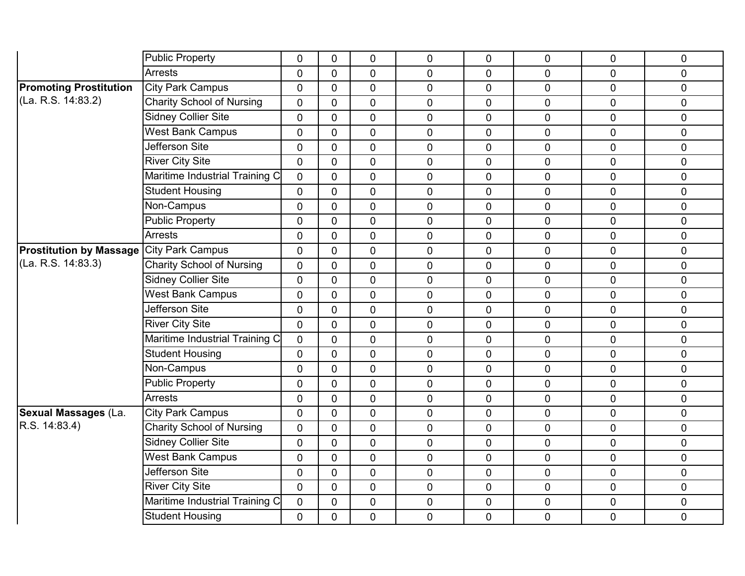|                                                 | Public Property                  | $\mathbf 0$    | $\mathbf 0$    | 0              | $\overline{0}$ | $\mathbf 0$    | $\mathbf 0$    | 0              | $\mathbf 0$  |
|-------------------------------------------------|----------------------------------|----------------|----------------|----------------|----------------|----------------|----------------|----------------|--------------|
|                                                 | <b>Arrests</b>                   | $\Omega$       | $\Omega$       | $\overline{0}$ | $\overline{0}$ | $\Omega$       | $\Omega$       | $\overline{0}$ | $\mathbf 0$  |
| <b>Promoting Prostitution</b>                   | <b>City Park Campus</b>          | $\overline{0}$ | $\Omega$       | $\mathbf 0$    | $\mathbf 0$    | $\mathbf 0$    | $\overline{0}$ | 0              | $\mathbf 0$  |
| (La. R.S. 14:83.2)                              | <b>Charity School of Nursing</b> | 0              | $\mathbf 0$    | 0              | 0              | $\mathbf 0$    | $\mathbf 0$    | $\overline{0}$ | $\mathbf 0$  |
|                                                 | <b>Sidney Collier Site</b>       | $\overline{0}$ | $\overline{0}$ | 0              | $\overline{0}$ | $\overline{0}$ | $\overline{0}$ | 0              | $\mathbf 0$  |
|                                                 | <b>West Bank Campus</b>          | $\mathbf 0$    | $\overline{0}$ | $\mathbf 0$    | $\mathbf 0$    | $\mathbf 0$    | $\overline{0}$ | 0              | $\pmb{0}$    |
|                                                 | <b>Jefferson Site</b>            | 0              | $\mathbf{0}$   | $\mathbf 0$    | $\overline{0}$ | $\mathbf 0$    | $\overline{0}$ | $\overline{0}$ | $\pmb{0}$    |
|                                                 | <b>River City Site</b>           | 0              | $\mathbf{0}$   | $\overline{0}$ | 0              | $\overline{0}$ | $\overline{0}$ | 0              | $\mathbf 0$  |
|                                                 | Maritime Industrial Training C   | $\overline{0}$ | $\mathbf{0}$   | $\mathbf 0$    | $\mathbf 0$    | $\mathbf 0$    | $\overline{0}$ | 0              | $\mathbf 0$  |
|                                                 | <b>Student Housing</b>           | $\mathbf 0$    | $\mathbf 0$    | 0              | $\mathbf 0$    | $\mathbf 0$    | $\mathbf 0$    | 0              | $\pmb{0}$    |
|                                                 | Non-Campus                       | $\overline{0}$ | $\mathbf{0}$   | $\overline{0}$ | $\overline{0}$ | 0              | $\overline{0}$ | $\overline{0}$ | $\mathbf 0$  |
|                                                 | <b>Public Property</b>           | $\Omega$       | $\Omega$       | $\Omega$       | $\mathbf 0$    | $\overline{0}$ | $\overline{0}$ | 0              | $\mathbf 0$  |
|                                                 | <b>Arrests</b>                   | 0              | $\mathbf{0}$   | $\mathbf 0$    | 0              | $\mathbf{0}$   | $\overline{0}$ | $\overline{0}$ | $\mathbf 0$  |
| <b>Prostitution by Massage City Park Campus</b> |                                  | 0              | $\mathbf 0$    | $\overline{0}$ | $\overline{0}$ | $\overline{0}$ | $\overline{0}$ | $\overline{0}$ | $\mathbf 0$  |
| (La. R.S. 14:83.3)                              | <b>Charity School of Nursing</b> | $\Omega$       | $\mathbf{0}$   | $\mathbf 0$    | $\mathbf 0$    | $\mathbf 0$    | $\overline{0}$ | 0              | $\mathbf 0$  |
|                                                 | <b>Sidney Collier Site</b>       | $\mathbf 0$    | $\mathbf{0}$   | $\mathbf 0$    | $\mathbf 0$    | $\mathbf{0}$   | $\overline{0}$ | $\overline{0}$ | $\mathbf 0$  |
|                                                 | <b>West Bank Campus</b>          | 0              | $\mathbf 0$    | 0              | 0              | $\mathbf{0}$   | $\overline{0}$ | $\overline{0}$ | $\mathbf 0$  |
|                                                 | Jefferson Site                   | 0              | $\mathbf 0$    | $\mathbf 0$    | $\overline{0}$ | $\overline{0}$ | $\overline{0}$ | $\overline{0}$ | $\mathbf 0$  |
|                                                 | <b>River City Site</b>           | $\mathbf 0$    | $\Omega$       | $\mathbf 0$    | 0              | $\mathbf 0$    | $\overline{0}$ | 0              | $\mathbf 0$  |
|                                                 | Maritime Industrial Training C   | 0              | $\mathbf{0}$   | $\Omega$       | $\overline{0}$ | $\overline{0}$ | $\overline{0}$ | 0              | $\mathbf{0}$ |
|                                                 | <b>Student Housing</b>           | 0              | $\mathbf{0}$   | $\overline{0}$ | $\overline{0}$ | $\overline{0}$ | $\overline{0}$ | 0              | $\mathbf 0$  |
|                                                 | Non-Campus                       | 0              | $\mathbf{0}$   | $\overline{0}$ | $\mathbf 0$    | $\mathbf 0$    | $\overline{0}$ | 0              | $\mathbf 0$  |
|                                                 | <b>Public Property</b>           | 0              | $\mathbf 0$    | 0              | $\mathbf 0$    | $\mathbf 0$    | $\overline{0}$ | 0              | $\mathbf 0$  |
|                                                 | <b>Arrests</b>                   | $\overline{0}$ | $\mathbf{0}$   | $\overline{0}$ | $\overline{0}$ | 0              | $\mathbf 0$    | $\overline{0}$ | $\mathbf 0$  |
| <b>Sexual Massages (La.</b>                     | <b>City Park Campus</b>          | $\Omega$       | $\mathbf{0}$   | $\mathbf 0$    | $\mathbf 0$    | $\mathbf{0}$   | $\overline{0}$ | 0              | $\mathbf 0$  |
| R.S. 14:83.4)                                   | <b>Charity School of Nursing</b> | 0              | $\Omega$       | 0              | 0              | $\overline{0}$ | $\overline{0}$ | $\overline{0}$ | $\mathbf 0$  |
|                                                 | <b>Sidney Collier Site</b>       | 0              | $\mathbf{0}$   | 0              | $\mathbf 0$    | $\overline{0}$ | $\overline{0}$ | 0              | $\mathbf 0$  |
|                                                 | <b>West Bank Campus</b>          | $\mathbf 0$    | $\mathbf{0}$   | $\mathbf 0$    | $\pmb{0}$      | $\mathbf 0$    | $\overline{0}$ | 0              | $\pmb{0}$    |
|                                                 | Jefferson Site                   | 0              | $\mathbf{0}$   | $\mathbf 0$    | $\mathbf 0$    | $\mathbf{0}$   | $\overline{0}$ | 0              | $\mathbf 0$  |
|                                                 | <b>River City Site</b>           | $\Omega$       | $\mathbf{0}$   | 0              | 0              | $\overline{0}$ | $\overline{0}$ | $\overline{0}$ | $\mathbf 0$  |
|                                                 | Maritime Industrial Training C   | $\mathbf 0$    | $\mathbf 0$    | $\mathbf 0$    | $\mathbf 0$    | $\mathbf 0$    | $\mathbf 0$    | 0              | $\pmb{0}$    |
|                                                 | <b>Student Housing</b>           | 0              | $\overline{0}$ | 0              | $\mathbf 0$    | 0              | $\overline{0}$ | 0              | $\mathbf 0$  |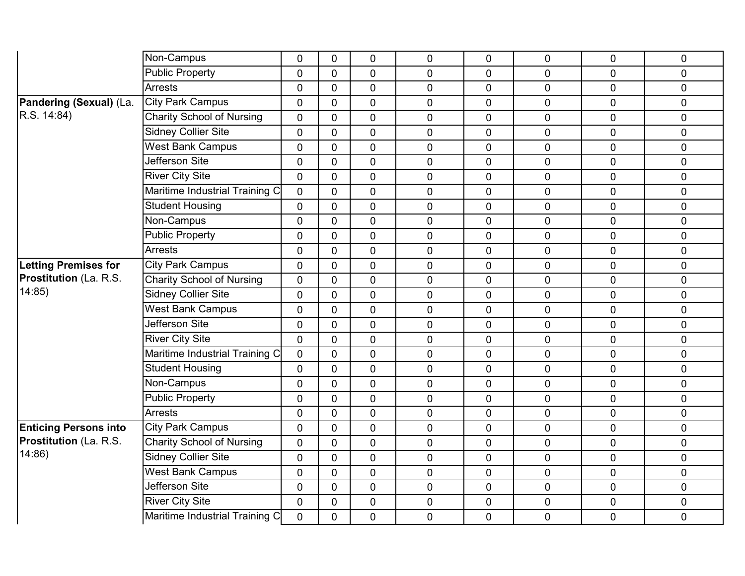|                              | Non-Campus                       | 0              | $\mathbf 0$    | 0              | 0              | 0              | 0              | $\mathbf 0$    | 0           |
|------------------------------|----------------------------------|----------------|----------------|----------------|----------------|----------------|----------------|----------------|-------------|
|                              | <b>Public Property</b>           | $\overline{0}$ | $\Omega$       | $\overline{0}$ | 0              | $\overline{0}$ | $\overline{0}$ | $\overline{0}$ | $\mathbf 0$ |
|                              | <b>Arrests</b>                   | $\mathbf 0$    | $\mathbf 0$    | $\mathbf 0$    | $\mathbf 0$    | 0              | 0              | $\mathbf 0$    | $\mathbf 0$ |
| Pandering (Sexual) (La.      | <b>City Park Campus</b>          | $\mathbf 0$    | $\mathbf 0$    | $\mathbf 0$    | $\mathbf 0$    | 0              | 0              | $\mathbf 0$    | $\mathbf 0$ |
| R.S. 14:84                   | <b>Charity School of Nursing</b> | $\overline{0}$ | $\overline{0}$ | $\overline{0}$ | $\mathbf 0$    | $\overline{0}$ | 0              | $\mathbf 0$    | $\mathbf 0$ |
|                              | <b>Sidney Collier Site</b>       | $\overline{0}$ | $\mathbf 0$    | $\overline{0}$ | $\overline{0}$ | 0              | $\mathbf 0$    | $\mathbf 0$    | $\pmb{0}$   |
|                              | <b>West Bank Campus</b>          | $\overline{0}$ | $\mathbf 0$    | $\mathbf 0$    | $\mathbf 0$    | $\overline{0}$ | 0              | $\mathbf 0$    | $\mathbf 0$ |
|                              | <b>Jefferson Site</b>            | $\overline{0}$ | $\overline{0}$ | 0              | $\mathbf 0$    | $\overline{0}$ | $\mathbf 0$    | $\mathbf 0$    | $\mathbf 0$ |
|                              | <b>River City Site</b>           | $\mathbf 0$    | $\mathbf 0$    | $\mathbf 0$    | $\pmb{0}$      | 0              | 0              | $\mathbf 0$    | $\pmb{0}$   |
|                              | Maritime Industrial Training C   | $\overline{0}$ | $\overline{0}$ | $\overline{0}$ | $\mathbf 0$    | $\overline{0}$ | 0              | $\mathbf 0$    | $\mathbf 0$ |
|                              | <b>Student Housing</b>           | $\overline{0}$ | $\overline{0}$ | $\overline{0}$ | $\overline{0}$ | $\overline{0}$ | 0              | $\mathbf 0$    | $\mathbf 0$ |
|                              | Non-Campus                       | $\mathbf 0$    | $\mathbf 0$    | $\mathbf 0$    | $\mathbf 0$    | 0              | 0              | $\mathbf 0$    | $\pmb{0}$   |
|                              | <b>Public Property</b>           | $\mathbf 0$    | $\mathbf{0}$   | $\mathbf 0$    | $\mathbf 0$    | 0              | 0              | $\mathbf 0$    | $\pmb{0}$   |
|                              | <b>Arrests</b>                   | $\mathbf 0$    | $\mathbf{0}$   | $\overline{0}$ | $\mathbf 0$    | $\overline{0}$ | $\overline{0}$ | $\mathbf 0$    | $\mathbf 0$ |
| <b>Letting Premises for</b>  | <b>City Park Campus</b>          | $\mathbf 0$    | $\mathbf 0$    | 0              | $\pmb{0}$      | 0              | $\mathbf 0$    | $\mathbf 0$    | $\pmb{0}$   |
| Prostitution (La. R.S.       | <b>Charity School of Nursing</b> | $\mathbf 0$    | $\mathbf{0}$   | $\mathbf 0$    | $\mathbf 0$    | 0              | 0              | $\mathbf 0$    | $\pmb{0}$   |
| 14:85                        | <b>Sidney Collier Site</b>       | $\overline{0}$ | $\mathbf{0}$   | $\overline{0}$ | $\overline{0}$ | $\overline{0}$ | 0              | $\mathbf 0$    | $\mathbf 0$ |
|                              | <b>West Bank Campus</b>          | $\overline{0}$ | $\mathbf 0$    | $\overline{0}$ | $\mathbf 0$    | 0              | 0              | $\mathbf 0$    | $\mathbf 0$ |
|                              | Jefferson Site                   | $\mathbf 0$    | $\mathbf 0$    | $\mathbf 0$    | $\mathbf 0$    | 0              | 0              | $\mathbf 0$    | $\pmb{0}$   |
|                              | <b>River City Site</b>           | $\overline{0}$ | $\overline{0}$ | $\overline{0}$ | $\overline{0}$ | $\overline{0}$ | $\overline{0}$ | $\mathbf 0$    | $\mathbf 0$ |
|                              | Maritime Industrial Training C   | $\overline{0}$ | $\mathbf 0$    | $\overline{0}$ | $\mathbf 0$    | 0              | 0              | $\mathbf 0$    | $\mathbf 0$ |
|                              | <b>Student Housing</b>           | $\mathbf 0$    | $\overline{0}$ | $\mathbf 0$    | $\mathbf 0$    | 0              | 0              | $\mathbf 0$    | $\pmb{0}$   |
|                              | Non-Campus                       | $\mathbf 0$    | $\mathbf 0$    | $\mathbf 0$    | $\mathbf 0$    | 0              | $\overline{0}$ | $\mathbf 0$    | $\mathbf 0$ |
|                              | <b>Public Property</b>           | $\mathbf 0$    | $\mathbf 0$    | $\overline{0}$ | $\overline{0}$ | $\overline{0}$ | 0              | $\mathbf 0$    | $\mathbf 0$ |
|                              | <b>Arrests</b>                   | $\mathbf 0$    | $\mathbf{0}$   | $\mathbf 0$    | $\mathbf 0$    | $\overline{0}$ | 0              | $\mathbf{0}$   | $\mathbf 0$ |
| <b>Enticing Persons into</b> | <b>City Park Campus</b>          | $\mathbf 0$    | $\overline{0}$ | $\overline{0}$ | $\mathbf 0$    | 0              | $\mathbf 0$    | $\mathbf 0$    | $\mathbf 0$ |
| Prostitution (La. R.S.       | <b>Charity School of Nursing</b> | $\mathbf 0$    | $\mathbf 0$    | $\overline{0}$ | $\pmb{0}$      | 0              | 0              | $\mathbf 0$    | $\pmb{0}$   |
| 14:86                        | <b>Sidney Collier Site</b>       | $\mathbf 0$    | $\overline{0}$ | $\mathbf 0$    | $\mathbf 0$    | $\mathbf 0$    | 0              | $\overline{0}$ | $\mathbf 0$ |
|                              | <b>West Bank Campus</b>          | $\mathbf 0$    | $\mathbf 0$    | $\mathbf 0$    | $\mathbf 0$    | 0              | 0              | $\mathbf 0$    | $\pmb{0}$   |
|                              | Jefferson Site                   | $\mathbf 0$    | $\mathbf 0$    | $\mathbf 0$    | $\mathbf 0$    | 0              | 0              | $\mathbf 0$    | $\mathbf 0$ |
|                              | <b>River City Site</b>           | $\overline{0}$ | $\mathbf{0}$   | $\mathbf 0$    | $\mathbf 0$    | $\mathbf 0$    | 0              | $\mathbf 0$    | $\pmb{0}$   |
|                              | Maritime Industrial Training C   | $\overline{0}$ | $\overline{0}$ | $\mathbf 0$    | $\mathbf 0$    | 0              | 0              | $\mathbf 0$    | $\mathbf 0$ |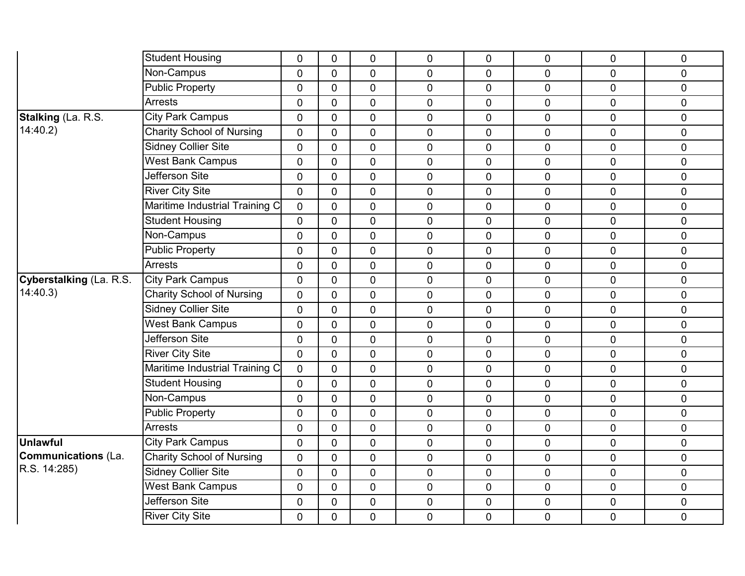|                         | <b>Student Housing</b>           | $\mathbf 0$    | $\mathbf 0$    | $\mathbf 0$    | $\mathbf 0$    | 0              | $\mathbf 0$ | $\mathbf 0$    | $\mathbf 0$    |
|-------------------------|----------------------------------|----------------|----------------|----------------|----------------|----------------|-------------|----------------|----------------|
|                         | Non-Campus                       | $\mathbf 0$    | $\Omega$       | $\overline{0}$ | $\mathbf 0$    | $\Omega$       | 0           | $\Omega$       | $\mathbf 0$    |
|                         | <b>Public Property</b>           | $\mathbf 0$    | $\mathbf 0$    | $\overline{0}$ | $\pmb{0}$      | $\overline{0}$ | $\mathbf 0$ | $\overline{0}$ | $\pmb{0}$      |
|                         | <b>Arrests</b>                   | $\mathbf 0$    | $\overline{0}$ | $\mathbf 0$    | $\mathbf 0$    | 0              | $\pmb{0}$   | $\mathbf 0$    | $\pmb{0}$      |
| Stalking (La. R.S.      | <b>City Park Campus</b>          | $\overline{0}$ | $\mathbf{0}$   | $\overline{0}$ | $\mathbf{0}$   | $\overline{0}$ | 0           | $\Omega$       | $\overline{0}$ |
| 14:40.2                 | <b>Charity School of Nursing</b> | $\mathbf 0$    | $\mathbf 0$    | $\mathbf 0$    | $\mathbf 0$    | 0              | 0           | $\overline{0}$ | $\mathbf 0$    |
|                         | <b>Sidney Collier Site</b>       | $\mathbf 0$    | $\overline{0}$ | $\mathbf 0$    | $\mathbf 0$    | 0              | $\pmb{0}$   | $\mathbf 0$    | $\pmb{0}$      |
|                         | <b>West Bank Campus</b>          | $\overline{0}$ | $\Omega$       | $\overline{0}$ | $\overline{0}$ | $\overline{0}$ | 0           | $\Omega$       | $\mathbf 0$    |
|                         | <b>Jefferson Site</b>            | $\mathbf 0$    | $\mathbf 0$    | $\mathbf 0$    | $\pmb{0}$      | 0              | $\mathbf 0$ | $\mathbf 0$    | $\pmb{0}$      |
|                         | <b>River City Site</b>           | $\mathbf 0$    | $\overline{0}$ | $\mathbf 0$    | $\mathbf 0$    | 0              | $\pmb{0}$   | $\mathbf 0$    | $\pmb{0}$      |
|                         | Maritime Industrial Training C   | $\overline{0}$ | $\Omega$       | $\overline{0}$ | $\overline{0}$ | $\overline{0}$ | 0           | $\Omega$       | $\overline{0}$ |
|                         | <b>Student Housing</b>           | $\mathbf 0$    | $\mathbf 0$    | $\mathbf 0$    | $\mathbf 0$    | 0              | 0           | $\overline{0}$ | $\mathbf 0$    |
|                         | Non-Campus                       | $\mathbf 0$    | $\overline{0}$ | $\mathbf 0$    | $\mathbf 0$    | 0              | $\pmb{0}$   | $\mathbf 0$    | $\pmb{0}$      |
|                         | <b>Public Property</b>           | $\overline{0}$ | $\mathbf{0}$   | $\overline{0}$ | $\overline{0}$ | $\overline{0}$ | 0           | $\mathbf 0$    | $\overline{0}$ |
|                         | <b>Arrests</b>                   | 0              | $\mathbf 0$    | 0              | $\pmb{0}$      | 0              | 0           | $\mathbf 0$    | $\pmb{0}$      |
| Cyberstalking (La. R.S. | <b>City Park Campus</b>          | $\mathbf 0$    | $\overline{0}$ | $\mathbf 0$    | $\pmb{0}$      | 0              | $\pmb{0}$   | $\mathbf 0$    | $\pmb{0}$      |
| 14:40.3                 | <b>Charity School of Nursing</b> | $\overline{0}$ | $\mathbf{0}$   | $\overline{0}$ | $\overline{0}$ | $\overline{0}$ | 0           | $\overline{0}$ | $\overline{0}$ |
|                         | <b>Sidney Collier Site</b>       | $\overline{0}$ | $\mathbf 0$    | $\mathbf 0$    | $\mathbf 0$    | 0              | 0           | $\overline{0}$ | $\pmb{0}$      |
|                         | <b>West Bank Campus</b>          | $\mathbf 0$    | $\mathbf 0$    | $\mathbf 0$    | $\mathbf 0$    | 0              | $\pmb{0}$   | $\overline{0}$ | $\pmb{0}$      |
|                         | <b>Jefferson Site</b>            | $\overline{0}$ | $\mathbf{0}$   | $\overline{0}$ | $\overline{0}$ | $\overline{0}$ | 0           | $\overline{0}$ | $\mathbf 0$    |
|                         | <b>River City Site</b>           | $\overline{0}$ | $\mathbf 0$    | $\mathbf 0$    | $\pmb{0}$      | 0              | 0           | $\mathbf 0$    | $\pmb{0}$      |
|                         | Maritime Industrial Training C   | $\mathbf 0$    | $\mathbf 0$    | $\mathbf 0$    | $\pmb{0}$      | 0              | $\pmb{0}$   | $\mathbf 0$    | $\pmb{0}$      |
|                         | <b>Student Housing</b>           | $\overline{0}$ | $\mathbf{0}$   | $\overline{0}$ | $\overline{0}$ | $\overline{0}$ | 0           | $\overline{0}$ | $\mathbf 0$    |
|                         | Non-Campus                       | $\mathbf 0$    | $\mathbf 0$    | $\mathbf 0$    | $\mathbf 0$    | 0              | 0           | $\overline{0}$ | $\pmb{0}$      |
|                         | Public Property                  | $\mathbf 0$    | $\mathbf 0$    | $\mathbf 0$    | $\mathbf 0$    | 0              | $\mathbf 0$ | $\overline{0}$ | $\pmb{0}$      |
|                         | <b>Arrests</b>                   | $\overline{0}$ | $\mathbf{0}$   | $\overline{0}$ | $\overline{0}$ | $\overline{0}$ | 0           | $\overline{0}$ | $\mathbf 0$    |
| <b>Unlawful</b>         | <b>City Park Campus</b>          | $\mathbf 0$    | $\mathbf 0$    | $\mathbf 0$    | $\pmb{0}$      | 0              | $\mathbf 0$ | $\mathbf 0$    | $\pmb{0}$      |
| Communications (La.     | <b>Charity School of Nursing</b> | $\mathbf 0$    | $\mathbf{0}$   | $\mathbf 0$    | $\pmb{0}$      | 0              | $\mathbf 0$ | $\mathbf 0$    | $\pmb{0}$      |
| R.S. 14:285)            | <b>Sidney Collier Site</b>       | $\overline{0}$ | $\mathbf 0$    | $\overline{0}$ | $\overline{0}$ | $\overline{0}$ | 0           | $\overline{0}$ | $\mathbf 0$    |
|                         | <b>West Bank Campus</b>          | $\mathbf 0$    | $\mathbf 0$    | $\mathbf 0$    | $\mathbf 0$    | 0              | 0           | $\mathbf 0$    | $\mathbf 0$    |
|                         | Jefferson Site                   | $\mathbf 0$    | $\overline{0}$ | $\mathbf 0$    | $\pmb{0}$      | 0              | $\pmb{0}$   | $\mathbf 0$    | $\pmb{0}$      |
|                         | <b>River City Site</b>           | $\mathbf 0$    | $\overline{0}$ | $\overline{0}$ | $\mathbf 0$    | 0              | 0           | $\mathbf 0$    | $\mathbf 0$    |